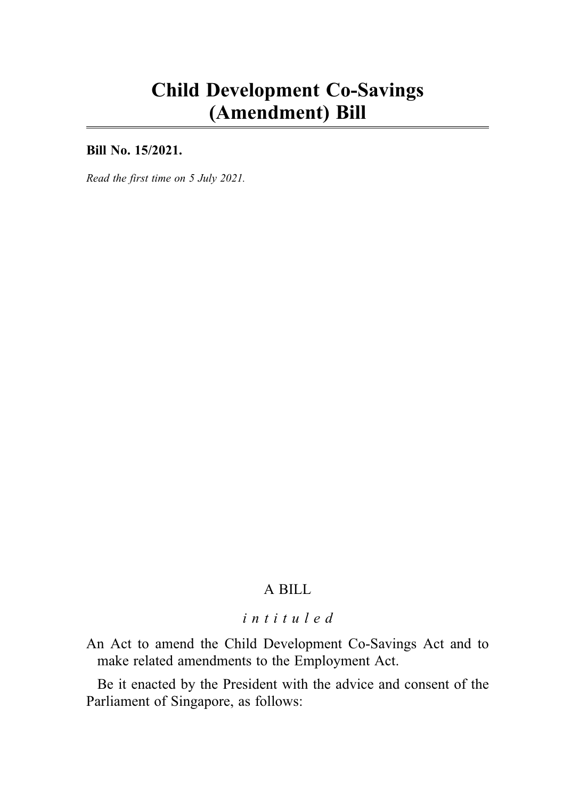# Child Development Co-Savings (Amendment) Bill

Bill No. 15/2021.

Read the first time on 5 July 2021.

# A BILL

# intituled

An Act to amend the Child Development Co-Savings Act and to make related amendments to the Employment Act.

Be it enacted by the President with the advice and consent of the Parliament of Singapore, as follows: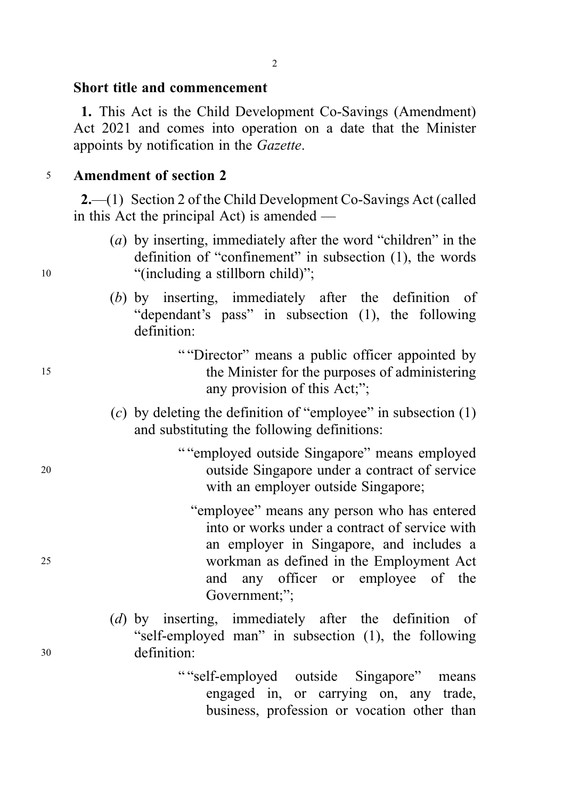#### Short title and commencement

1. This Act is the Child Development Co-Savings (Amendment) Act 2021 and comes into operation on a date that the Minister appoints by notification in the Gazette.

## <sup>5</sup> Amendment of section 2

2.—(1) Section 2 of the Child Development Co-Savings Act (called in this Act the principal Act) is amended —

- (a) by inserting, immediately after the word "children" in the definition of "confinement" in subsection (1), the words 10 "(including a stillborn child)";
	- (b) by inserting, immediately after the definition of "dependant's pass" in subsection (1), the following definition:

" "Director" means a public officer appointed by <sup>15</sup> the Minister for the purposes of administering any provision of this Act;";

- (c) by deleting the definition of "employee" in subsection  $(1)$ and substituting the following definitions:
- " "employed outside Singapore" means employed <sup>20</sup> outside Singapore under a contract of service with an employer outside Singapore;
- "employee" means any person who has entered into or works under a contract of service with an employer in Singapore, and includes a <sup>25</sup> workman as defined in the Employment Act and any officer or employee of the Government;";
- (d) by inserting, immediately after the definition of "self-employed man" in subsection (1), the following <sup>30</sup> definition:
	- " "self-employed outside Singapore" means engaged in, or carrying on, any trade, business, profession or vocation other than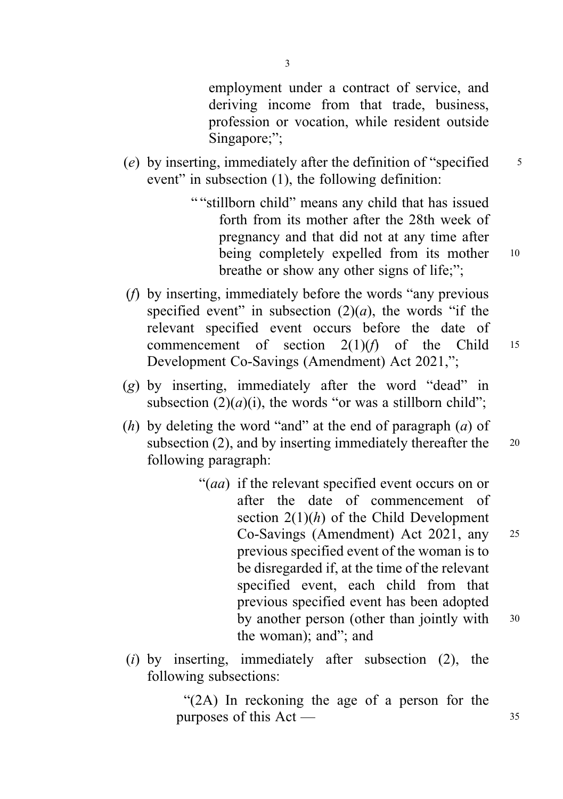employment under a contract of service, and deriving income from that trade, business, profession or vocation, while resident outside Singapore;";

- (e) by inserting, immediately after the definition of "specified  $\frac{5}{5}$ event" in subsection (1), the following definition:
	- " "stillborn child" means any child that has issued forth from its mother after the 28th week of pregnancy and that did not at any time after being completely expelled from its mother 10 breathe or show any other signs of life;";
- (f) by inserting, immediately before the words "any previous specified event" in subsection  $(2)(a)$ , the words "if the relevant specified event occurs before the date of commencement of section  $2(1)(f)$  of the Child 15 Development Co-Savings (Amendment) Act 2021,";
- (g) by inserting, immediately after the word "dead" in subsection  $(2)(a)(i)$ , the words "or was a stillborn child";
- (h) by deleting the word "and" at the end of paragraph  $(a)$  of subsection (2), and by inserting immediately thereafter the  $20$ following paragraph:
	- "(aa) if the relevant specified event occurs on or after the date of commencement of section  $2(1)(h)$  of the Child Development Co-Savings (Amendment) Act 2021, any <sup>25</sup> previous specified event of the woman is to be disregarded if, at the time of the relevant specified event, each child from that previous specified event has been adopted by another person (other than jointly with 30 the woman); and"; and
- (i) by inserting, immediately after subsection  $(2)$ , the following subsections:

"(2A) In reckoning the age of a person for the purposes of this  $Act - 35$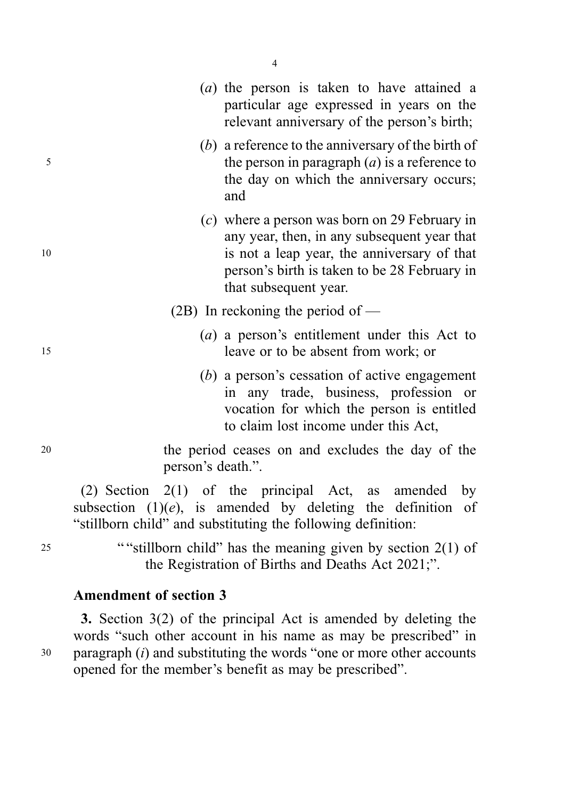|    | (a) the person is taken to have attained a<br>particular age expressed in years on the<br>relevant anniversary of the person's birth;                                                                                  |
|----|------------------------------------------------------------------------------------------------------------------------------------------------------------------------------------------------------------------------|
| 5  | $(b)$ a reference to the anniversary of the birth of<br>the person in paragraph $(a)$ is a reference to<br>the day on which the anniversary occurs;<br>and                                                             |
| 10 | $(c)$ where a person was born on 29 February in<br>any year, then, in any subsequent year that<br>is not a leap year, the anniversary of that<br>person's birth is taken to be 28 February in<br>that subsequent year. |
|    | $(2B)$ In reckoning the period of —                                                                                                                                                                                    |
| 15 | (a) a person's entitlement under this Act to<br>leave or to be absent from work; or                                                                                                                                    |
|    | $(b)$ a person's cessation of active engagement<br>in any trade, business, profession or<br>vocation for which the person is entitled<br>to claim lost income under this Act,                                          |
| 20 | the period ceases on and excludes the day of the<br>person's death.".                                                                                                                                                  |
|    | $(2)$ Section $2(1)$ of the principal Act, as amended<br>by<br>subsection $(1)(e)$ , is amended by deleting the definition<br>of<br>"stillborn child" and substituting the following definition:                       |

4

<sup>25</sup> ""stillborn child" has the meaning given by section 2(1) of the Registration of Births and Deaths Act 2021;".

# Amendment of section 3

3. Section 3(2) of the principal Act is amended by deleting the words "such other account in his name as may be prescribed" in  $30$  paragraph (*i*) and substituting the words "one or more other accounts opened for the member's benefit as may be prescribed".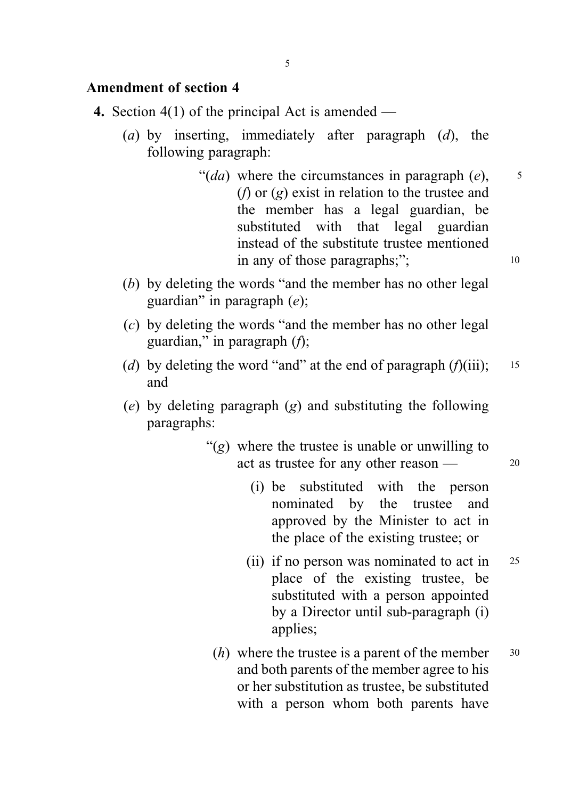# Amendment of section 4

- 4. Section 4(1) of the principal Act is amended
	- (a) by inserting, immediately after paragraph  $(d)$ , the following paragraph:
		- "(da) where the circumstances in paragraph  $(e)$ ,  $\overline{\phantom{0}}$ (*f*) or  $(g)$  exist in relation to the trustee and the member has a legal guardian, be substituted with that legal guardian instead of the substitute trustee mentioned in any of those paragraphs;"; 10
	- (b) by deleting the words "and the member has no other legal guardian" in paragraph  $(e)$ ;
	- (c) by deleting the words "and the member has no other legal guardian," in paragraph  $(f)$ ;
	- (d) by deleting the word "and" at the end of paragraph  $(f)(iii)$ ; 15 and
	- (e) by deleting paragraph (g) and substituting the following paragraphs:
		- " $(g)$  where the trustee is unable or unwilling to act as trustee for any other reason — 20
			- (i) be substituted with the person nominated by the trustee and approved by the Minister to act in
			- (ii) if no person was nominated to act in 25 place of the existing trustee, be substituted with a person appointed by a Director until sub-paragraph (i) applies;

the place of the existing trustee; or

 $(h)$  where the trustee is a parent of the member  $30$ and both parents of the member agree to his or her substitution as trustee, be substituted with a person whom both parents have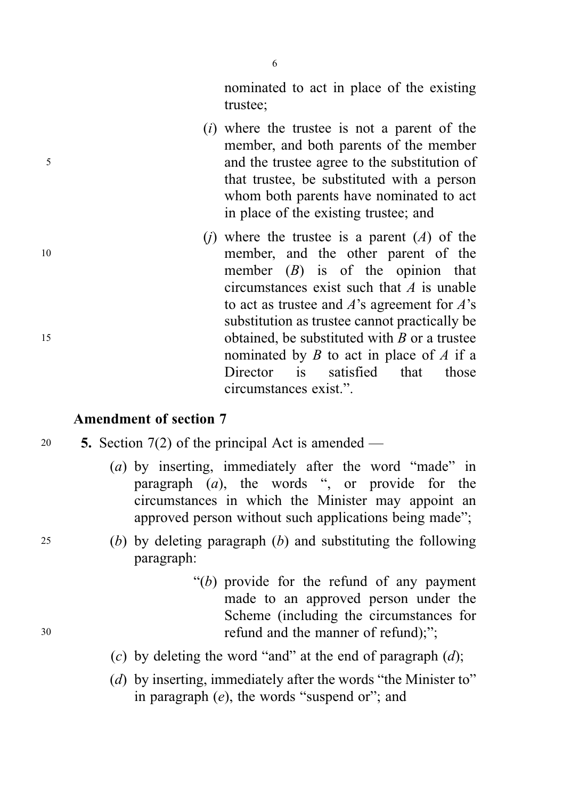nominated to act in place of the existing trustee;

- (i) where the trustee is not a parent of the member, and both parents of the member <sup>5</sup> and the trustee agree to the substitution of that trustee, be substituted with a person whom both parents have nominated to act in place of the existing trustee; and
- (i) where the trustee is a parent  $(A)$  of the <sup>10</sup> member, and the other parent of the member  $(B)$  is of the opinion that circumstances exist such that  $\vec{A}$  is unable to act as trustee and  $A$ 's agreement for  $A$ 's substitution as trustee cannot practically be 15 **15 b obtained** be substituted with  $B$  or a trustee nominated by  $B$  to act in place of  $A$  if a Director is satisfied that those circumstances exist.".

#### Amendment of section 7

# 20  $\quad$  5. Section 7(2) of the principal Act is amended —

- (a) by inserting, immediately after the word "made" in paragraph (a), the words ", or provide for the circumstances in which the Minister may appoint an approved person without such applications being made";
- <sup>25</sup> (b) by deleting paragraph (b) and substituting the following paragraph:
- " $(b)$  provide for the refund of any payment" made to an approved person under the Scheme (including the circumstances for <sup>30</sup> refund and the manner of refund);";
	- (c) by deleting the word "and" at the end of paragraph  $(d)$ ;
	- (d) by inserting, immediately after the words "the Minister to" in paragraph  $(e)$ , the words "suspend or"; and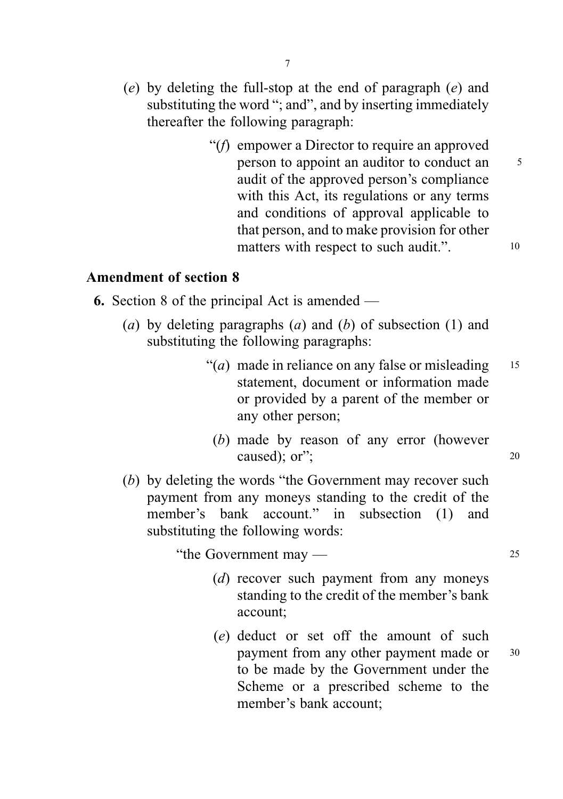- (e) by deleting the full-stop at the end of paragraph (e) and substituting the word "; and", and by inserting immediately thereafter the following paragraph:
	- "(f) empower a Director to require an approved person to appoint an auditor to conduct an <sup>5</sup> audit of the approved person's compliance with this Act, its regulations or any terms and conditions of approval applicable to that person, and to make provision for other matters with respect to such audit.". 10

Amendment of section 8

6. Section 8 of the principal Act is amended —

- (a) by deleting paragraphs (a) and (b) of subsection (1) and substituting the following paragraphs:
	- "(*a*) made in reliance on any false or misleading  $15$ statement, document or information made or provided by a parent of the member or any other person;
		- (b) made by reason of any error (however caused); or"; 20
- (b) by deleting the words "the Government may recover such payment from any moneys standing to the credit of the member's bank account." in subsection (1) and substituting the following words:

"the Government may — 25

- (d) recover such payment from any moneys standing to the credit of the member's bank account;
- (e) deduct or set off the amount of such payment from any other payment made or  $30$ to be made by the Government under the Scheme or a prescribed scheme to the member's bank account;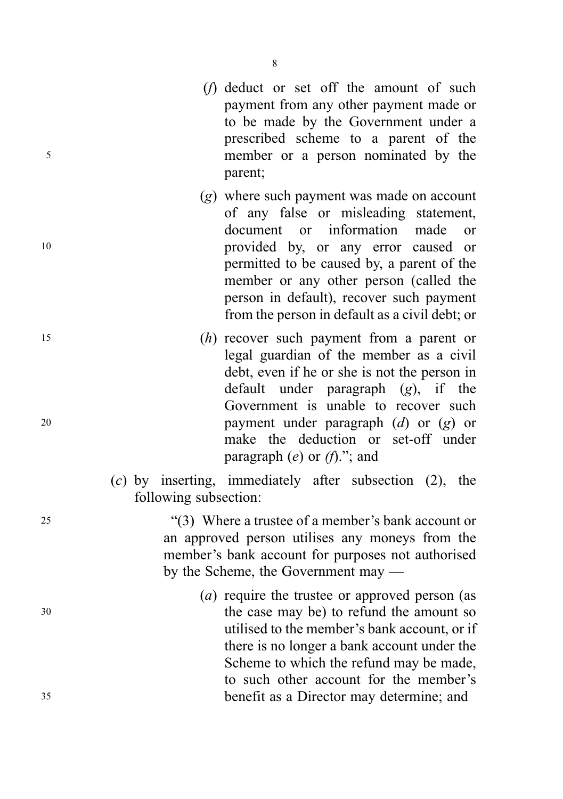- (f) deduct or set off the amount of such payment from any other payment made or to be made by the Government under a prescribed scheme to a parent of the <sup>5</sup> member or a person nominated by the parent;
- (g) where such payment was made on account of any false or misleading statement, document or information made or <sup>10</sup> provided by, or any error caused or permitted to be caused by, a parent of the member or any other person (called the person in default), recover such payment from the person in default as a civil debt; or
- <sup>15</sup> (h) recover such payment from a parent or legal guardian of the member as a civil debt, even if he or she is not the person in default under paragraph  $(g)$ , if the Government is unable to recover such <sup>20</sup> payment under paragraph (d) or (g) or make the deduction or set-off under paragraph  $(e)$  or  $(f)$ ."; and
	- (c) by inserting, immediately after subsection (2), the following subsection:

<sup>25</sup> "(3) Where a trustee of a member's bank account or an approved person utilises any moneys from the member's bank account for purposes not authorised by the Scheme, the Government may —

(a) require the trustee or approved person (as <sup>30</sup> the case may be) to refund the amount so utilised to the member's bank account, or if there is no longer a bank account under the Scheme to which the refund may be made, to such other account for the member's <sup>35</sup> benefit as a Director may determine; and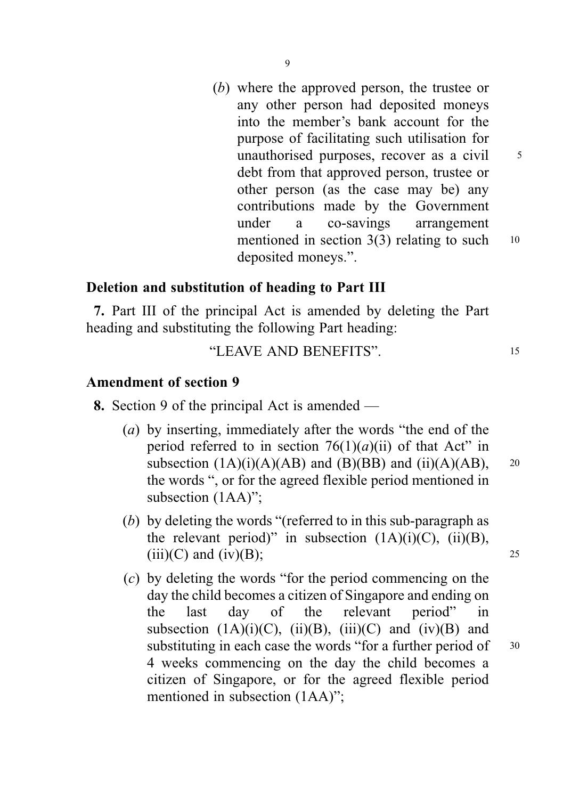(b) where the approved person, the trustee or any other person had deposited moneys into the member's bank account for the purpose of facilitating such utilisation for unauthorised purposes, recover as a civil  $\frac{5}{5}$ debt from that approved person, trustee or other person (as the case may be) any contributions made by the Government under a co-savings arrangement mentioned in section  $3(3)$  relating to such  $10$ deposited moneys.".

# Deletion and substitution of heading to Part III

7. Part III of the principal Act is amended by deleting the Part heading and substituting the following Part heading:

# "LEAVE AND BENEFITS". <sup>15</sup>

#### Amendment of section 9

- 8. Section 9 of the principal Act is amended
	- (a) by inserting, immediately after the words "the end of the period referred to in section  $76(1)(a)(ii)$  of that Act" in subsection  $(1A)(i)(A)(AB)$  and  $(B)(BB)$  and  $(ii)(A)(AB)$ , 20 the words ", or for the agreed flexible period mentioned in subsection (1AA)";
	- (b) by deleting the words "(referred to in this sub-paragraph as the relevant period)" in subsection  $(1A)(i)(C)$ ,  $(ii)(B)$ ,  $(iii)(C)$  and  $(iv)(B)$ ; 25
	- (c) by deleting the words "for the period commencing on the day the child becomes a citizen of Singapore and ending on the last day of the relevant period" in subsection  $(1A)(i)(C)$ ,  $(ii)(B)$ ,  $(iii)(C)$  and  $(iv)(B)$  and substituting in each case the words "for a further period of 30 4 weeks commencing on the day the child becomes a citizen of Singapore, or for the agreed flexible period mentioned in subsection (1AA)";

#### $\overline{Q}$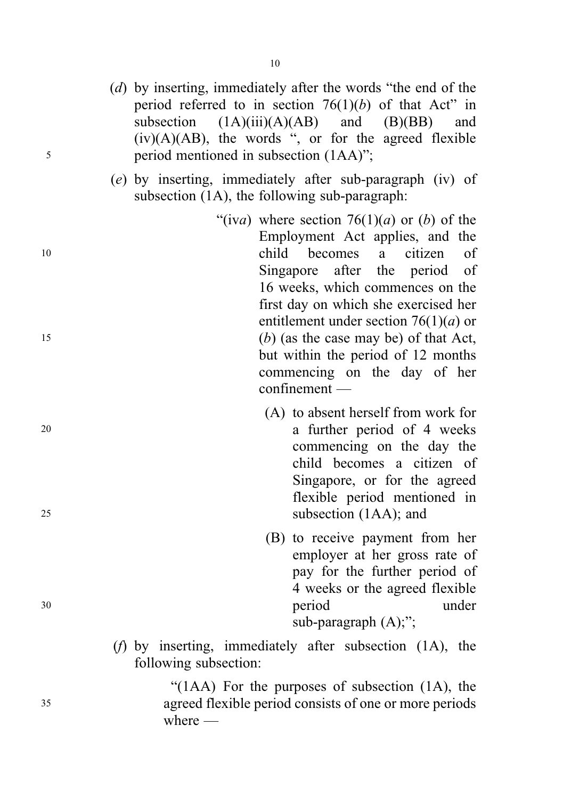- (d) by inserting, immediately after the words "the end of the period referred to in section  $76(1)(b)$  of that Act" in subsection  $(1A)(iii)(A)(AB)$  and  $(B)(BB)$  and  $(iv)(A)(AB)$ , the words ", or for the agreed flexible <sup>5</sup> period mentioned in subsection (1AA)";
	- (e) by inserting, immediately after sub-paragraph (iv) of subsection (1A), the following sub-paragraph:
- "(iva) where section  $76(1)(a)$  or (b) of the Employment Act applies, and the <sup>10</sup> child becomes a citizen of Singapore after the period of 16 weeks, which commences on the first day on which she exercised her entitlement under section  $76(1)(a)$  or <sup>15</sup> (b) (as the case may be) of that Act, but within the period of 12 months commencing on the day of her confinement —
- (A) to absent herself from work for <sup>20</sup> a further period of 4 weeks commencing on the day the child becomes a citizen of Singapore, or for the agreed flexible period mentioned in <sup>25</sup> subsection (1AA); and
- (B) to receive payment from her employer at her gross rate of pay for the further period of 4 weeks or the agreed flexible <sup>30</sup> period under sub-paragraph (A);";
	- (f) by inserting, immediately after subsection (1A), the following subsection:

"(1AA) For the purposes of subsection (1A), the <sup>35</sup> agreed flexible period consists of one or more periods where —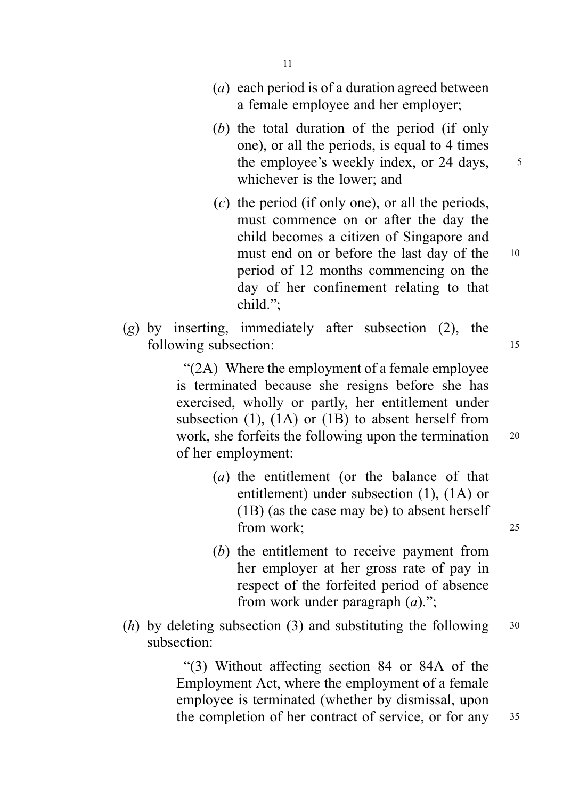- (a) each period is of a duration agreed between a female employee and her employer;
- (b) the total duration of the period (if only one), or all the periods, is equal to 4 times the employee's weekly index, or  $24$  days,  $5$ whichever is the lower; and
- $(c)$  the period (if only one), or all the periods, must commence on or after the day the child becomes a citizen of Singapore and must end on or before the last day of the 10 period of 12 months commencing on the day of her confinement relating to that child.";
- $(g)$  by inserting, immediately after subsection (2), the following subsection: 15

"(2A) Where the employment of a female employee is terminated because she resigns before she has exercised, wholly or partly, her entitlement under subsection (1), (1A) or (1B) to absent herself from work, she forfeits the following upon the termination 20 of her employment:

- (a) the entitlement (or the balance of that entitlement) under subsection (1), (1A) or (1B) (as the case may be) to absent herself from work; 25
- (b) the entitlement to receive payment from her employer at her gross rate of pay in respect of the forfeited period of absence from work under paragraph  $(a)$ .";
- (*h*) by deleting subsection (3) and substituting the following  $30$ subsection:

"(3) Without affecting section 84 or 84A of the Employment Act, where the employment of a female employee is terminated (whether by dismissal, upon the completion of her contract of service, or for any 35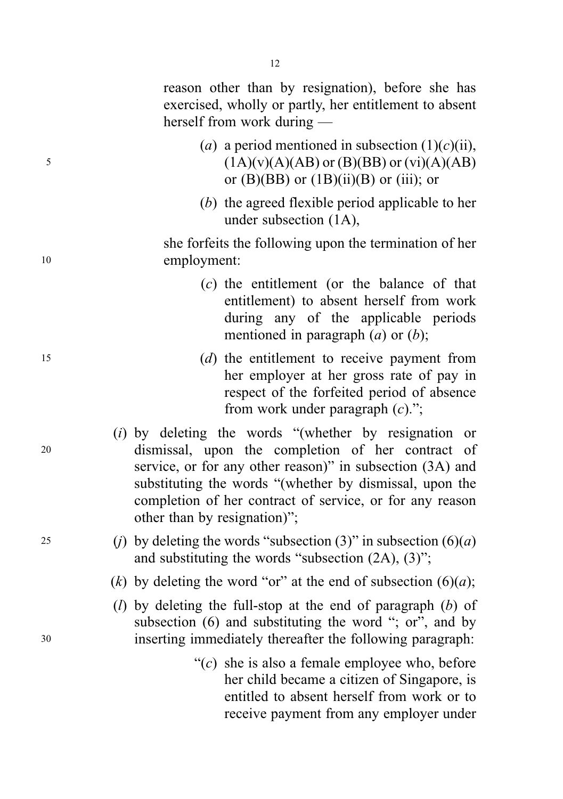reason other than by resignation), before she has exercised, wholly or partly, her entitlement to absent herself from work during —

- (a) a period mentioned in subsection  $(1)(c)(ii)$ , 5 (1A)(v)(A)(AB) or (B)(BB) or (vi)(A)(AB) or  $(B)(BB)$  or  $(1B)(ii)(B)$  or  $(iii)$ ; or
	- (b) the agreed flexible period applicable to her under subsection (1A),

she forfeits the following upon the termination of her <sup>10</sup> employment:

- (c) the entitlement (or the balance of that entitlement) to absent herself from work during any of the applicable periods mentioned in paragraph  $(a)$  or  $(b)$ ;
- <sup>15</sup> (d) the entitlement to receive payment from her employer at her gross rate of pay in respect of the forfeited period of absence from work under paragraph  $(c)$ .";
- (i) by deleting the words "(whether by resignation or <sup>20</sup> dismissal, upon the completion of her contract of service, or for any other reason)" in subsection (3A) and substituting the words "(whether by dismissal, upon the completion of her contract of service, or for any reason other than by resignation)";
- 25 (i) by deleting the words "subsection (3)" in subsection  $(6)(a)$ and substituting the words "subsection (2A), (3)";
	- (k) by deleting the word "or" at the end of subsection  $(6)(a)$ ;
- (*l*) by deleting the full-stop at the end of paragraph (*b*) of subsection (6) and substituting the word "; or", and by <sup>30</sup> inserting immediately thereafter the following paragraph:
	- " $(c)$  she is also a female employee who, before her child became a citizen of Singapore, is entitled to absent herself from work or to receive payment from any employer under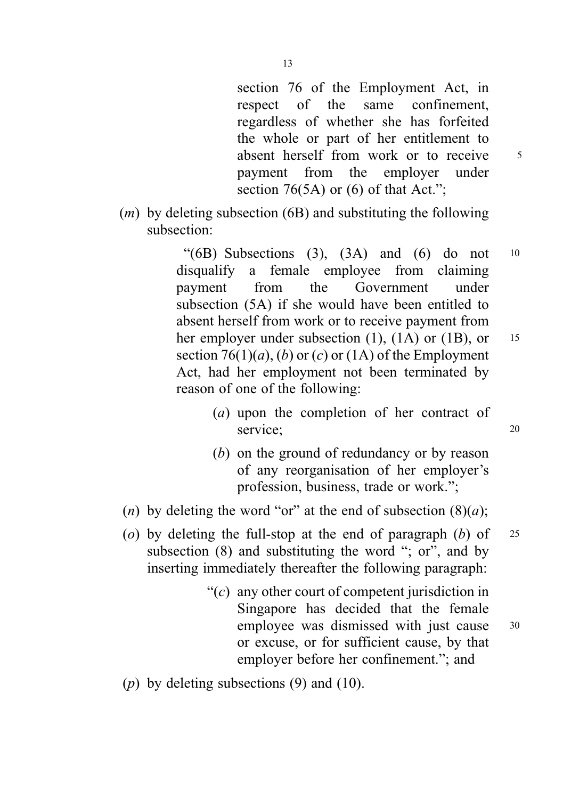section 76 of the Employment Act, in respect of the same confinement, regardless of whether she has forfeited the whole or part of her entitlement to absent herself from work or to receive 5 payment from the employer under section 76(5A) or (6) of that Act.":

 $(m)$  by deleting subsection (6B) and substituting the following subsection:

> " $(6B)$  Subsections  $(3)$ ,  $(3A)$  and  $(6)$  do not 10 disqualify a female employee from claiming payment from the Government under subsection (5A) if she would have been entitled to absent herself from work or to receive payment from her employer under subsection  $(1)$ ,  $(1A)$  or  $(1B)$ , or 15 section 76(1)(*a*), (*b*) or (*c*) or (1A) of the Employment Act, had her employment not been terminated by reason of one of the following:

- (a) upon the completion of her contract of service: 20
- (b) on the ground of redundancy or by reason of any reorganisation of her employer's profession, business, trade or work.";
- (n) by deleting the word "or" at the end of subsection  $(8)(a)$ ;
- (o) by deleting the full-stop at the end of paragraph  $(b)$  of 25 subsection (8) and substituting the word "; or", and by inserting immediately thereafter the following paragraph:
	- " $(c)$  any other court of competent jurisdiction in Singapore has decided that the female employee was dismissed with just cause 30 or excuse, or for sufficient cause, by that employer before her confinement."; and
- (p) by deleting subsections  $(9)$  and  $(10)$ .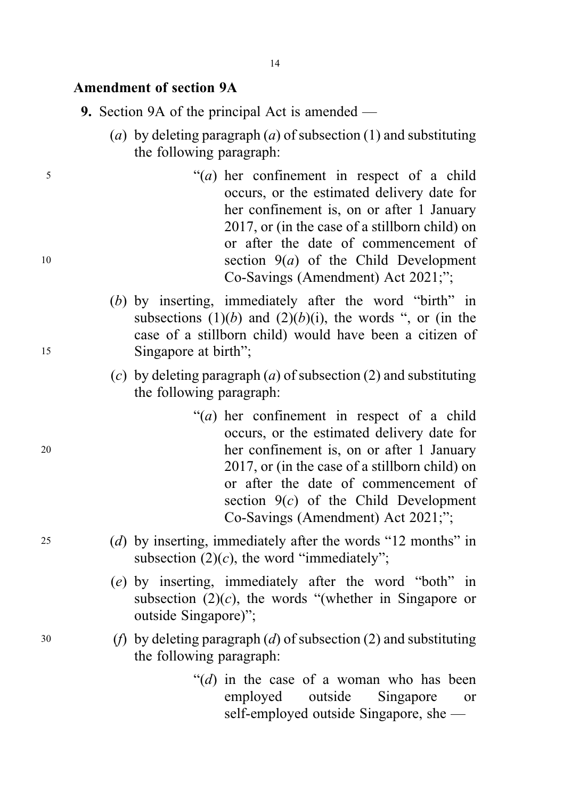#### Amendment of section 9A

- 9. Section 9A of the principal Act is amended
	- (a) by deleting paragraph (a) of subsection (1) and substituting the following paragraph:
- <sup>5</sup> "(a) her confinement in respect of a child occurs, or the estimated delivery date for her confinement is, on or after 1 January 2017, or (in the case of a stillborn child) on or after the date of commencement of 10 section  $9(a)$  of the Child Development Co-Savings (Amendment) Act 2021;";
- (b) by inserting, immediately after the word "birth" in subsections  $(1)(b)$  and  $(2)(b)(i)$ , the words ", or (in the case of a stillborn child) would have been a citizen of <sup>15</sup> Singapore at birth";
	- (c) by deleting paragraph  $(a)$  of subsection  $(2)$  and substituting the following paragraph:
- " $(a)$  her confinement in respect of a child occurs, or the estimated delivery date for <sup>20</sup> her confinement is, on or after 1 January 2017, or (in the case of a stillborn child) on or after the date of commencement of section  $9(c)$  of the Child Development Co-Savings (Amendment) Act 2021;";
- <sup>25</sup> (d) by inserting, immediately after the words "12 months" in subsection  $(2)(c)$ , the word "immediately";
	- (e) by inserting, immediately after the word "both" in subsection  $(2)(c)$ , the words "(whether in Singapore or outside Singapore)";
- 30 (*f*) by deleting paragraph (*d*) of subsection (2) and substituting the following paragraph:
	- " $(d)$  in the case of a woman who has been employed outside Singapore or self-employed outside Singapore, she —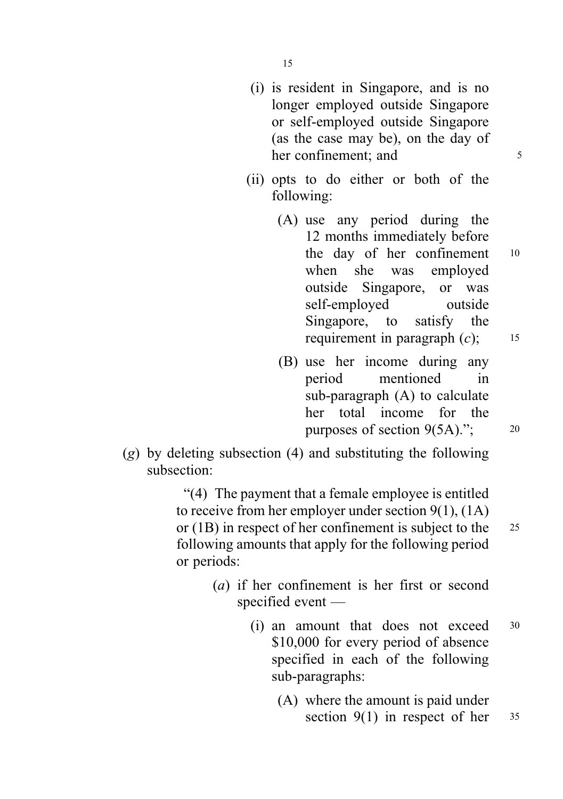15

- (i) is resident in Singapore, and is no longer employed outside Singapore or self-employed outside Singapore (as the case may be), on the day of her confinement: and 5
- (ii) opts to do either or both of the following:
	- (A) use any period during the 12 months immediately before the day of her confinement <sup>10</sup> when she was employed outside Singapore, or was self-employed outside Singapore, to satisfy the requirement in paragraph  $(c)$ ; 15
	- (B) use her income during any period mentioned in sub-paragraph (A) to calculate her total income for the purposes of section  $9(5A)$ ."; 20
- $(g)$  by deleting subsection (4) and substituting the following subsection:

"(4) The payment that a female employee is entitled to receive from her employer under section 9(1), (1A) or (1B) in respect of her confinement is subject to the <sup>25</sup> following amounts that apply for the following period or periods:

- (a) if her confinement is her first or second specified event —
	- (i) an amount that does not exceed <sup>30</sup> \$10,000 for every period of absence specified in each of the following sub-paragraphs:
		- (A) where the amount is paid under section  $9(1)$  in respect of her  $35$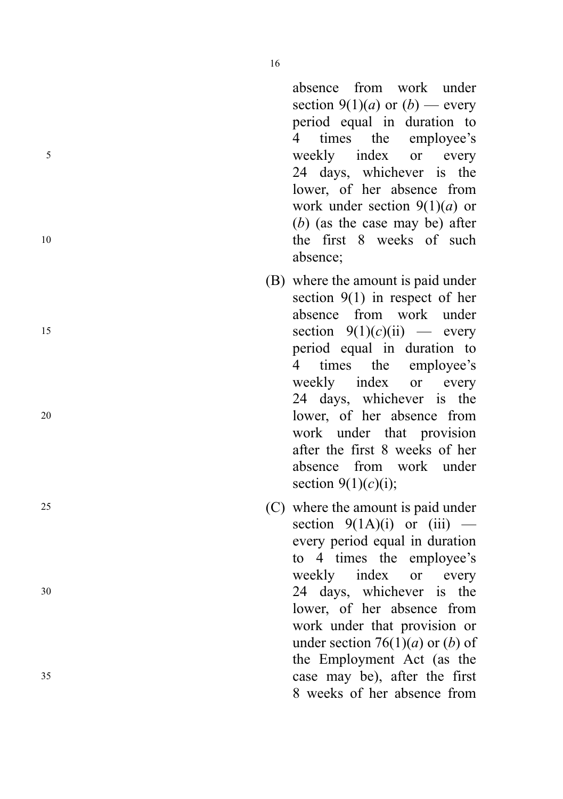absence from work under section 9(1)(*a*) or (*b*) — every period equal in duration to 4 times the employee ' s <sup>5</sup> weekly index or every 24 days, whichever is the lower, of her absence from work under section  $9(1)(a)$  or ( b) (as the case may be) after 10 the first 8 weeks of such the first 8 weeks of such 10 absence;

- (B) where the amount is paid under section 9(1) in respect of her absence from work under 15 section  $9(1)(c)(ii)$  - every period equal in duration to 4 times the employee ' s weekly index or every 24 days, whichever is the <sup>20</sup> lower, of her absence from work under that provision after the first 8 weeks of her absence from work under section  $9(1)(c)(i)$ ;
- <sup>25</sup> (C) where the amount is paid under section  $9(1A)(i)$  or  $(iii)$  every period equal in duration to 4 times the employee ' s weekly index or every <sup>30</sup> 24 days, whichever is the lower, of her absence from work under that provision or under section 76 $(1)(a)$  or  $(b)$  of the Employment Act (as the <sup>35</sup> case may be), after the first 8 weeks of her absence from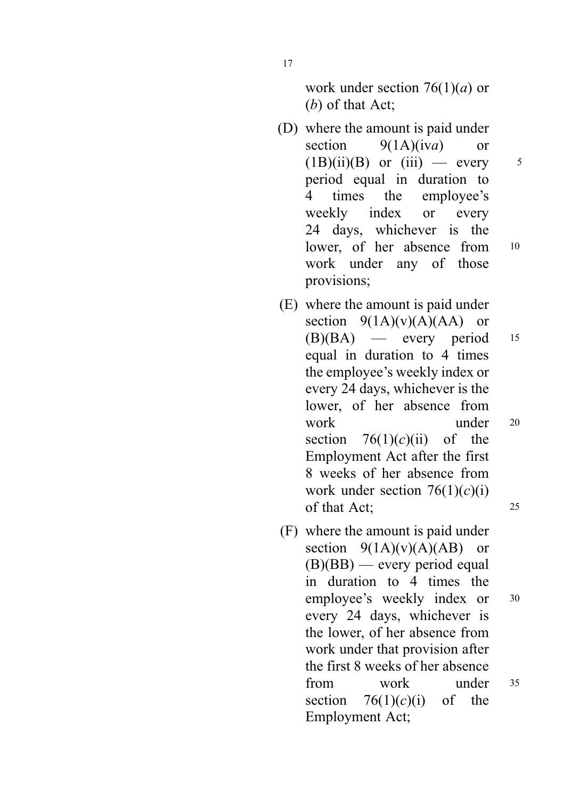work under section  $76(1)(a)$  or (b) of that Act;

- (D) where the amount is paid under section  $9(1A)(iva)$  or  $(1B)(ii)(B)$  or  $(iii)$  — every 5 period equal in duration to 4 times the employee's weekly index or every 24 days, whichever is the lower, of her absence from 10 work under any of those provisions;
- (E) where the amount is paid under section  $9(1A)(v)(A)(AA)$  or  $(B)(BA)$  — every period 15 equal in duration to 4 times the employee's weekly index or every 24 days, whichever is the lower, of her absence from work under 20 section  $76(1)(c)(ii)$  of the Employment Act after the first 8 weeks of her absence from work under section  $76(1)(c)(i)$ of that Act; <sup>25</sup>
- (F) where the amount is paid under section  $9(1A)(v)(A)(AB)$  or  $(B)(BB)$  — every period equal in duration to 4 times the employee's weekly index or  $30$ every 24 days, whichever is the lower, of her absence from work under that provision after the first 8 weeks of her absence from work under <sup>35</sup> section  $76(1)(c)(i)$  of the Employment Act;

17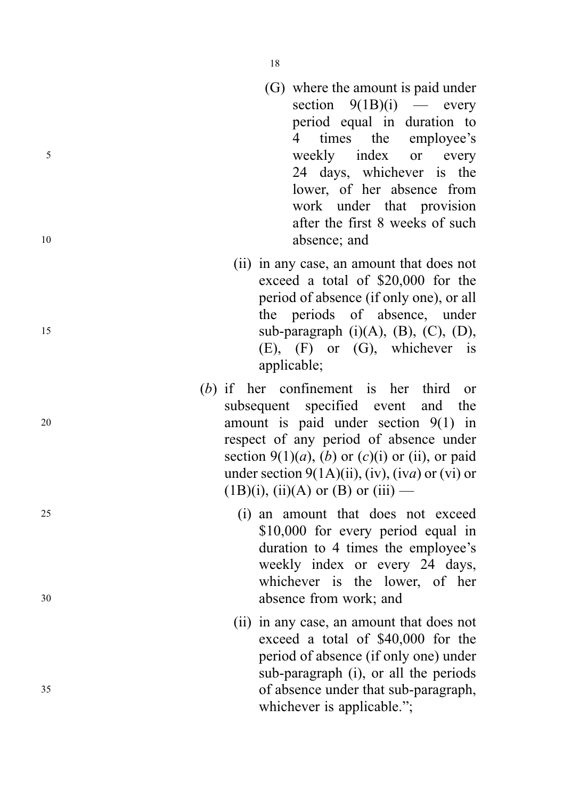- 18
- (G) where the amount is paid under section  $9(1B)(i)$  every period equal in duration to 4 times the employee ' s <sup>5</sup> weekly index or every 24 days, whichever is the lower, of her absence from work under that provision after the first 8 weeks of such 10 absence: and
- (ii) in any case, an amount that does not exceed a total of \$20,000 for the period of absence (if only one), or all the periods of absence, under 15 sub-paragraph  $(i)(A)$ ,  $(B)$ ,  $(C)$ ,  $(D)$ , (E), (F) or (G), whichever is applicable;
- ( b) if her confinement is her third or subsequent specified event and the <sup>20</sup> amount is paid under section 9(1) in respect of any period of absence under section  $9(1)(a)$ ,  $(b)$  or  $(c)(i)$  or  $(ii)$ , or paid under section  $9(1A)(ii)$ ,  $(iv)$ ,  $(iva)$  or  $(vi)$  or  $(1B)(i)$ ,  $(ii)(A)$  or  $(B)$  or  $(iii)$  —
- <sup>25</sup> (i) an amount that does not exceed \$10,000 for every period equal in duration to 4 times the employee's weekly index or every 24 days, whichever is the lower, of her <sup>30</sup> absence from work; and
- (ii) in any case, an amount that does not exceed a total of \$40,000 for the period of absence (if only one) under sub-paragraph (i), or all the periods <sup>35</sup> of absence under that sub-paragraph, whichever is applicable.";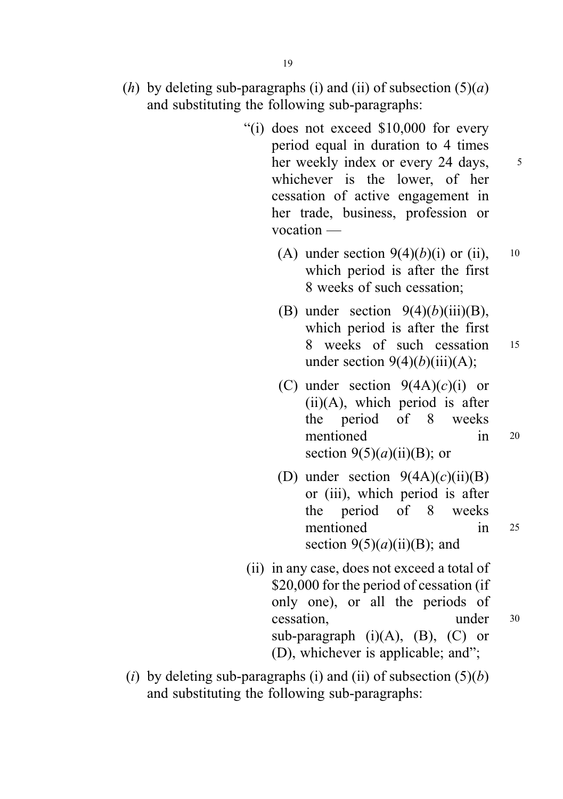- (h) by deleting sub-paragraphs (i) and (ii) of subsection  $(5)(a)$ and substituting the following sub-paragraphs:
	- "(i) does not exceed \$10,000 for every period equal in duration to 4 times her weekly index or every 24 days,  $\frac{5}{3}$ whichever is the lower, of her cessation of active engagement in her trade, business, profession or vocation —
		- (A) under section  $9(4)(b)(i)$  or (ii), 10 which period is after the first 8 weeks of such cessation;
		- (B) under section  $9(4)(b)(iii)(B)$ , which period is after the first 8 weeks of such cessation <sup>15</sup> under section  $9(4)(b)(iii)(A)$ ;
		- (C) under section  $9(4A)(c)(i)$  or  $(ii)(A)$ , which period is after the period of 8 weeks mentioned in <sup>20</sup> section  $9(5)(a)(ii)(B)$ ; or
		- (D) under section  $9(4A)(c)(ii)(B)$ or (iii), which period is after the period of 8 weeks mentioned in <sup>25</sup> section  $9(5)(a)(ii)(B)$ ; and
	- (ii) in any case, does not exceed a total of \$20,000 for the period of cessation (if only one), or all the periods of cessation, under <sup>30</sup> sub-paragraph  $(i)(A)$ ,  $(B)$ ,  $(C)$  or (D), whichever is applicable; and";
- (i) by deleting sub-paragraphs (i) and (ii) of subsection  $(5)(b)$ and substituting the following sub-paragraphs: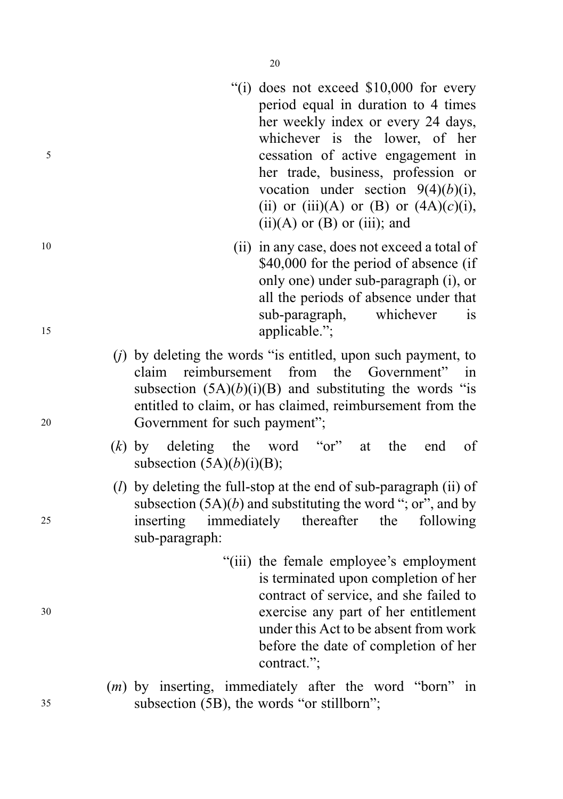- "(i) does not exceed \$10,000 for every period equal in duration to 4 times her weekly index or every 24 days, whichever is the lower, of her <sup>5</sup> cessation of active engagement in her trade, business, profession or vocation under section  $9(4)(b)(i)$ , (ii) or (iii)(A) or (B) or  $(4A)(c)(i)$ ,  $(ii)(A)$  or  $(B)$  or  $(iii)$ ; and
- <sup>10</sup> (ii) in any case, does not exceed a total of \$40,000 for the period of absence (if only one) under sub-paragraph (i), or all the periods of absence under that sub-paragraph, whichever is 15 applicable.";
- $(i)$  by deleting the words "is entitled, upon such payment, to claim reimbursement from the Government" in subsection  $(5A)(b)(i)(B)$  and substituting the words "is entitled to claim, or has claimed, reimbursement from the <sup>20</sup> Government for such payment";
	- $(k)$  by deleting the word "or" at the end of subsection  $(5A)(b)(i)(B)$ ;
- (*l*) by deleting the full-stop at the end of sub-paragraph (ii) of subsection  $(5A)(b)$  and substituting the word "; or", and by <sup>25</sup> inserting immediately thereafter the following sub-paragraph:
- "(iii) the female employee's employment is terminated upon completion of her contract of service, and she failed to <sup>30</sup> exercise any part of her entitlement under this Act to be absent from work before the date of completion of her contract.";
- (m) by inserting, immediately after the word "born" in <sup>35</sup> subsection (5B), the words "or stillborn";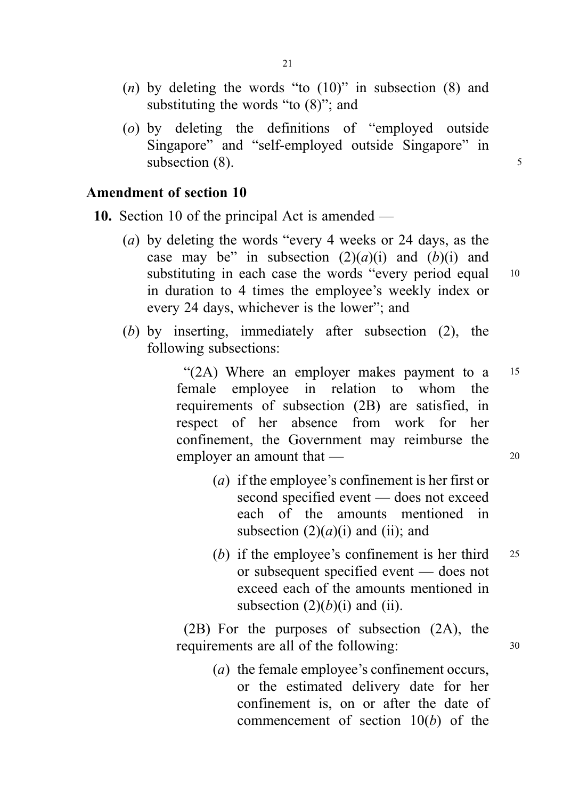- (*n*) by deleting the words "to  $(10)$ " in subsection  $(8)$  and substituting the words "to (8)"; and
- (o) by deleting the definitions of "employed outside Singapore" and "self-employed outside Singapore" in subsection  $(8)$ .

# Amendment of section 10

10. Section 10 of the principal Act is amended —

- (a) by deleting the words "every 4 weeks or 24 days, as the case may be" in subsection  $(2)(a)(i)$  and  $(b)(i)$  and substituting in each case the words "every period equal 10 in duration to 4 times the employee's weekly index or every 24 days, whichever is the lower"; and
- (b) by inserting, immediately after subsection (2), the following subsections:

"(2A) Where an employer makes payment to a 15 female employee in relation to whom the requirements of subsection (2B) are satisfied, in respect of her absence from work for her confinement, the Government may reimburse the employer an amount that — 20

- (a) if the employee's confinement is her first or second specified event — does not exceed each of the amounts mentioned in subsection  $(2)(a)(i)$  and (ii); and
- (b) if the employee's confinement is her third  $25$ or subsequent specified event — does not exceed each of the amounts mentioned in subsection  $(2)(b)(i)$  and  $(ii)$ .

(2B) For the purposes of subsection (2A), the requirements are all of the following:  $30$ 

> (a) the female employee's confinement occurs, or the estimated delivery date for her confinement is, on or after the date of commencement of section  $10(b)$  of the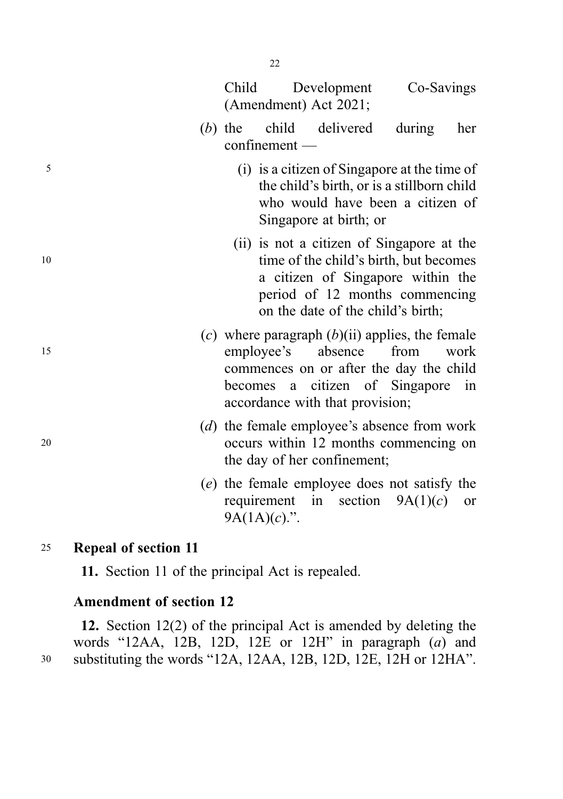|    | (Amendment) Act 2021; |           |                                     |                                            |                                                                                                                                                            |      |
|----|-----------------------|-----------|-------------------------------------|--------------------------------------------|------------------------------------------------------------------------------------------------------------------------------------------------------------|------|
|    |                       | $(b)$ the | $\mathop{\rm confinement}\nolimits$ | child delivered                            | during                                                                                                                                                     | her  |
| 5  |                       |           |                                     | Singapore at birth; or                     | (i) is a citizen of Singapore at the time of<br>the child's birth, or is a stillborn child<br>who would have been a citizen of                             |      |
| 10 |                       |           |                                     | on the date of the child's birth;          | (ii) is not a citizen of Singapore at the<br>time of the child's birth, but becomes<br>a citizen of Singapore within the<br>period of 12 months commencing |      |
| 15 |                       |           | employee's                          | absence<br>accordance with that provision; | (c) where paragraph $(b)(ii)$ applies, the female<br>from<br>commences on or after the day the child<br>becomes a citizen of Singapore in                  | work |
| 20 |                       |           |                                     | the day of her confinement;                | (d) the female employee's absence from work<br>occurs within 12 months commencing on                                                                       |      |
|    |                       |           |                                     |                                            | (e) the female employee does not satisfy the<br>requirement in section $9A(1)(c)$                                                                          | or   |

# <sup>25</sup> Repeal of section 11

11. Section 11 of the principal Act is repealed.

# Amendment of section 12

12. Section 12(2) of the principal Act is amended by deleting the words "12AA, 12B, 12D, 12E or 12H" in paragraph  $(a)$  and <sup>30</sup> substituting the words "12A, 12AA, 12B, 12D, 12E, 12H or 12HA".

 $9A(1A)(c)$ .".

Child Development Co-Savings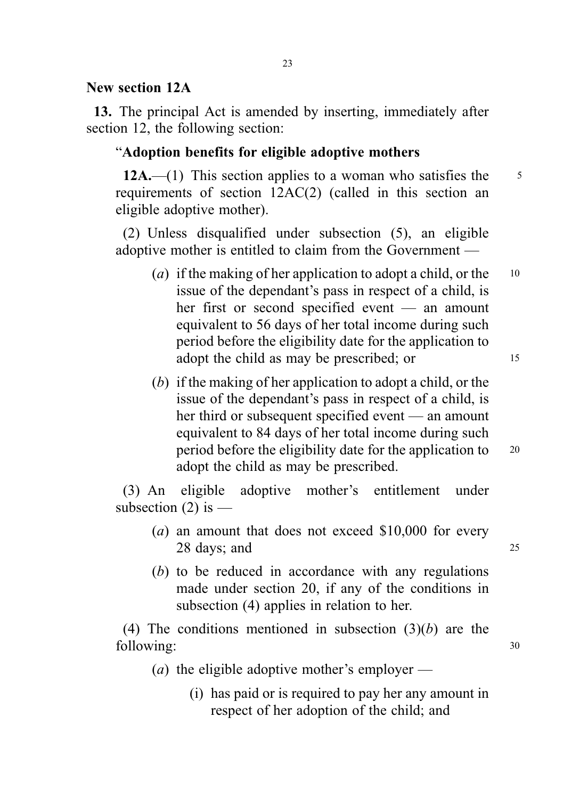#### New section 12A

13. The principal Act is amended by inserting, immediately after section 12, the following section:

#### "Adoption benefits for eligible adoptive mothers

12A.—(1) This section applies to a woman who satisfies the  $\frac{5}{5}$ requirements of section 12AC(2) (called in this section an eligible adoptive mother).

(2) Unless disqualified under subsection (5), an eligible adoptive mother is entitled to claim from the Government —

- (a) if the making of her application to adopt a child, or the  $10$ issue of the dependant's pass in respect of a child, is her first or second specified event — an amount equivalent to 56 days of her total income during such period before the eligibility date for the application to adopt the child as may be prescribed; or 15
- (b) if the making of her application to adopt a child, or the issue of the dependant's pass in respect of a child, is her third or subsequent specified event — an amount equivalent to 84 days of her total income during such period before the eligibility date for the application to <sup>20</sup> adopt the child as may be prescribed.

(3) An eligible adoptive mother's entitlement under subsection  $(2)$  is —

- (a) an amount that does not exceed \$10,000 for every 28 days; and 25
- (b) to be reduced in accordance with any regulations made under section 20, if any of the conditions in subsection (4) applies in relation to her.

(4) The conditions mentioned in subsection  $(3)(b)$  are the following: 30

- (*a*) the eligible adoptive mother's employer
	- (i) has paid or is required to pay her any amount in respect of her adoption of the child; and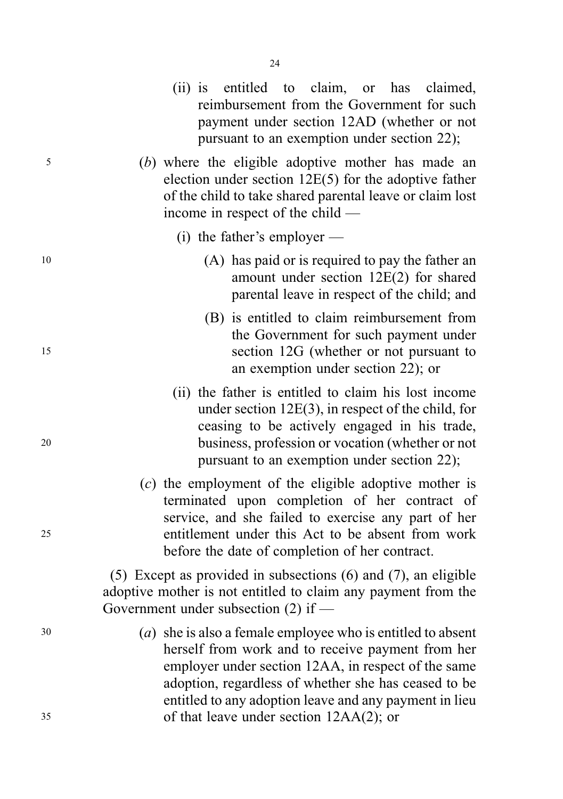- 
- <sup>5</sup> (b) where the eligible adoptive mother has made an election under section 12E(5) for the adoptive father of the child to take shared parental leave or claim lost income in respect of the child —

(ii) is entitled to claim, or has claimed, reimbursement from the Government for such payment under section 12AD (whether or not pursuant to an exemption under section 22);

- (i) the father's employer —
- <sup>10</sup> (A) has paid or is required to pay the father an amount under section 12E(2) for shared parental leave in respect of the child; and
- (B) is entitled to claim reimbursement from the Government for such payment under <sup>15</sup> section 12G (whether or not pursuant to an exemption under section 22); or
- (ii) the father is entitled to claim his lost income under section 12E(3), in respect of the child, for ceasing to be actively engaged in his trade, <sup>20</sup> business, profession or vocation (whether or not pursuant to an exemption under section 22);
- (c) the employment of the eligible adoptive mother is terminated upon completion of her contract of service, and she failed to exercise any part of her <sup>25</sup> entitlement under this Act to be absent from work before the date of completion of her contract.

(5) Except as provided in subsections (6) and (7), an eligible adoptive mother is not entitled to claim any payment from the Government under subsection (2) if —

<sup>30</sup> (a) she is also a female employee who is entitled to absent herself from work and to receive payment from her employer under section 12AA, in respect of the same adoption, regardless of whether she has ceased to be entitled to any adoption leave and any payment in lieu <sup>35</sup> of that leave under section 12AA(2); or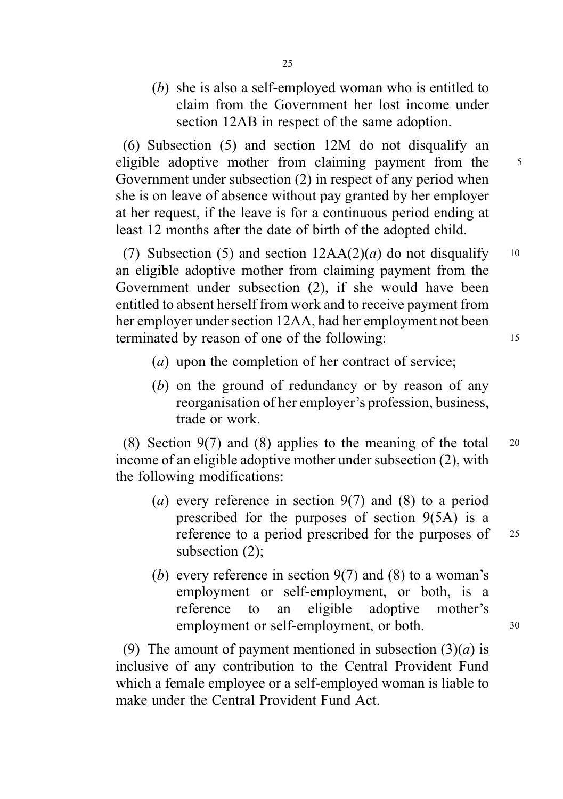(b) she is also a self-employed woman who is entitled to claim from the Government her lost income under section 12AB in respect of the same adoption.

(6) Subsection (5) and section 12M do not disqualify an eligible adoptive mother from claiming payment from the 5 Government under subsection (2) in respect of any period when she is on leave of absence without pay granted by her employer at her request, if the leave is for a continuous period ending at least 12 months after the date of birth of the adopted child.

(7) Subsection (5) and section  $12AA(2)(a)$  do not disqualify 10 an eligible adoptive mother from claiming payment from the Government under subsection (2), if she would have been entitled to absent herself from work and to receive payment from her employer under section 12AA, had her employment not been terminated by reason of one of the following: 15

- (a) upon the completion of her contract of service;
- (b) on the ground of redundancy or by reason of any reorganisation of her employer's profession, business, trade or work.

(8) Section 9(7) and (8) applies to the meaning of the total  $20$ income of an eligible adoptive mother under subsection (2), with the following modifications:

- (a) every reference in section  $9(7)$  and (8) to a period prescribed for the purposes of section 9(5A) is a reference to a period prescribed for the purposes of 25 subsection (2);
- (b) every reference in section  $9(7)$  and (8) to a woman's employment or self-employment, or both, is a reference to an eligible adoptive mother's employment or self-employment, or both. 30

(9) The amount of payment mentioned in subsection  $(3)(a)$  is inclusive of any contribution to the Central Provident Fund which a female employee or a self-employed woman is liable to make under the Central Provident Fund Act.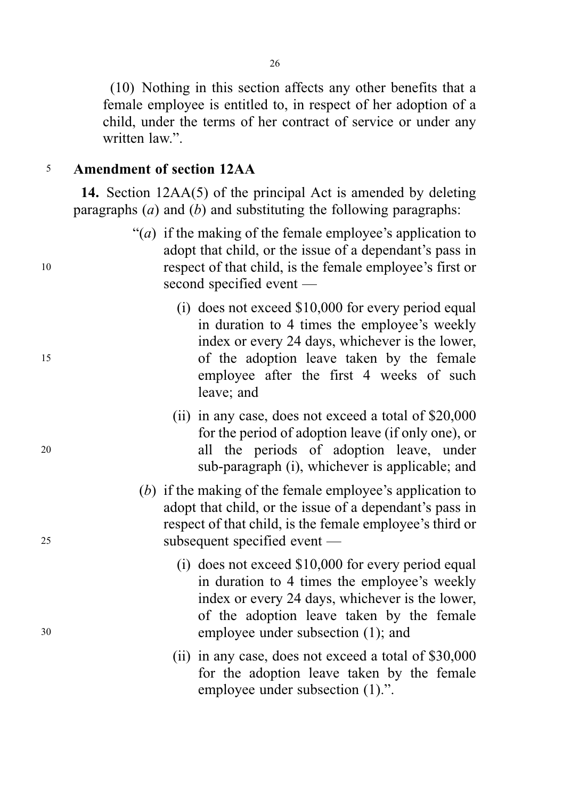(10) Nothing in this section affects any other benefits that a female employee is entitled to, in respect of her adoption of a child, under the terms of her contract of service or under any written law."

# <sup>5</sup> Amendment of section 12AA

14. Section 12AA(5) of the principal Act is amended by deleting paragraphs  $(a)$  and  $(b)$  and substituting the following paragraphs:

- "(a) if the making of the female employee's application to adopt that child, or the issue of a dependant's pass in <sup>10</sup> respect of that child, is the female employee's first or second specified event —
- (i) does not exceed \$10,000 for every period equal in duration to 4 times the employee's weekly index or every 24 days, whichever is the lower, <sup>15</sup> of the adoption leave taken by the female employee after the first 4 weeks of such leave; and
- (ii) in any case, does not exceed a total of \$20,000 for the period of adoption leave (if only one), or <sup>20</sup> all the periods of adoption leave, under sub-paragraph (i), whichever is applicable; and
- (b) if the making of the female employee's application to adopt that child, or the issue of a dependant's pass in respect of that child, is the female employee's third or <sup>25</sup> subsequent specified event —
- (i) does not exceed \$10,000 for every period equal in duration to 4 times the employee's weekly index or every 24 days, whichever is the lower, of the adoption leave taken by the female <sup>30</sup> employee under subsection (1); and
	- (ii) in any case, does not exceed a total of \$30,000 for the adoption leave taken by the female employee under subsection (1).".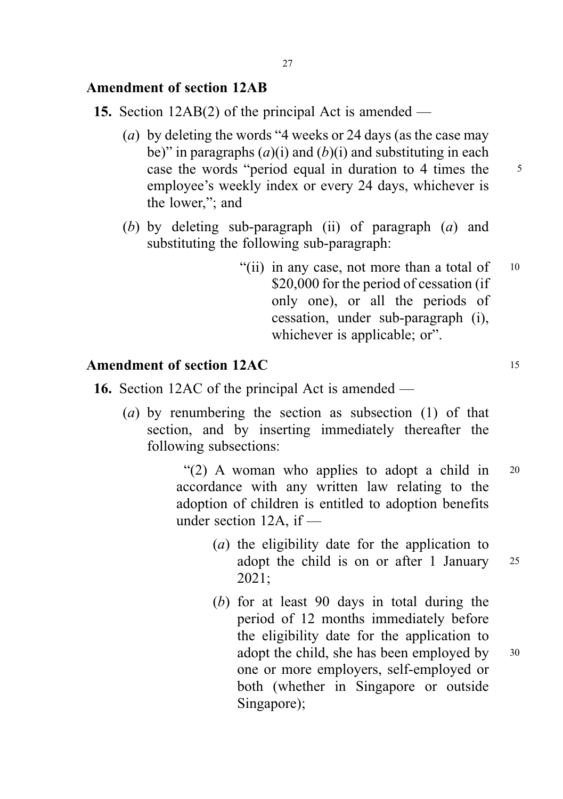# Amendment of section 12AB

- 15. Section 12AB(2) of the principal Act is amended
	- (a) by deleting the words "4 weeks or 24 days (as the case may be)" in paragraphs  $(a)(i)$  and  $(b)(i)$  and substituting in each case the words "period equal in duration to 4 times the 5 employee's weekly index or every 24 days, whichever is the lower,"; and
	- (b) by deleting sub-paragraph (ii) of paragraph  $(a)$  and substituting the following sub-paragraph:
		- "(ii) in any case, not more than a total of  $10$ \$20,000 for the period of cessation (if only one), or all the periods of cessation, under sub-paragraph (i), whichever is applicable; or".

# Amendment of section 12AC 15

- 16. Section 12AC of the principal Act is amended
	- (a) by renumbering the section as subsection (1) of that section, and by inserting immediately thereafter the following subsections:

"(2) A woman who applies to adopt a child in <sup>20</sup> accordance with any written law relating to the adoption of children is entitled to adoption benefits under section 12A, if —

- (a) the eligibility date for the application to adopt the child is on or after 1 January <sup>25</sup> 2021;
- (b) for at least 90 days in total during the period of 12 months immediately before the eligibility date for the application to adopt the child, she has been employed by 30 one or more employers, self-employed or both (whether in Singapore or outside Singapore);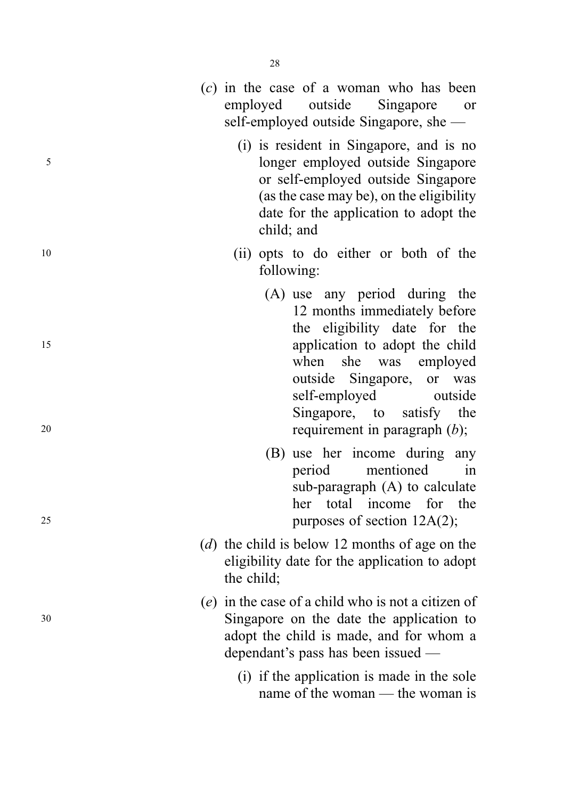|          | Singapore<br>employed outside<br><sub>or</sub><br>self-employed outside Singapore, she —                                                                                                                                                                                                       |
|----------|------------------------------------------------------------------------------------------------------------------------------------------------------------------------------------------------------------------------------------------------------------------------------------------------|
| 5        | (i) is resident in Singapore, and is no<br>longer employed outside Singapore<br>or self-employed outside Singapore<br>(as the case may be), on the eligibility<br>date for the application to adopt the<br>child; and                                                                          |
| 10       | (ii) opts to do either or both of the<br>following:                                                                                                                                                                                                                                            |
| 15<br>20 | (A) use any period during the<br>12 months immediately before<br>the eligibility date for the<br>application to adopt the child<br>when<br>she was employed<br>outside Singapore, or<br>was<br>self-employed<br>outside<br>Singapore, to<br>the<br>satisfy<br>requirement in paragraph $(b)$ ; |
| 25       | (B) use her income during any<br>period<br>mentioned<br>in<br>sub-paragraph $(A)$ to calculate<br>her total income for the<br>purposes of section 12A(2);                                                                                                                                      |
|          | (d) the child is below 12 months of age on the<br>eligibility date for the application to adopt<br>the child;                                                                                                                                                                                  |
| 30       | (e) in the case of a child who is not a citizen of<br>Singapore on the date the application to<br>adopt the child is made, and for whom a<br>dependant's pass has been issued —                                                                                                                |
|          | (i) if the application is made in the sole<br>name of the woman — the woman is                                                                                                                                                                                                                 |

( c) in the case of a woman who has been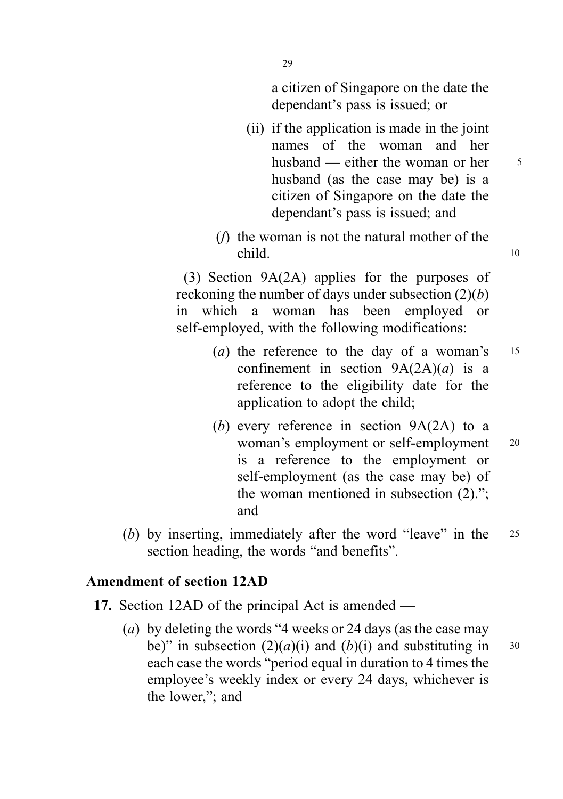a citizen of Singapore on the date the dependant's pass is issued; or

- (ii) if the application is made in the joint names of the woman and her husband — either the woman or her  $5<sub>5</sub>$ husband (as the case may be) is a citizen of Singapore on the date the dependant's pass is issued; and
- (f) the woman is not the natural mother of the child. 10

(3) Section 9A(2A) applies for the purposes of reckoning the number of days under subsection  $(2)(b)$ in which a woman has been employed or self-employed, with the following modifications:

- (*a*) the reference to the day of a woman's  $15$ confinement in section  $9A(2A)(a)$  is a reference to the eligibility date for the application to adopt the child;
- (b) every reference in section  $9A(2A)$  to a woman's employment or self-employment 20 is a reference to the employment or self-employment (as the case may be) of the woman mentioned in subsection (2)."; and
- (b) by inserting, immediately after the word "leave" in the 25 section heading, the words "and benefits".

# Amendment of section 12AD

- 17. Section 12AD of the principal Act is amended
	- (a) by deleting the words "4 weeks or 24 days (as the case may be)" in subsection  $(2)(a)(i)$  and  $(b)(i)$  and substituting in 30 each case the words "period equal in duration to 4 times the employee's weekly index or every 24 days, whichever is the lower,"; and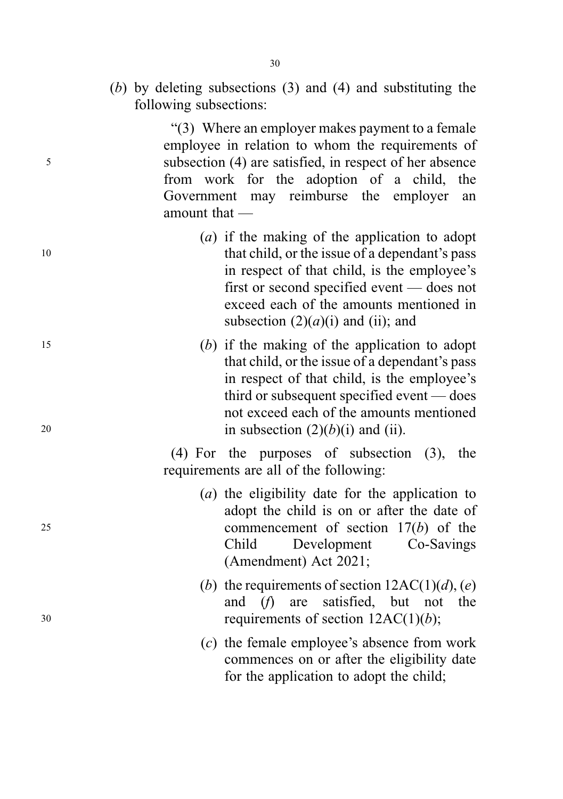(b) by deleting subsections (3) and (4) and substituting the following subsections:

"(3) Where an employer makes payment to a female employee in relation to whom the requirements of <sup>5</sup> subsection (4) are satisfied, in respect of her absence from work for the adoption of a child, the Government may reimburse the employer an amount that —

- (a) if the making of the application to adopt 10 that child, or the issue of a dependant's pass in respect of that child, is the employee's first or second specified event — does not exceed each of the amounts mentioned in subsection  $(2)(a)(i)$  and (ii); and
- <sup>15</sup> (b) if the making of the application to adopt that child, or the issue of a dependant's pass in respect of that child, is the employee's third or subsequent specified event — does not exceed each of the amounts mentioned 20 in subsection  $(2)(b)(i)$  and (ii).

(4) For the purposes of subsection (3), the requirements are all of the following:

- (a) the eligibility date for the application to adopt the child is on or after the date of <sup>25</sup> commencement of section 17(b) of the Child Development Co-Savings (Amendment) Act 2021;
- (b) the requirements of section  $12AC(1)(d)$ , (e) and (f) are satisfied, but not the  $30$  requirements of section  $12AC(1)(b)$ ;
	- (c) the female employee's absence from work commences on or after the eligibility date for the application to adopt the child;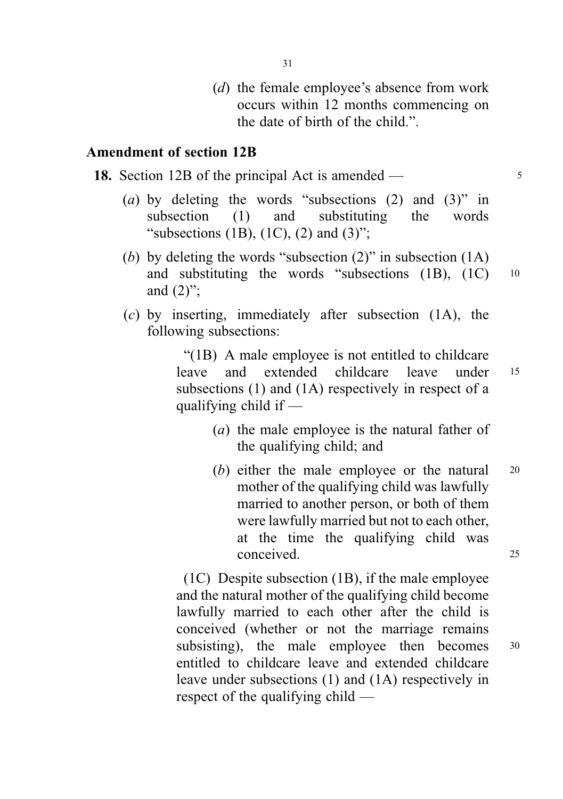(*d*) the female employee's absence from work occurs within 12 months commencing on the date of birth of the child.".

# Amendment of section 12B

|  |  |  |  |  |  | <b>18.</b> Section 12B of the principal Act is amended — |  |
|--|--|--|--|--|--|----------------------------------------------------------|--|
|--|--|--|--|--|--|----------------------------------------------------------|--|

- (a) by deleting the words "subsections  $(2)$  and  $(3)$ " in subsection (1) and substituting the words "subsections  $(1B)$ ,  $(1C)$ ,  $(2)$  and  $(3)$ ";
- (b) by deleting the words "subsection (2)" in subsection (1A) and substituting the words "subsections (1B), (1C) <sup>10</sup> and  $(2)$ ":
- (c) by inserting, immediately after subsection (1A), the following subsections:

"(1B) A male employee is not entitled to childcare leave and extended childcare leave under <sup>15</sup> subsections (1) and (1A) respectively in respect of a qualifying child if —

- (a) the male employee is the natural father of the qualifying child; and
- (b) either the male employee or the natural 20 mother of the qualifying child was lawfully married to another person, or both of them were lawfully married but not to each other, at the time the qualifying child was conceived. 25

(1C) Despite subsection (1B), if the male employee and the natural mother of the qualifying child become lawfully married to each other after the child is conceived (whether or not the marriage remains subsisting), the male employee then becomes  $30$ entitled to childcare leave and extended childcare leave under subsections (1) and (1A) respectively in respect of the qualifying child —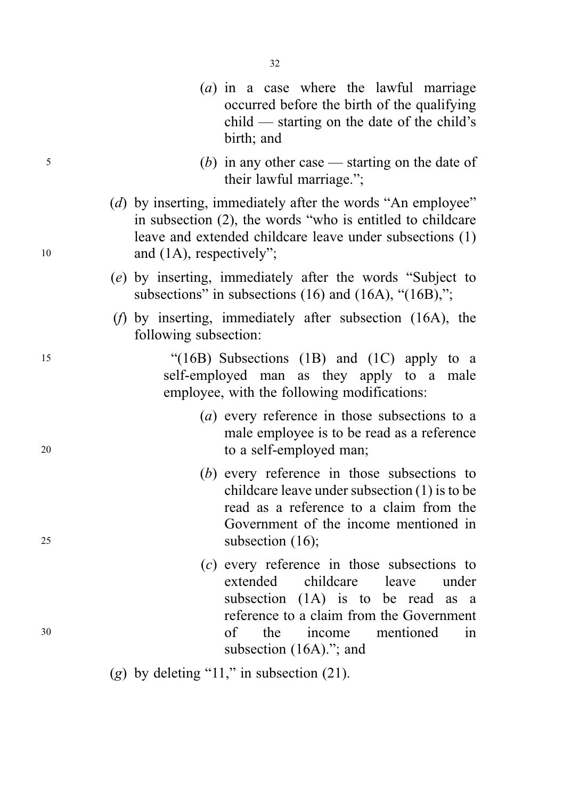- (a) in a case where the lawful marriage occurred before the birth of the qualifying child — starting on the date of the child's birth; and
- <sup>5</sup> (b) in any other case starting on the date of their lawful marriage.";
- (d) by inserting, immediately after the words "An employee" in subsection (2), the words "who is entitled to childcare leave and extended childcare leave under subsections (1) 10 and (1A), respectively";
	- (e) by inserting, immediately after the words "Subject to subsections" in subsections  $(16)$  and  $(16A)$ , " $(16B)$ ,";
	- (f) by inserting, immediately after subsection (16A), the following subsection:

<sup>15</sup> "(16B) Subsections (1B) and (1C) apply to a self-employed man as they apply to a male employee, with the following modifications:

- (a) every reference in those subsections to a male employee is to be read as a reference <sup>20</sup> to a self-employed man;
- (b) every reference in those subsections to childcare leave under subsection (1) is to be read as a reference to a claim from the Government of the income mentioned in <sup>25</sup> subsection (16);
- (c) every reference in those subsections to extended childcare leave under subsection (1A) is to be read as a reference to a claim from the Government <sup>30</sup> of the income mentioned in subsection (16A).": and
	- (g) by deleting "11," in subsection  $(21)$ .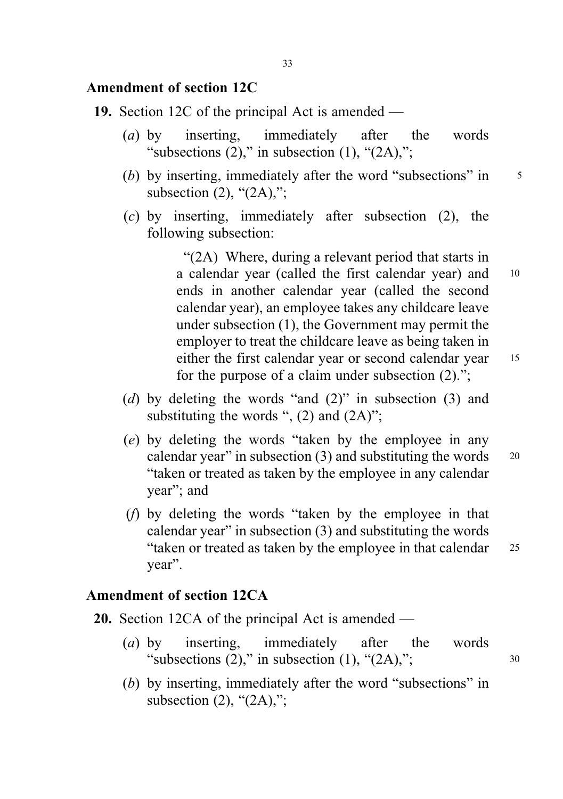# Amendment of section 12C

- 19. Section 12C of the principal Act is amended
	- (a) by inserting, immediately after the words "subsections  $(2)$ ," in subsection  $(1)$ , " $(2A)$ ,";
	- (b) by inserting, immediately after the word "subsections" in  $\frac{5}{5}$ subsection  $(2)$ , " $(2A)$ ,";
	- (c) by inserting, immediately after subsection (2), the following subsection:

"(2A) Where, during a relevant period that starts in a calendar year (called the first calendar year) and <sup>10</sup> ends in another calendar year (called the second calendar year), an employee takes any childcare leave under subsection (1), the Government may permit the employer to treat the childcare leave as being taken in either the first calendar year or second calendar year 15 for the purpose of a claim under subsection (2).";

- (d) by deleting the words "and  $(2)$ " in subsection  $(3)$  and substituting the words ",  $(2)$  and  $(2A)$ ";
- (e) by deleting the words "taken by the employee in any calendar year" in subsection  $(3)$  and substituting the words  $20$ "taken or treated as taken by the employee in any calendar year"; and
- (f) by deleting the words "taken by the employee in that calendar year" in subsection (3) and substituting the words "taken or treated as taken by the employee in that calendar <sup>25</sup> year".

# Amendment of section 12CA

- 20. Section 12CA of the principal Act is amended
	- (a) by inserting, immediately after the words "subsections  $(2)$ ," in subsection  $(1)$ , " $(2A)$ ,";  $30$
	- (b) by inserting, immediately after the word "subsections" in subsection  $(2)$ , " $(2A)$ ,";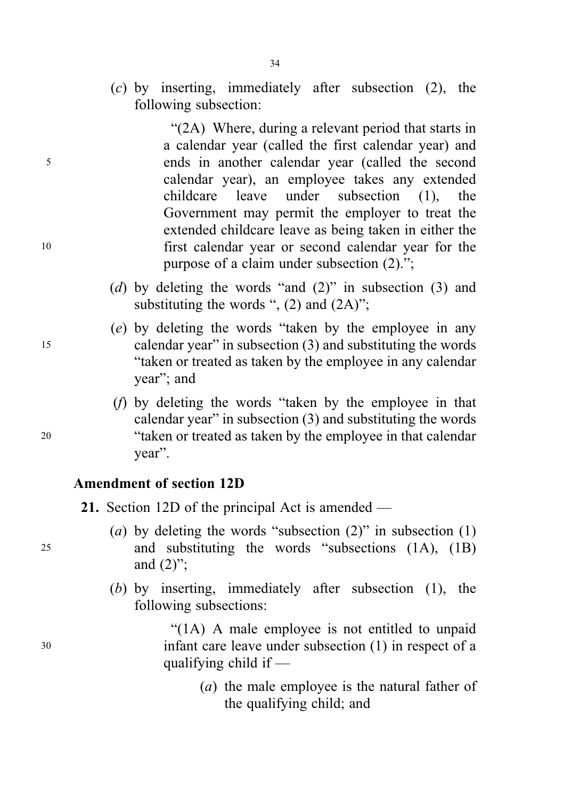(c) by inserting, immediately after subsection (2), the following subsection:

"(2A) Where, during a relevant period that starts in a calendar year (called the first calendar year) and <sup>5</sup> ends in another calendar year (called the second calendar year), an employee takes any extended childcare leave under subsection (1), the Government may permit the employer to treat the extended childcare leave as being taken in either the <sup>10</sup> first calendar year or second calendar year for the purpose of a claim under subsection (2).";

- (d) by deleting the words "and  $(2)$ " in subsection  $(3)$  and substituting the words ",  $(2)$  and  $(2A)$ ";
- (e) by deleting the words "taken by the employee in any <sup>15</sup> calendar year" in subsection (3) and substituting the words "taken or treated as taken by the employee in any calendar year"; and
- (f) by deleting the words "taken by the employee in that calendar year" in subsection (3) and substituting the words <sup>20</sup> "taken or treated as taken by the employee in that calendar year".

# Amendment of section 12D

- 21. Section 12D of the principal Act is amended —
- (a) by deleting the words "subsection  $(2)$ " in subsection  $(1)$ <sup>25</sup> and substituting the words "subsections (1A), (1B) and  $(2)$ ";
	- (b) by inserting, immediately after subsection (1), the following subsections:

"(1A) A male employee is not entitled to unpaid <sup>30</sup> infant care leave under subsection (1) in respect of a qualifying child if —

> (a) the male employee is the natural father of the qualifying child; and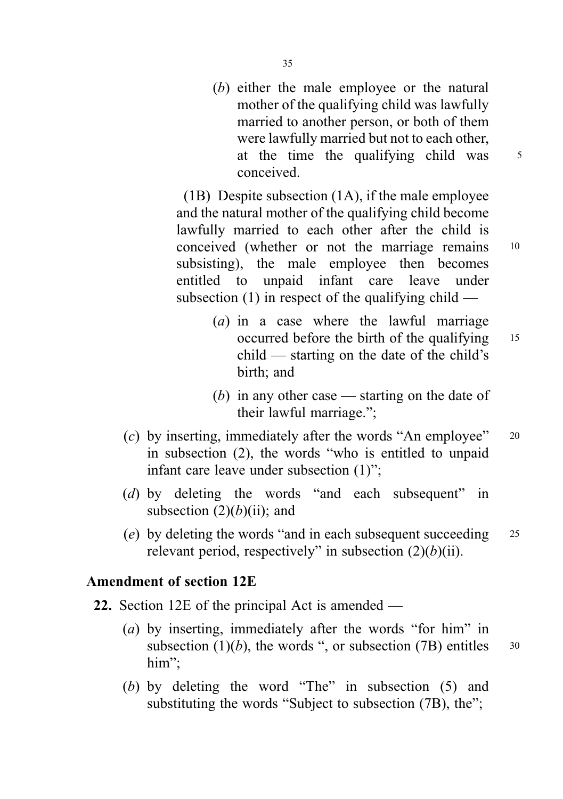(b) either the male employee or the natural mother of the qualifying child was lawfully married to another person, or both of them were lawfully married but not to each other, at the time the qualifying child was <sup>5</sup> conceived.

(1B) Despite subsection (1A), if the male employee and the natural mother of the qualifying child become lawfully married to each other after the child is conceived (whether or not the marriage remains <sup>10</sup> subsisting), the male employee then becomes entitled to unpaid infant care leave under subsection  $(1)$  in respect of the qualifying child —

- (a) in a case where the lawful marriage occurred before the birth of the qualifying 15 child — starting on the date of the child's birth; and
- (b) in any other case starting on the date of their lawful marriage.";
- (c) by inserting, immediately after the words "An employee"  $20$ in subsection (2), the words "who is entitled to unpaid infant care leave under subsection (1)";
- (d) by deleting the words "and each subsequent" in subsection  $(2)(b)(ii)$ ; and
- (e) by deleting the words "and in each subsequent succeeding  $25$ relevant period, respectively" in subsection  $(2)(b)(ii)$ .

# Amendment of section 12E

- 22. Section 12E of the principal Act is amended
	- (a) by inserting, immediately after the words "for him" in subsection (1)(b), the words ", or subsection (7B) entitles  $\frac{30}{2}$ him";
	- (b) by deleting the word "The" in subsection (5) and substituting the words "Subject to subsection (7B), the";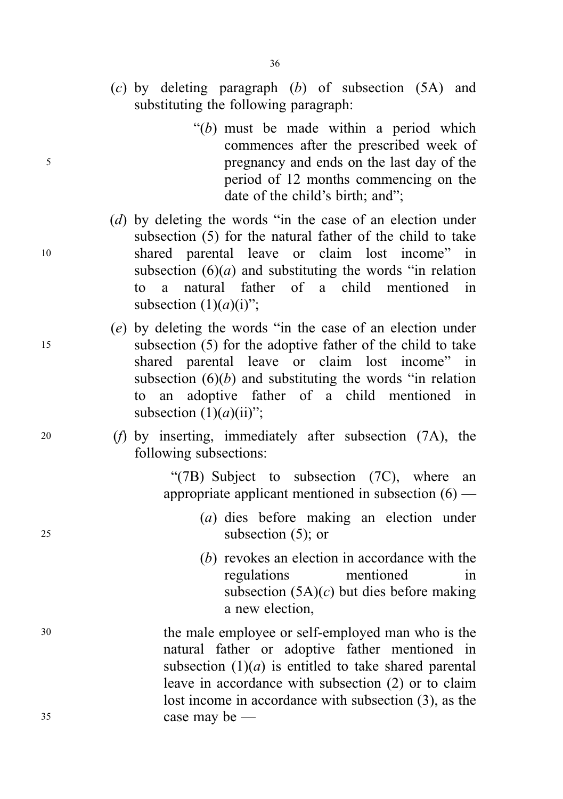- (c) by deleting paragraph (b) of subsection (5A) and substituting the following paragraph:
- " $(b)$  must be made within a period which commences after the prescribed week of <sup>5</sup> pregnancy and ends on the last day of the period of 12 months commencing on the date of the child's birth; and";
- (d) by deleting the words "in the case of an election under subsection (5) for the natural father of the child to take <sup>10</sup> shared parental leave or claim lost income" in subsection  $(6)(a)$  and substituting the words "in relation" to a natural father of a child mentioned in subsection  $(1)(a)(i)$ ";
- (e) by deleting the words "in the case of an election under <sup>15</sup> subsection (5) for the adoptive father of the child to take shared parental leave or claim lost income" in subsection  $(6)(b)$  and substituting the words "in relation" to an adoptive father of a child mentioned in subsection  $(1)(a)(ii)$ ";
- <sup>20</sup> (f) by inserting, immediately after subsection (7A), the following subsections:

"(7B) Subject to subsection (7C), where an appropriate applicant mentioned in subsection (6) —

- (a) dies before making an election under <sup>25</sup> subsection (5); or
	- (b) revokes an election in accordance with the regulations mentioned in subsection  $(5A)(c)$  but dies before making a new election,
- <sup>30</sup> the male employee or self-employed man who is the natural father or adoptive father mentioned in subsection  $(1)(a)$  is entitled to take shared parental leave in accordance with subsection (2) or to claim lost income in accordance with subsection (3), as the <sup>35</sup> case may be —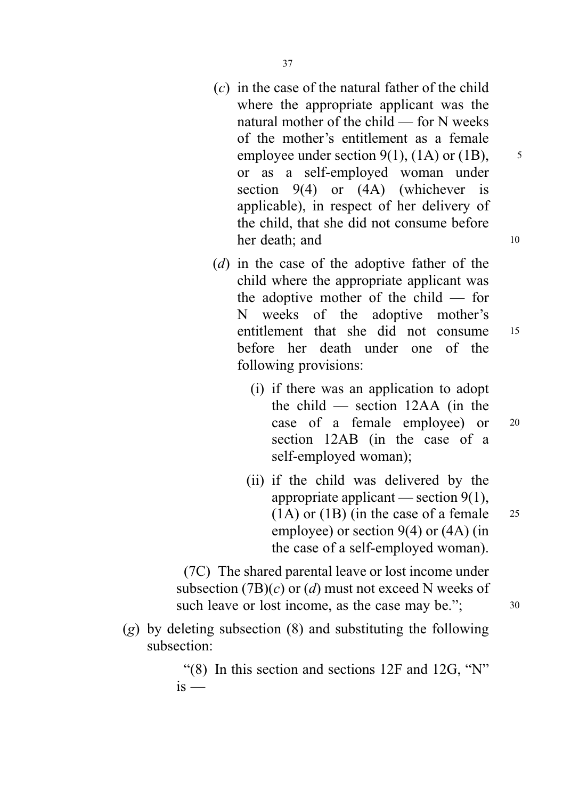- $(c)$  in the case of the natural father of the child where the appropriate applicant was the natural mother of the child — for N weeks of the mother's entitlement as a female employee under section 9(1), (1A) or (1B),  $\frac{5}{5}$ or as a self-employed woman under section 9(4) or (4A) (whichever is applicable), in respect of her delivery of the child, that she did not consume before her death: and 10
- (d) in the case of the adoptive father of the child where the appropriate applicant was the adoptive mother of the child — for N weeks of the adoptive mother's entitlement that she did not consume <sup>15</sup> before her death under one of the following provisions:
	- (i) if there was an application to adopt the child — section 12AA (in the case of a female employee) or <sup>20</sup> section 12AB (in the case of a self-employed woman);
	- (ii) if the child was delivered by the appropriate applicant — section  $9(1)$ ,  $(1)$  or  $(1)$  (in the case of a female 25 employee) or section 9(4) or (4A) (in the case of a self-employed woman).

(7C) The shared parental leave or lost income under subsection  $(7B)(c)$  or  $(d)$  must not exceed N weeks of such leave or lost income, as the case may be.";  $30$ 

 $(g)$  by deleting subsection  $(8)$  and substituting the following subsection:

> "(8) In this section and sections 12F and 12G, "N"  $i<sub>s</sub>$  —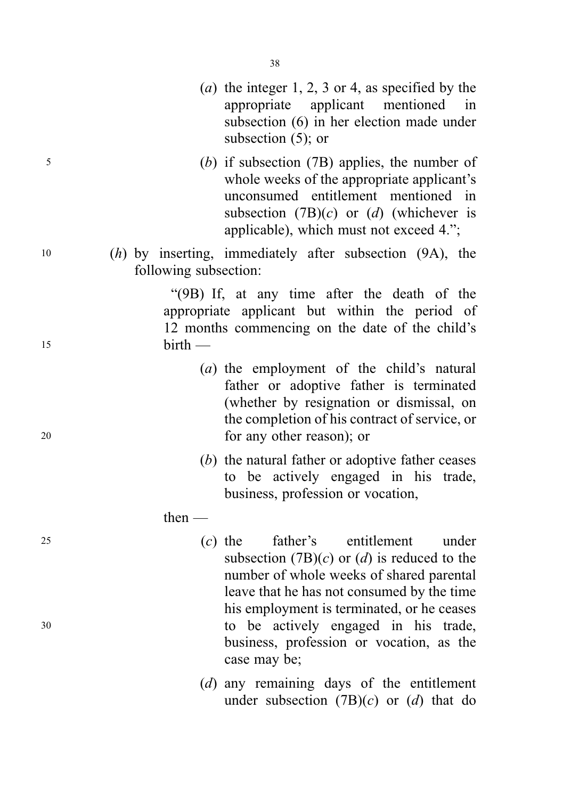- (*a*) the integer 1, 2, 3 or 4, as specified by the appropriate applicant mentioned in subsection (6) in her election made under subsection (5); or
- <sup>5</sup> (b) if subsection (7B) applies, the number of whole weeks of the appropriate applicant's unconsumed entitlement mentioned in subsection  $(7B)(c)$  or  $(d)$  (whichever is applicable), which must not exceed 4.";
- <sup>10</sup> (h) by inserting, immediately after subsection (9A), the following subsection:

"(9B) If, at any time after the death of the appropriate applicant but within the period of 12 months commencing on the date of the child's <sup>15</sup> birth —

- (a) the employment of the child's natural father or adoptive father is terminated (whether by resignation or dismissal, on the completion of his contract of service, or <sup>20</sup> for any other reason); or
	- (b) the natural father or adoptive father ceases to be actively engaged in his trade, business, profession or vocation,
	- then —
- <sup>25</sup> (c) the father's entitlement under subsection  $(7B)(c)$  or  $(d)$  is reduced to the number of whole weeks of shared parental leave that he has not consumed by the time his employment is terminated, or he ceases <sup>30</sup> to be actively engaged in his trade, business, profession or vocation, as the case may be;
	- (d) any remaining days of the entitlement under subsection  $(7B)(c)$  or  $(d)$  that do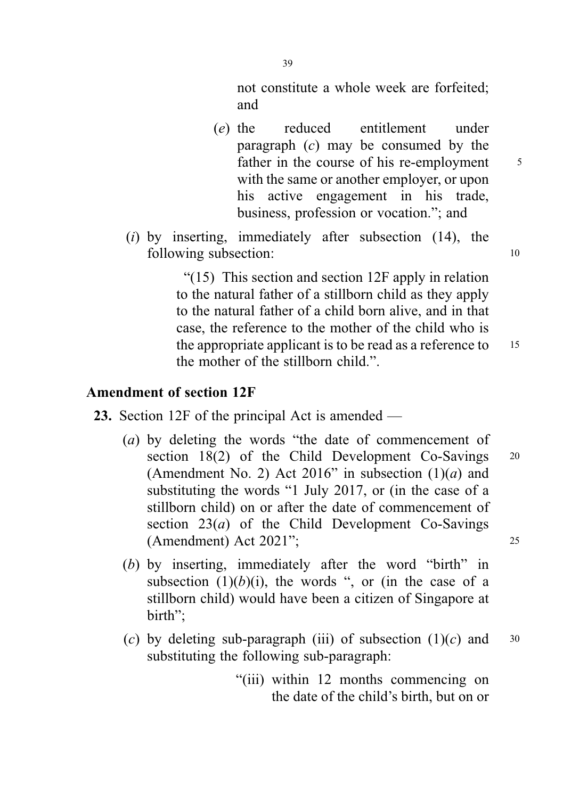not constitute a whole week are forfeited; and

- (e) the reduced entitlement under paragraph  $(c)$  may be consumed by the father in the course of his re-employment 5 with the same or another employer, or upon his active engagement in his trade, business, profession or vocation."; and
- (i) by inserting, immediately after subsection  $(14)$ , the following subsection: 10

"(15) This section and section 12F apply in relation to the natural father of a stillborn child as they apply to the natural father of a child born alive, and in that case, the reference to the mother of the child who is the appropriate applicant is to be read as a reference to  $15$ the mother of the stillborn child.".

### Amendment of section 12F

- 23. Section 12F of the principal Act is amended
	- (a) by deleting the words "the date of commencement of section 18(2) of the Child Development Co-Savings 20 (Amendment No. 2) Act 2016" in subsection  $(1)(a)$  and substituting the words "1 July 2017, or (in the case of a stillborn child) on or after the date of commencement of section  $23(a)$  of the Child Development Co-Savings (Amendment) Act 2021"; <sup>25</sup>
	- (b) by inserting, immediately after the word "birth" in subsection  $(1)(b)(i)$ , the words ", or (in the case of a stillborn child) would have been a citizen of Singapore at birth";
	- (c) by deleting sub-paragraph (iii) of subsection  $(1)(c)$  and 30 substituting the following sub-paragraph:
		- "(iii) within 12 months commencing on the date of the child's birth, but on or

39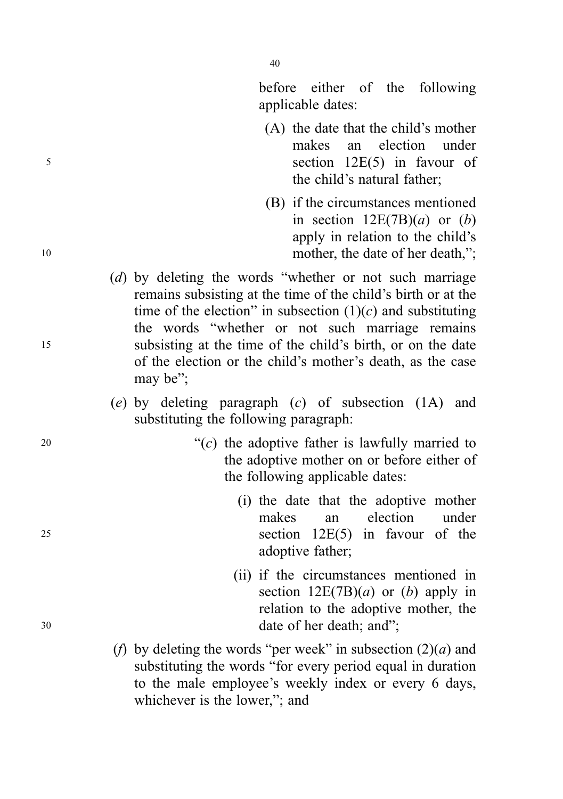before either of the following applicable dates:

- (A) the date that the child's mother makes an election under <sup>5</sup> section 12E(5) in favour of the child's natural father;
- (B) if the circumstances mentioned in section  $12E(7B)(a)$  or  $(b)$ apply in relation to the child's 10 mother, the date of her death,";
- (d) by deleting the words "whether or not such marriage remains subsisting at the time of the child's birth or at the time of the election" in subsection  $(1)(c)$  and substituting the words "whether or not such marriage remains <sup>15</sup> subsisting at the time of the child's birth, or on the date of the election or the child's mother's death, as the case may be";
	- (e) by deleting paragraph (c) of subsection (1A) and substituting the following paragraph:
- 20  $\frac{1}{2}$  (c) the adoptive father is lawfully married to the adoptive mother on or before either of the following applicable dates:
- (i) the date that the adoptive mother makes an election under <sup>25</sup> section 12E(5) in favour of the adoptive father;
- (ii) if the circumstances mentioned in section  $12E(7B)(a)$  or (b) apply in relation to the adoptive mother, the <sup>30</sup> date of her death; and";
	- (f) by deleting the words "per week" in subsection  $(2)(a)$  and substituting the words "for every period equal in duration to the male employee's weekly index or every 6 days, whichever is the lower,"; and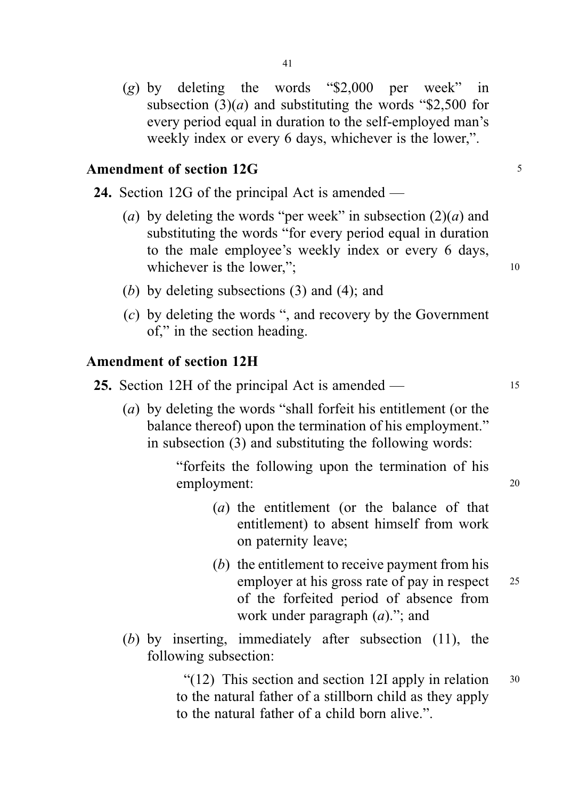(g) by deleting the words "\$2,000 per week" in subsection  $(3)(a)$  and substituting the words "\$2,500 for every period equal in duration to the self-employed man's weekly index or every 6 days, whichever is the lower,".

# Amendment of section 12G <sup>5</sup>

24. Section 12G of the principal Act is amended —

- (a) by deleting the words "per week" in subsection  $(2)(a)$  and substituting the words "for every period equal in duration to the male employee's weekly index or every 6 days, whichever is the lower,"; 10
- (b) by deleting subsections (3) and (4); and
- (c) by deleting the words ", and recovery by the Government of," in the section heading.

### Amendment of section 12H

|  |  |  |  |  | 25. Section 12H of the principal Act is amended — |  |
|--|--|--|--|--|---------------------------------------------------|--|
|--|--|--|--|--|---------------------------------------------------|--|

(a) by deleting the words "shall forfeit his entitlement (or the balance thereof) upon the termination of his employment." in subsection (3) and substituting the following words:

> "forfeits the following upon the termination of his employment: 20

- (a) the entitlement (or the balance of that entitlement) to absent himself from work on paternity leave;
- (b) the entitlement to receive payment from his employer at his gross rate of pay in respect 25 of the forfeited period of absence from work under paragraph  $(a)$ ."; and
- (b) by inserting, immediately after subsection (11), the following subsection:

"(12) This section and section 12I apply in relation  $30$ to the natural father of a stillborn child as they apply to the natural father of a child born alive.".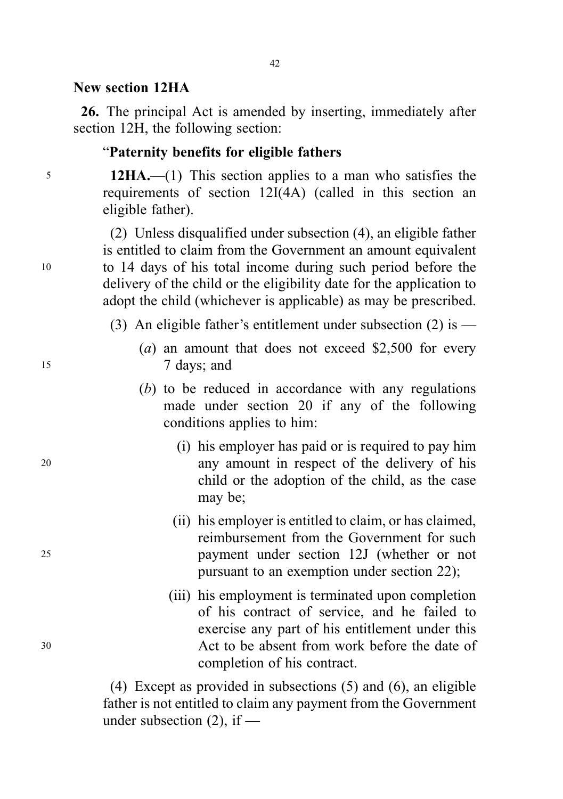#### New section 12HA

26. The principal Act is amended by inserting, immediately after section 12H, the following section:

42

#### "Paternity benefits for eligible fathers

<sup>5</sup> 12HA.—(1) This section applies to a man who satisfies the requirements of section 12I(4A) (called in this section an eligible father).

(2) Unless disqualified under subsection (4), an eligible father is entitled to claim from the Government an amount equivalent <sup>10</sup> to 14 days of his total income during such period before the delivery of the child or the eligibility date for the application to adopt the child (whichever is applicable) as may be prescribed.

- (3) An eligible father's entitlement under subsection  $(2)$  is —
- (a) an amount that does not exceed \$2,500 for every 15 7 days; and
	- (b) to be reduced in accordance with any regulations made under section 20 if any of the following conditions applies to him:
- (i) his employer has paid or is required to pay him <sup>20</sup> any amount in respect of the delivery of his child or the adoption of the child, as the case may be;
- (ii) his employer is entitled to claim, or has claimed, reimbursement from the Government for such <sup>25</sup> payment under section 12J (whether or not pursuant to an exemption under section 22);
- (iii) his employment is terminated upon completion of his contract of service, and he failed to exercise any part of his entitlement under this <sup>30</sup> Act to be absent from work before the date of completion of his contract.

(4) Except as provided in subsections (5) and (6), an eligible father is not entitled to claim any payment from the Government under subsection  $(2)$ , if —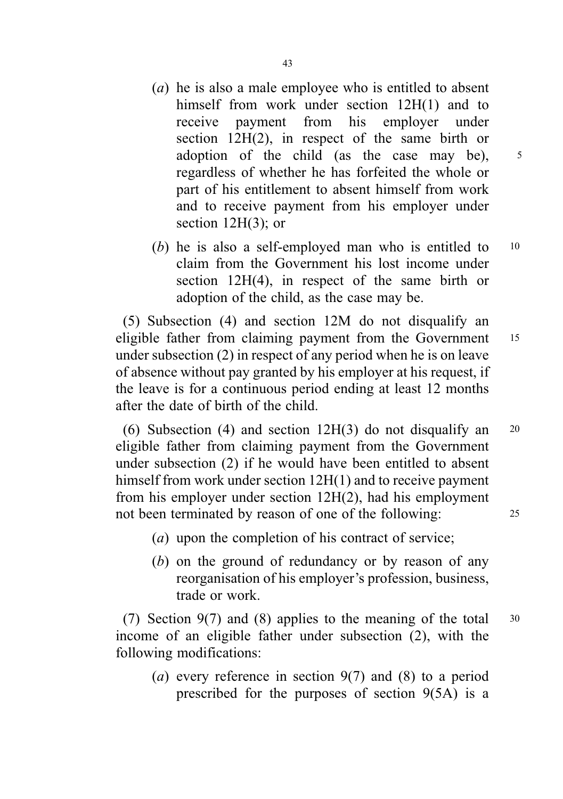- (a) he is also a male employee who is entitled to absent himself from work under section 12H(1) and to receive payment from his employer under section 12H(2), in respect of the same birth or adoption of the child (as the case may be),  $5$ regardless of whether he has forfeited the whole or part of his entitlement to absent himself from work and to receive payment from his employer under section 12H(3); or
- (b) he is also a self-employed man who is entitled to 10 claim from the Government his lost income under section 12H(4), in respect of the same birth or adoption of the child, as the case may be.

(5) Subsection (4) and section 12M do not disqualify an eligible father from claiming payment from the Government 15 under subsection (2) in respect of any period when he is on leave of absence without pay granted by his employer at his request, if the leave is for a continuous period ending at least 12 months after the date of birth of the child.

(6) Subsection (4) and section  $12H(3)$  do not disqualify an  $20$ eligible father from claiming payment from the Government under subsection (2) if he would have been entitled to absent himself from work under section 12H(1) and to receive payment from his employer under section 12H(2), had his employment not been terminated by reason of one of the following: 25

- (a) upon the completion of his contract of service;
- (b) on the ground of redundancy or by reason of any reorganisation of his employer's profession, business, trade or work.

(7) Section  $9(7)$  and (8) applies to the meaning of the total  $30$ income of an eligible father under subsection (2), with the following modifications:

(a) every reference in section  $9(7)$  and (8) to a period prescribed for the purposes of section 9(5A) is a

43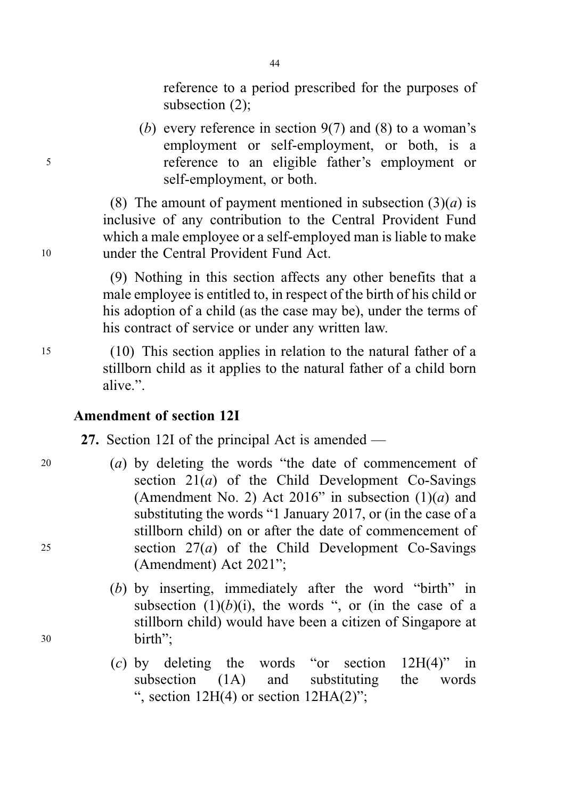reference to a period prescribed for the purposes of subsection (2);

(b) every reference in section  $9(7)$  and (8) to a woman's employment or self-employment, or both, is a <sup>5</sup> reference to an eligible father's employment or self-employment, or both.

(8) The amount of payment mentioned in subsection  $(3)(a)$  is inclusive of any contribution to the Central Provident Fund which a male employee or a self-employed man is liable to make <sup>10</sup> under the Central Provident Fund Act.

> (9) Nothing in this section affects any other benefits that a male employee is entitled to, in respect of the birth of his child or his adoption of a child (as the case may be), under the terms of his contract of service or under any written law.

<sup>15</sup> (10) This section applies in relation to the natural father of a stillborn child as it applies to the natural father of a child born alive.".

# Amendment of section 12I

27. Section 12I of the principal Act is amended —

- <sup>20</sup> (a) by deleting the words "the date of commencement of section  $21(a)$  of the Child Development Co-Savings (Amendment No. 2) Act 2016" in subsection  $(1)(a)$  and substituting the words "1 January 2017, or (in the case of a stillborn child) on or after the date of commencement of 25 section  $27(a)$  of the Child Development Co-Savings (Amendment) Act 2021";
- (b) by inserting, immediately after the word "birth" in subsection  $(1)(b)(i)$ , the words ", or (in the case of a stillborn child) would have been a citizen of Singapore at <sup>30</sup> birth";
	- (c) by deleting the words "or section  $12H(4)$ " in subsection (1A) and substituting the words ", section  $12H(4)$  or section  $12H(A(2)$ ";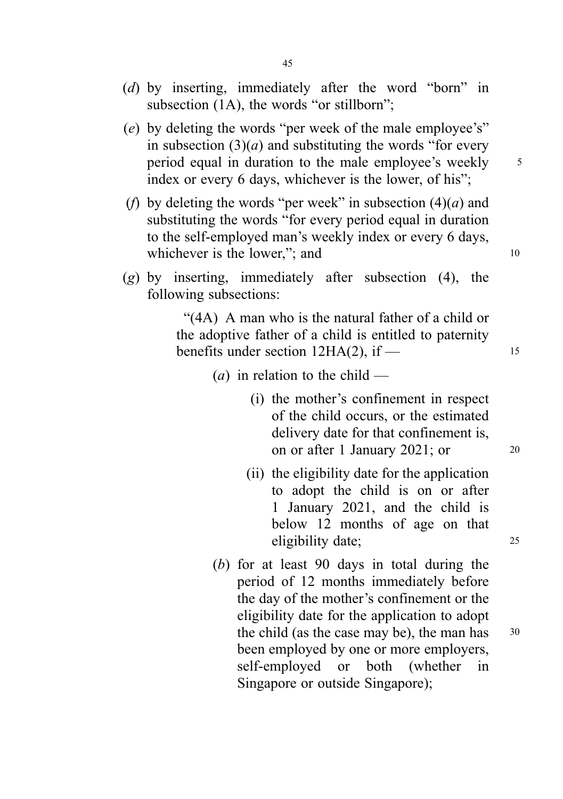- (d) by inserting, immediately after the word "born" in subsection (1A), the words "or stillborn";
- (e) by deleting the words "per week of the male employee's" in subsection  $(3)(a)$  and substituting the words "for every period equal in duration to the male employee's weekly 5 index or every 6 days, whichever is the lower, of his";
- (f) by deleting the words "per week" in subsection  $(4)(a)$  and substituting the words "for every period equal in duration to the self-employed man's weekly index or every 6 days, whichever is the lower,"; and 10
- $(g)$  by inserting, immediately after subsection  $(4)$ , the following subsections:

"(4A) A man who is the natural father of a child or the adoptive father of a child is entitled to paternity benefits under section  $12HA(2)$ , if  $-$  15

- (*a*) in relation to the child
	- (i) the mother's confinement in respect of the child occurs, or the estimated delivery date for that confinement is, on or after 1 January 2021; or 20
	- (ii) the eligibility date for the application to adopt the child is on or after 1 January 2021, and the child is below 12 months of age on that eligibility date; <sup>25</sup>
- (b) for at least 90 days in total during the period of 12 months immediately before the day of the mother's confinement or the eligibility date for the application to adopt the child (as the case may be), the man has  $30$ been employed by one or more employers, self-employed or both (whether in Singapore or outside Singapore);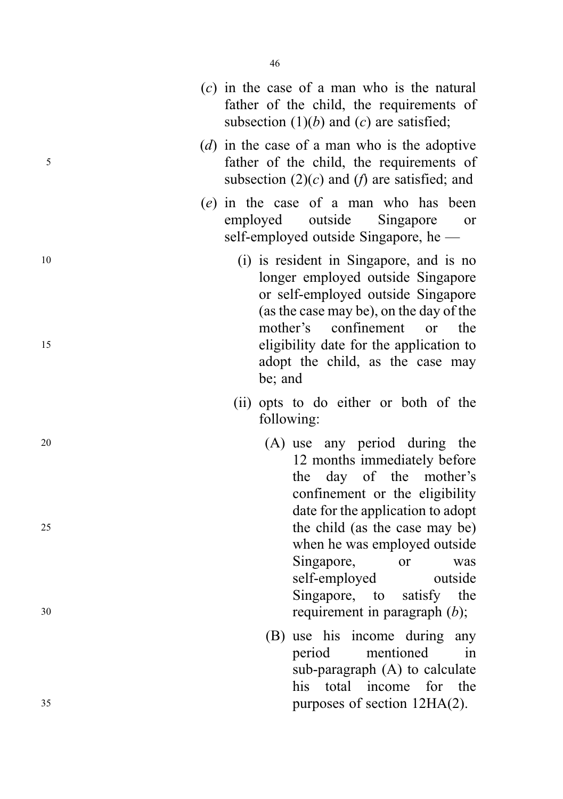|          | $(c)$ in the case of a man who is the natural<br>father of the child, the requirements of<br>subsection $(1)(b)$ and $(c)$ are satisfied;                                                                                                                                                 |
|----------|-------------------------------------------------------------------------------------------------------------------------------------------------------------------------------------------------------------------------------------------------------------------------------------------|
| 5        | (d) in the case of a man who is the adoptive<br>father of the child, the requirements of<br>subsection $(2)(c)$ and $(f)$ are satisfied; and                                                                                                                                              |
|          | (e) in the case of a man who has been<br>outside Singapore<br>employed<br>or<br>self-employed outside Singapore, he -                                                                                                                                                                     |
| 10<br>15 | (i) is resident in Singapore, and is no<br>longer employed outside Singapore<br>or self-employed outside Singapore<br>(as the case may be), on the day of the<br>mother's<br>confinement or the<br>eligibility date for the application to<br>adopt the child, as the case may<br>be; and |
|          | (ii) opts to do either or both of the<br>following:                                                                                                                                                                                                                                       |
| 20       | (A) use any period during the<br>12 months immediately before<br>day of the mother's<br>the<br>confinement or the eligibility<br>date for the application to adopt                                                                                                                        |
| 25<br>30 | the child (as the case may be)<br>when he was employed outside<br>Singapore,<br>or<br>was<br>self-employed<br>outside<br>Singapore, to satisfy the<br>requirement in paragraph $(b)$ ;                                                                                                    |
| 35       | (B) use his income during any<br>mentioned<br>period<br>in<br>sub-paragraph (A) to calculate<br>his total income for the<br>purposes of section 12HA(2).                                                                                                                                  |
|          |                                                                                                                                                                                                                                                                                           |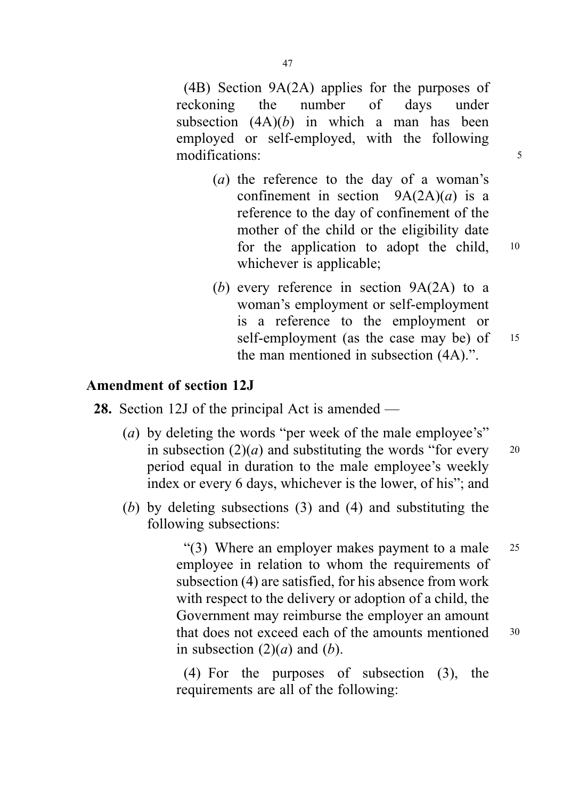(4B) Section 9A(2A) applies for the purposes of reckoning the number of days under subsection  $(4A)(b)$  in which a man has been employed or self-employed, with the following modifications: 5

- (a) the reference to the day of a woman's confinement in section  $9A(2A)(a)$  is a reference to the day of confinement of the mother of the child or the eligibility date for the application to adopt the child, 10 whichever is applicable;
- (b) every reference in section 9A(2A) to a woman's employment or self-employment is a reference to the employment or self-employment (as the case may be) of 15 the man mentioned in subsection (4A).".

# Amendment of section 12J

28. Section 12J of the principal Act is amended —

- (a) by deleting the words "per week of the male employee's" in subsection  $(2)(a)$  and substituting the words "for every 20 period equal in duration to the male employee's weekly index or every 6 days, whichever is the lower, of his"; and
- (b) by deleting subsections (3) and (4) and substituting the following subsections:

"(3) Where an employer makes payment to a male 25 employee in relation to whom the requirements of subsection (4) are satisfied, for his absence from work with respect to the delivery or adoption of a child, the Government may reimburse the employer an amount that does not exceed each of the amounts mentioned 30 in subsection  $(2)(a)$  and  $(b)$ .

(4) For the purposes of subsection (3), the requirements are all of the following: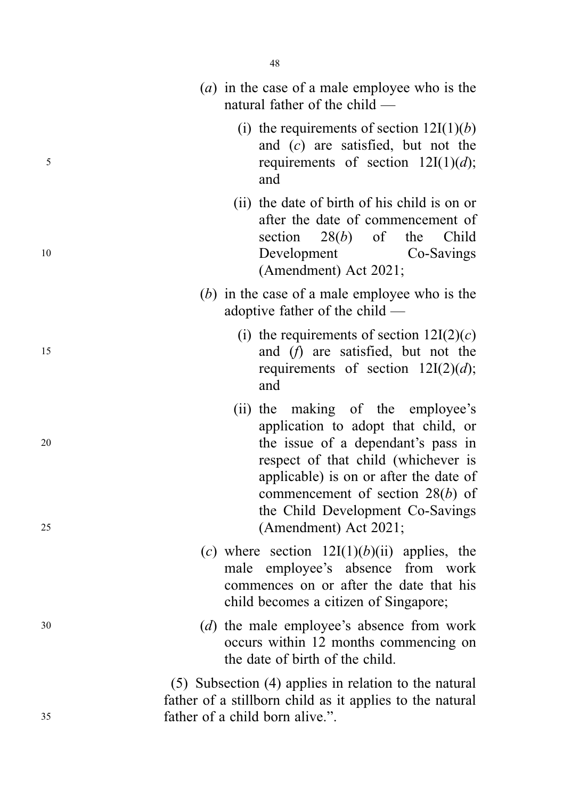|    |  | (a) in the case of a male employee who is the<br>natural father of the child $-$                                                                                                                                                                                          |
|----|--|---------------------------------------------------------------------------------------------------------------------------------------------------------------------------------------------------------------------------------------------------------------------------|
| 5  |  | (i) the requirements of section $12I(1)(b)$<br>and $(c)$ are satisfied, but not the<br>requirements of section $12I(1)(d)$ ;<br>and                                                                                                                                       |
| 10 |  | (ii) the date of birth of his child is on or<br>after the date of commencement of<br>$28(b)$ of<br>the Child<br>section<br>Co-Savings<br>Development<br>(Amendment) Act 2021;                                                                                             |
|    |  | $(b)$ in the case of a male employee who is the<br>adoptive father of the child $-$                                                                                                                                                                                       |
| 15 |  | (i) the requirements of section $12I(2)(c)$<br>and (f) are satisfied, but not the<br>requirements of section $12I(2)(d)$ ;<br>and                                                                                                                                         |
| 20 |  | (ii) the making of the employee's<br>application to adopt that child, or<br>the issue of a dependant's pass in<br>respect of that child (whichever is<br>applicable) is on or after the date of<br>commencement of section $28(b)$ of<br>the Child Development Co-Savings |
| 25 |  | (Amendment) Act 2021;<br>(c) where section $12I(1)(b)(ii)$ applies, the<br>male employee's absence from work<br>commences on or after the date that his<br>child becomes a citizen of Singapore;                                                                          |
| 30 |  | (d) the male employee's absence from work<br>occurs within 12 months commencing on<br>the date of birth of the child.                                                                                                                                                     |
| 35 |  | (5) Subsection (4) applies in relation to the natural<br>father of a stillborn child as it applies to the natural<br>father of a child born alive.".                                                                                                                      |
|    |  |                                                                                                                                                                                                                                                                           |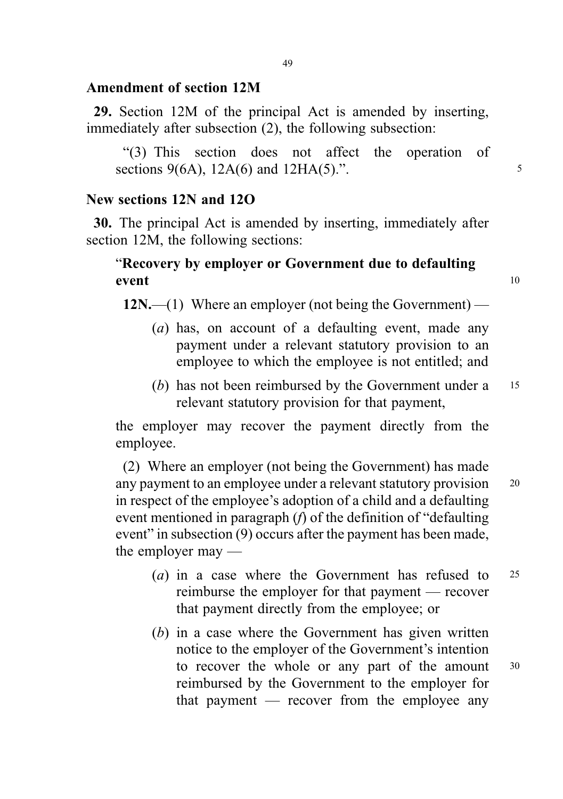## Amendment of section 12M

29. Section 12M of the principal Act is amended by inserting, immediately after subsection (2), the following subsection:

"(3) This section does not affect the operation of sections  $9(6A)$ ,  $12A(6)$  and  $12HA(5)$ .".

### New sections 12N and 12O

30. The principal Act is amended by inserting, immediately after section 12M, the following sections:

# "Recovery by employer or Government due to defaulting event 10

 $12N$ ,—(1) Where an employer (not being the Government)—

- (a) has, on account of a defaulting event, made any payment under a relevant statutory provision to an employee to which the employee is not entitled; and
- (b) has not been reimbursed by the Government under a 15 relevant statutory provision for that payment,

the employer may recover the payment directly from the employee.

(2) Where an employer (not being the Government) has made any payment to an employee under a relevant statutory provision <sup>20</sup> in respect of the employee's adoption of a child and a defaulting event mentioned in paragraph (f) of the definition of "defaulting event" in subsection (9) occurs after the payment has been made, the employer may —

- (a) in a case where the Government has refused to 25 reimburse the employer for that payment — recover that payment directly from the employee; or
- (b) in a case where the Government has given written notice to the employer of the Government's intention to recover the whole or any part of the amount 30 reimbursed by the Government to the employer for that payment — recover from the employee any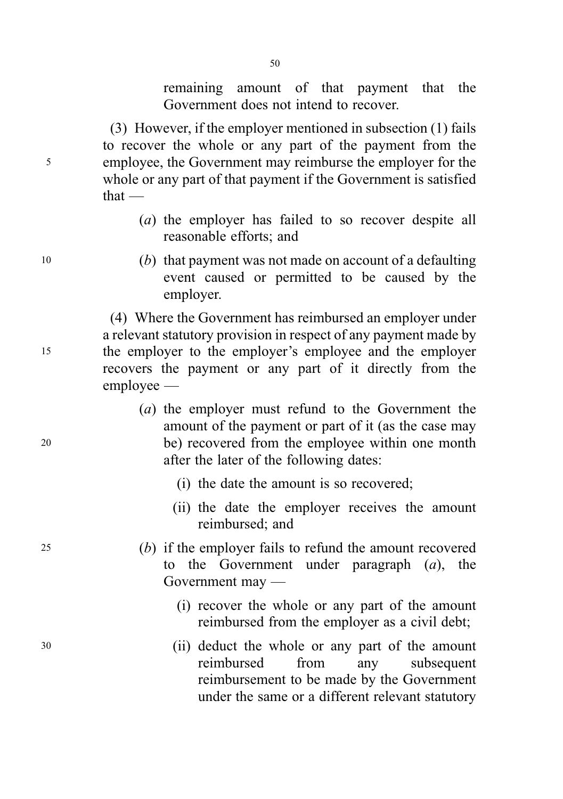remaining amount of that payment that the Government does not intend to recover.

(3) However, if the employer mentioned in subsection (1) fails to recover the whole or any part of the payment from the <sup>5</sup> employee, the Government may reimburse the employer for the whole or any part of that payment if the Government is satisfied that —

- (a) the employer has failed to so recover despite all reasonable efforts; and
- <sup>10</sup> (b) that payment was not made on account of a defaulting event caused or permitted to be caused by the employer.

(4) Where the Government has reimbursed an employer under a relevant statutory provision in respect of any payment made by <sup>15</sup> the employer to the employer's employee and the employer recovers the payment or any part of it directly from the employee —

- (a) the employer must refund to the Government the amount of the payment or part of it (as the case may <sup>20</sup> be) recovered from the employee within one month after the later of the following dates:
	- (i) the date the amount is so recovered;
	- (ii) the date the employer receives the amount reimbursed; and
- <sup>25</sup> (b) if the employer fails to refund the amount recovered to the Government under paragraph  $(a)$ , the Government may —
	- (i) recover the whole or any part of the amount reimbursed from the employer as a civil debt;
- <sup>30</sup> (ii) deduct the whole or any part of the amount reimbursed from any subsequent reimbursement to be made by the Government under the same or a different relevant statutory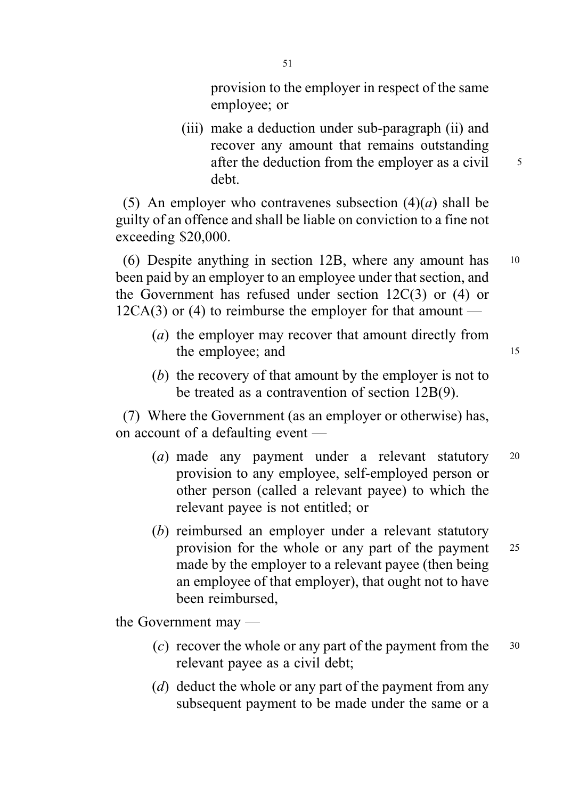provision to the employer in respect of the same employee; or

(iii) make a deduction under sub-paragraph (ii) and recover any amount that remains outstanding after the deduction from the employer as a civil  $\frac{5}{5}$ debt.

(5) An employer who contravenes subsection  $(4)(a)$  shall be guilty of an offence and shall be liable on conviction to a fine not exceeding \$20,000.

(6) Despite anything in section 12B, where any amount has <sup>10</sup> been paid by an employer to an employee under that section, and the Government has refused under section 12C(3) or (4) or  $12CA(3)$  or (4) to reimburse the employer for that amount —

- (a) the employer may recover that amount directly from the employee; and 15
- (b) the recovery of that amount by the employer is not to be treated as a contravention of section 12B(9).

(7) Where the Government (as an employer or otherwise) has, on account of a defaulting event —

- (a) made any payment under a relevant statutory <sup>20</sup> provision to any employee, self-employed person or other person (called a relevant payee) to which the relevant payee is not entitled; or
- (b) reimbursed an employer under a relevant statutory provision for the whole or any part of the payment <sup>25</sup> made by the employer to a relevant payee (then being an employee of that employer), that ought not to have been reimbursed,

the Government may —

- (c) recover the whole or any part of the payment from the  $30$ relevant payee as a civil debt;
- (d) deduct the whole or any part of the payment from any subsequent payment to be made under the same or a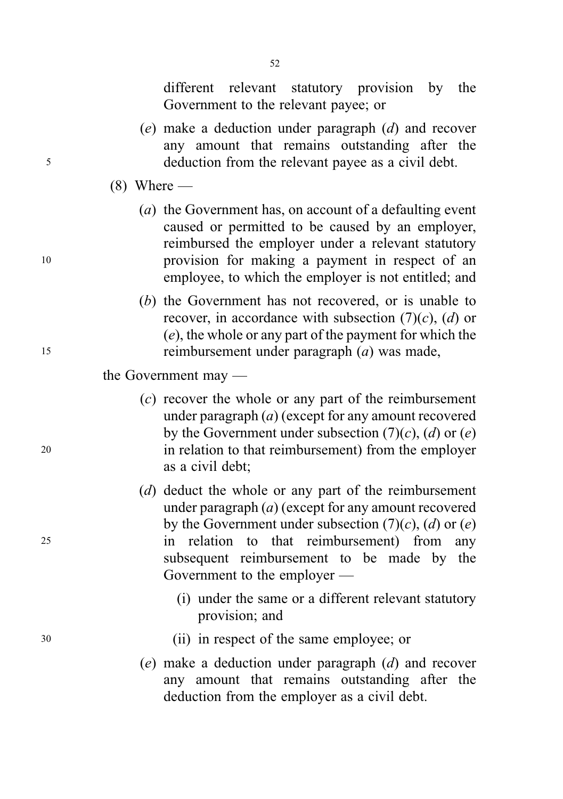52

different relevant statutory provision by the Government to the relevant payee; or

- (e) make a deduction under paragraph (d) and recover any amount that remains outstanding after the <sup>5</sup> deduction from the relevant payee as a civil debt.
	- $(8)$  Where —
- (a) the Government has, on account of a defaulting event caused or permitted to be caused by an employer, reimbursed the employer under a relevant statutory <sup>10</sup> provision for making a payment in respect of an employee, to which the employer is not entitled; and
- (b) the Government has not recovered, or is unable to recover, in accordance with subsection  $(7)(c)$ ,  $(d)$  or (e), the whole or any part of the payment for which the <sup>15</sup> reimbursement under paragraph (a) was made,
	- the Government may —
- (c) recover the whole or any part of the reimbursement under paragraph (a) (except for any amount recovered by the Government under subsection  $(7)(c)$ ,  $(d)$  or  $(e)$ <sup>20</sup> in relation to that reimbursement) from the employer as a civil debt;
- (d) deduct the whole or any part of the reimbursement under paragraph  $(a)$  (except for any amount recovered by the Government under subsection  $(7)(c)$ ,  $(d)$  or  $(e)$ <sup>25</sup> in relation to that reimbursement) from any subsequent reimbursement to be made by the Government to the employer —
	- (i) under the same or a different relevant statutory provision; and
- <sup>30</sup> (ii) in respect of the same employee; or
	- (e) make a deduction under paragraph (d) and recover any amount that remains outstanding after the deduction from the employer as a civil debt.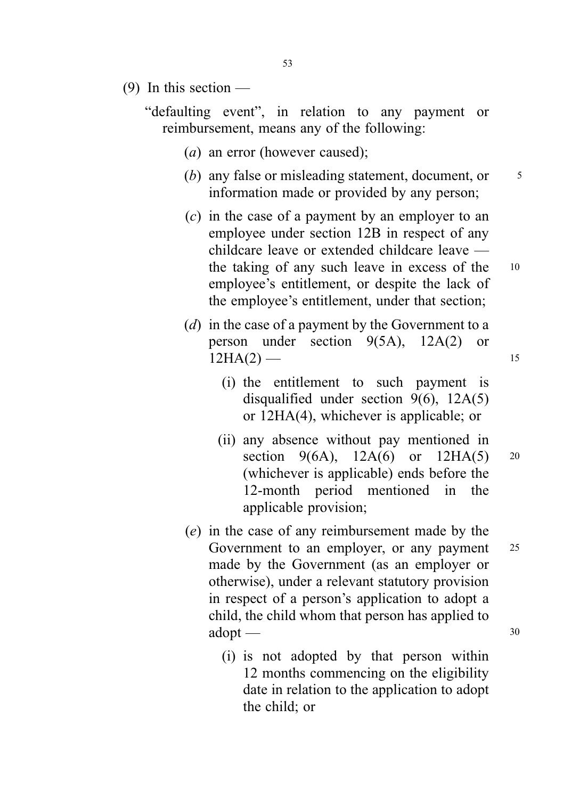(9) In this section  $-$ 

"defaulting event", in relation to any payment or reimbursement, means any of the following:

- (a) an error (however caused);
- (b) any false or misleading statement, document, or  $\frac{5}{5}$ information made or provided by any person;
- (c) in the case of a payment by an employer to an employee under section 12B in respect of any childcare leave or extended childcare leave the taking of any such leave in excess of the <sup>10</sup> employee's entitlement, or despite the lack of the employee's entitlement, under that section;
- (d) in the case of a payment by the Government to a person under section 9(5A), 12A(2) or  $12HA(2)$  — 15
	- (i) the entitlement to such payment is disqualified under section 9(6), 12A(5) or 12HA(4), whichever is applicable; or
	- (ii) any absence without pay mentioned in section 9(6A),  $12A(6)$  or  $12HA(5)$  20 (whichever is applicable) ends before the 12-month period mentioned in the applicable provision;
- (e) in the case of any reimbursement made by the Government to an employer, or any payment 25 made by the Government (as an employer or otherwise), under a relevant statutory provision in respect of a person's application to adopt a child, the child whom that person has applied to  $\text{adopt}$  — 30
	- (i) is not adopted by that person within 12 months commencing on the eligibility date in relation to the application to adopt the child; or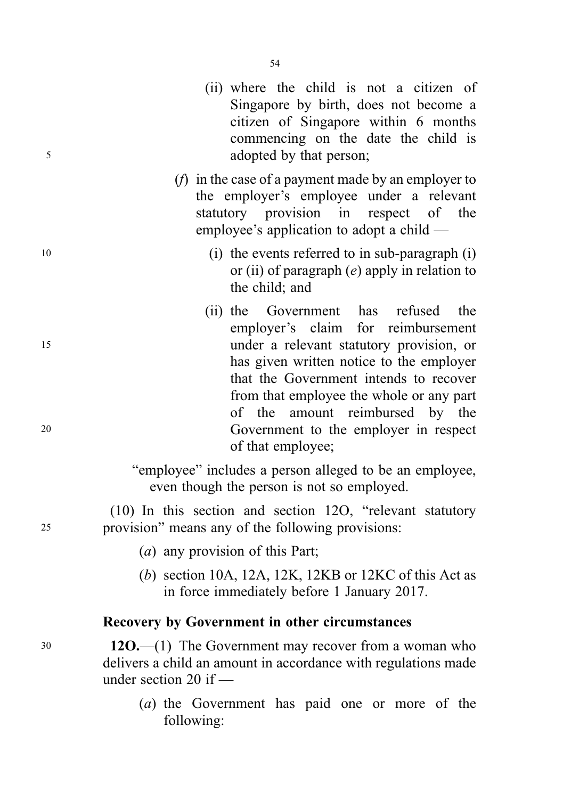- (ii) where the child is not a citizen of Singapore by birth, does not become a citizen of Singapore within 6 months commencing on the date the child is <sup>5</sup> adopted by that person;
	- (f) in the case of a payment made by an employer to the employer's employee under a relevant statutory provision in respect of the employee's application to adopt a child —
- <sup>10</sup> (i) the events referred to in sub-paragraph (i) or (ii) of paragraph  $(e)$  apply in relation to the child; and
- (ii) the Government has refused the employer's claim for reimbursement <sup>15</sup> under a relevant statutory provision, or has given written notice to the employer that the Government intends to recover from that employee the whole or any part of the amount reimbursed by the <sup>20</sup> Government to the employer in respect of that employee;

"employee" includes a person alleged to be an employee, even though the person is not so employed.

(10) In this section and section 12O, "relevant statutory <sup>25</sup> provision" means any of the following provisions:

- (a) any provision of this Part;
- (b) section 10A, 12A, 12K, 12KB or 12KC of this Act as in force immediately before 1 January 2017.

#### Recovery by Government in other circumstances

<sup>30</sup> 12O.—(1) The Government may recover from a woman who delivers a child an amount in accordance with regulations made under section 20 if —

> (a) the Government has paid one or more of the following: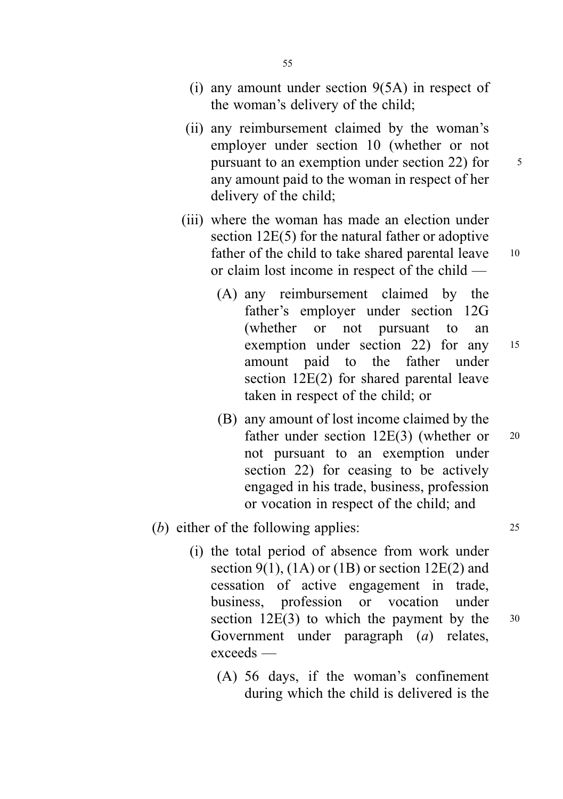- (ii) any reimbursement claimed by the woman's employer under section 10 (whether or not pursuant to an exemption under section 22) for  $\frac{5}{5}$ any amount paid to the woman in respect of her delivery of the child;
- (iii) where the woman has made an election under section 12E(5) for the natural father or adoptive father of the child to take shared parental leave 10 or claim lost income in respect of the child —
	- (A) any reimbursement claimed by the father's employer under section 12G (whether or not pursuant to an exemption under section 22) for any <sup>15</sup> amount paid to the father under section 12E(2) for shared parental leave taken in respect of the child; or
	- (B) any amount of lost income claimed by the father under section 12E(3) (whether or 20 not pursuant to an exemption under section 22) for ceasing to be actively engaged in his trade, business, profession or vocation in respect of the child; and
- (b) either of the following applies: 25
	- (i) the total period of absence from work under section 9(1),  $(1A)$  or  $(1B)$  or section 12E(2) and cessation of active engagement in trade, business, profession or vocation under section  $12E(3)$  to which the payment by the  $30$ Government under paragraph (a) relates, exceeds —
		- (A) 56 days, if the woman's confinement during which the child is delivered is the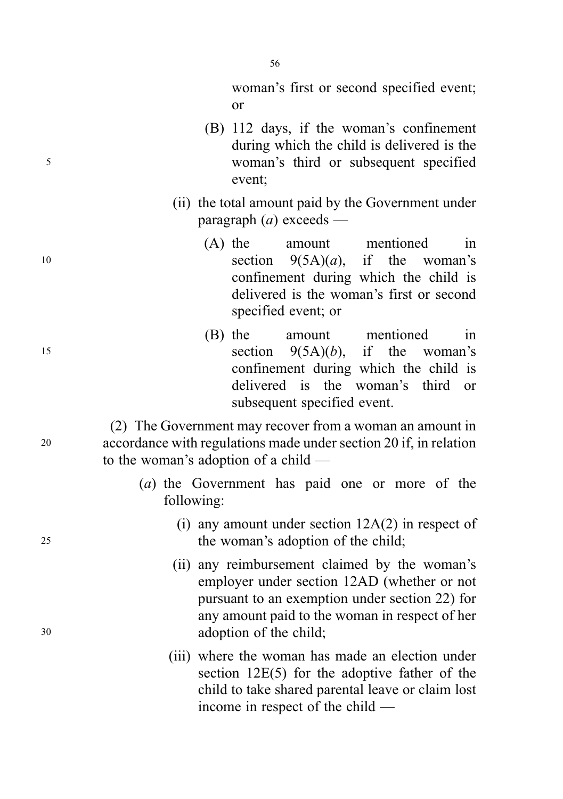woman's first or second specified event; or

- (B) 112 days, if the woman's confinement during which the child is delivered is the <sup>5</sup> woman's third or subsequent specified event;
	- (ii) the total amount paid by the Government under paragraph  $(a)$  exceeds —
- (A) the amount mentioned in 10 section  $9(5A)(a)$ , if the woman's confinement during which the child is delivered is the woman's first or second specified event; or
- (B) the amount mentioned in 15 section  $9(5A)(b)$ , if the woman's confinement during which the child is delivered is the woman's third or subsequent specified event.

(2) The Government may recover from a woman an amount in <sup>20</sup> accordance with regulations made under section 20 if, in relation to the woman's adoption of a child —

- (a) the Government has paid one or more of the following:
- (i) any amount under section 12A(2) in respect of <sup>25</sup> the woman's adoption of the child;
- (ii) any reimbursement claimed by the woman's employer under section 12AD (whether or not pursuant to an exemption under section 22) for any amount paid to the woman in respect of her <sup>30</sup> adoption of the child;
	- (iii) where the woman has made an election under section 12E(5) for the adoptive father of the child to take shared parental leave or claim lost income in respect of the child —

56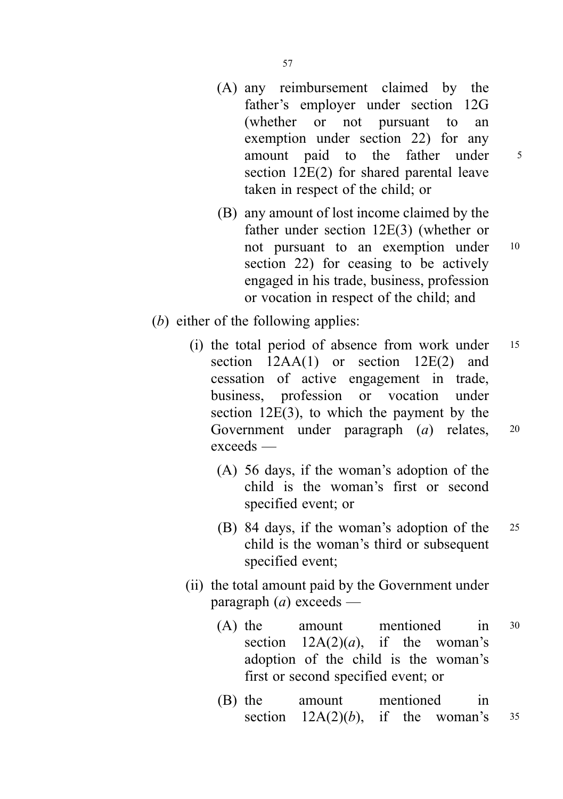- (A) any reimbursement claimed by the father's employer under section 12G (whether or not pursuant to an exemption under section 22) for any amount paid to the father under <sup>5</sup> section 12E(2) for shared parental leave taken in respect of the child; or
- (B) any amount of lost income claimed by the father under section 12E(3) (whether or not pursuant to an exemption under <sup>10</sup> section 22) for ceasing to be actively engaged in his trade, business, profession or vocation in respect of the child; and
- (b) either of the following applies:
	- (i) the total period of absence from work under <sup>15</sup> section  $12AA(1)$  or section  $12E(2)$  and cessation of active engagement in trade, business, profession or vocation under section 12E(3), to which the payment by the Government under paragraph (a) relates, <sup>20</sup> exceeds —
		- (A) 56 days, if the woman's adoption of the child is the woman's first or second specified event; or
		- (B) 84 days, if the woman's adoption of the <sup>25</sup> child is the woman's third or subsequent specified event;
	- (ii) the total amount paid by the Government under paragraph  $(a)$  exceeds —
		- (A) the amount mentioned in <sup>30</sup> section  $12A(2)(a)$ , if the woman's adoption of the child is the woman's first or second specified event; or
		- (B) the amount mentioned in section  $12A(2)(b)$ , if the woman's  $35$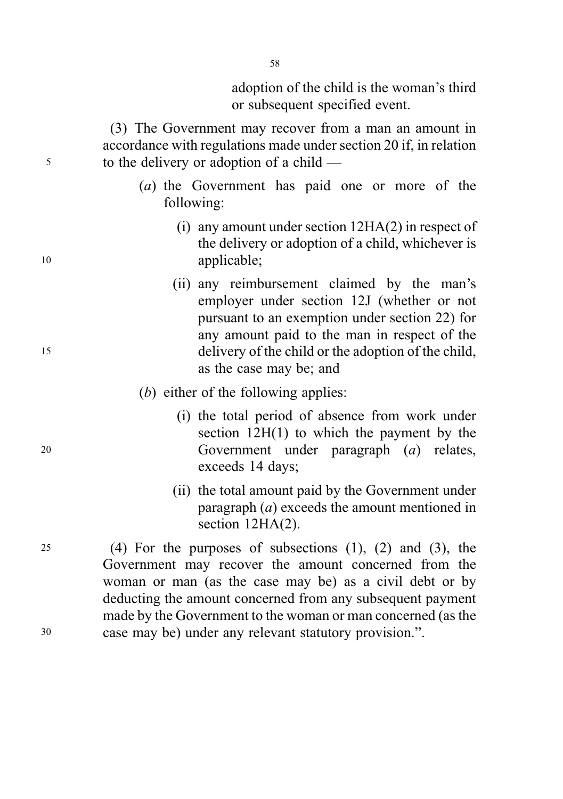adoption of the child is the woman's third or subsequent specified event.

(3) The Government may recover from a man an amount in accordance with regulations made under section 20 if, in relation <sup>5</sup> to the delivery or adoption of a child —

- (a) the Government has paid one or more of the following:
- (i) any amount under section 12HA(2) in respect of the delivery or adoption of a child, whichever is <sup>10</sup> applicable;
- (ii) any reimbursement claimed by the man's employer under section 12J (whether or not pursuant to an exemption under section 22) for any amount paid to the man in respect of the <sup>15</sup> delivery of the child or the adoption of the child, as the case may be; and
	- (b) either of the following applies:
- (i) the total period of absence from work under section 12H(1) to which the payment by the <sup>20</sup> Government under paragraph (a) relates, exceeds 14 days;
	- (ii) the total amount paid by the Government under paragraph (a) exceeds the amount mentioned in section 12HA(2).

<sup>25</sup> (4) For the purposes of subsections (1), (2) and (3), the Government may recover the amount concerned from the woman or man (as the case may be) as a civil debt or by deducting the amount concerned from any subsequent payment made by the Government to the woman or man concerned (as the <sup>30</sup> case may be) under any relevant statutory provision.".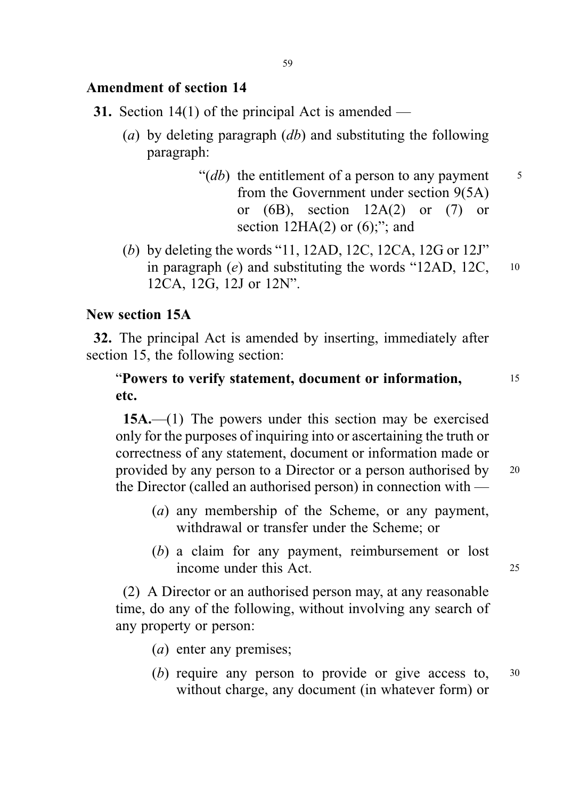# Amendment of section 14

- **31.** Section 14(1) of the principal Act is amended
	- (a) by deleting paragraph  $(db)$  and substituting the following paragraph:
		- " $(db)$  the entitlement of a person to any payment  $\frac{5}{5}$ from the Government under section 9(5A) or  $(6B)$ , section  $12A(2)$  or  $(7)$  or section  $12HA(2)$  or  $(6)$ ;"; and
	- (b) by deleting the words "11, 12AD, 12C, 12CA, 12G or 12J" in paragraph  $(e)$  and substituting the words "12AD, 12C,  $10^{-10}$ 12CA, 12G, 12J or 12N".

# New section 15A

32. The principal Act is amended by inserting, immediately after section 15, the following section:

# "Powers to verify statement, document or information, <sup>15</sup> etc.

15A.—(1) The powers under this section may be exercised only for the purposes of inquiring into or ascertaining the truth or correctness of any statement, document or information made or provided by any person to a Director or a person authorised by <sup>20</sup> the Director (called an authorised person) in connection with —

- (a) any membership of the Scheme, or any payment, withdrawal or transfer under the Scheme; or
- (b) a claim for any payment, reimbursement or lost income under this Act. <sup>25</sup>

(2) A Director or an authorised person may, at any reasonable time, do any of the following, without involving any search of any property or person:

- (a) enter any premises;
- (b) require any person to provide or give access to, <sup>30</sup> without charge, any document (in whatever form) or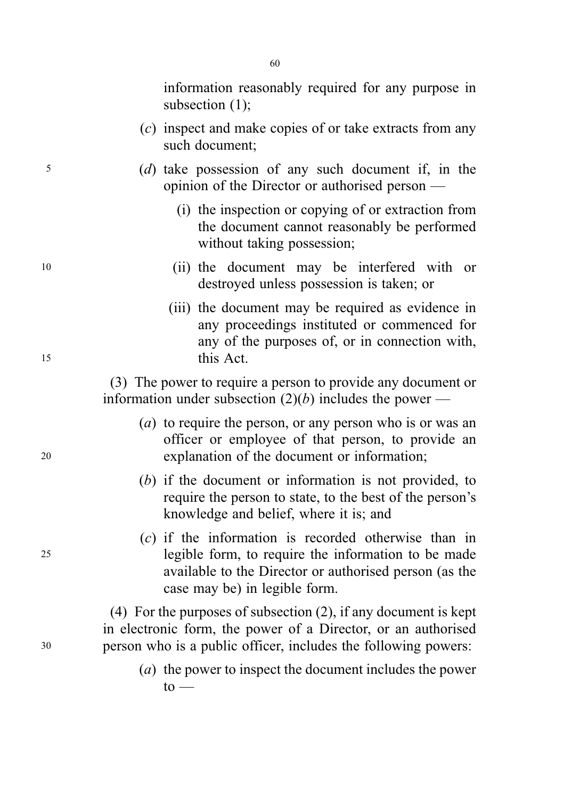information reasonably required for any purpose in subsection (1);

- (c) inspect and make copies of or take extracts from any such document;
- <sup>5</sup> (d) take possession of any such document if, in the opinion of the Director or authorised person —
	- (i) the inspection or copying of or extraction from the document cannot reasonably be performed without taking possession;
- <sup>10</sup> (ii) the document may be interfered with or destroyed unless possession is taken; or
- (iii) the document may be required as evidence in any proceedings instituted or commenced for any of the purposes of, or in connection with, <sup>15</sup> this Act.

(3) The power to require a person to provide any document or information under subsection  $(2)(b)$  includes the power —

- (a) to require the person, or any person who is or was an officer or employee of that person, to provide an <sup>20</sup> explanation of the document or information;
	- (b) if the document or information is not provided, to require the person to state, to the best of the person's knowledge and belief, where it is; and
- (c) if the information is recorded otherwise than in <sup>25</sup> legible form, to require the information to be made available to the Director or authorised person (as the case may be) in legible form.

(4) For the purposes of subsection (2), if any document is kept in electronic form, the power of a Director, or an authorised <sup>30</sup> person who is a public officer, includes the following powers:

> (a) the power to inspect the document includes the power  $to$  —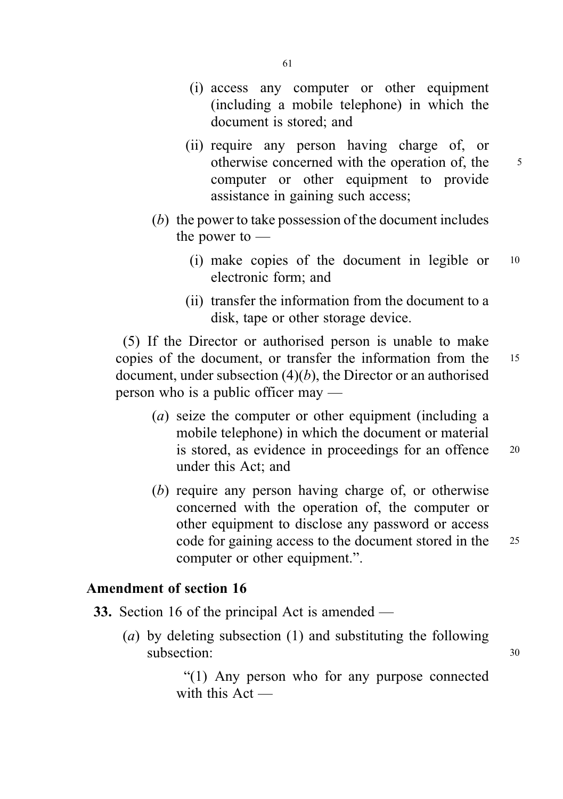- (i) access any computer or other equipment (including a mobile telephone) in which the document is stored; and
- (ii) require any person having charge of, or otherwise concerned with the operation of, the 5 computer or other equipment to provide assistance in gaining such access;
- (b) the power to take possession of the document includes the power to —
	- (i) make copies of the document in legible or <sup>10</sup> electronic form; and
	- (ii) transfer the information from the document to a disk, tape or other storage device.

(5) If the Director or authorised person is unable to make copies of the document, or transfer the information from the <sup>15</sup> document, under subsection  $(4)(b)$ , the Director or an authorised person who is a public officer may —

- (a) seize the computer or other equipment (including a mobile telephone) in which the document or material is stored, as evidence in proceedings for an offence 20 under this Act; and
- (b) require any person having charge of, or otherwise concerned with the operation of, the computer or other equipment to disclose any password or access code for gaining access to the document stored in the 25 computer or other equipment.".

# Amendment of section 16

- 33. Section 16 of the principal Act is amended
	- (a) by deleting subsection (1) and substituting the following subsection: 30

"(1) Any person who for any purpose connected with this Act —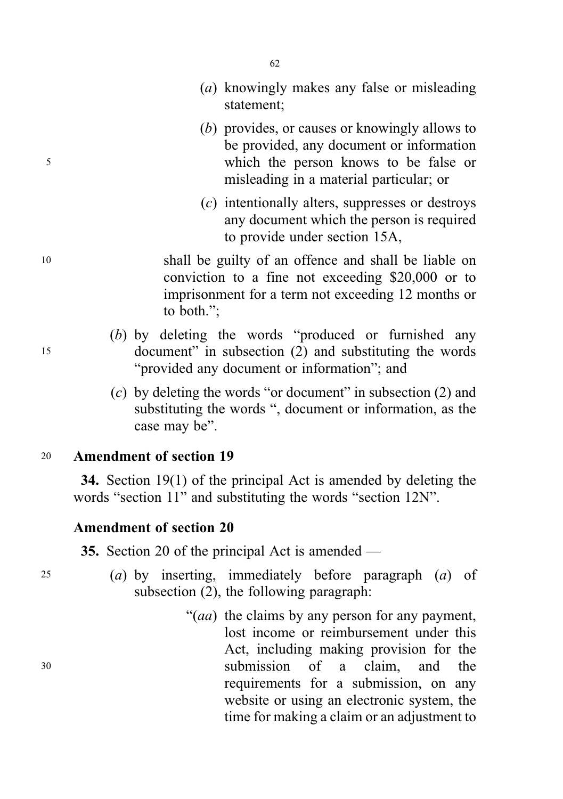- (a) knowingly makes any false or misleading statement;
- (b) provides, or causes or knowingly allows to be provided, any document or information <sup>5</sup> which the person knows to be false or misleading in a material particular; or
	- (c) intentionally alters, suppresses or destroys any document which the person is required to provide under section 15A,

<sup>10</sup> shall be guilty of an offence and shall be liable on conviction to a fine not exceeding \$20,000 or to imprisonment for a term not exceeding 12 months or to both.";

- (b) by deleting the words "produced or furnished any <sup>15</sup> document" in subsection (2) and substituting the words "provided any document or information"; and
	- (c) by deleting the words "or document" in subsection (2) and substituting the words ", document or information, as the case may be".

# <sup>20</sup> Amendment of section 19

34. Section 19(1) of the principal Act is amended by deleting the words "section 11" and substituting the words "section 12N".

### Amendment of section 20

35. Section 20 of the principal Act is amended —

- 25 (a) by inserting, immediately before paragraph  $(a)$  of subsection (2), the following paragraph:
- "(*aa*) the claims by any person for any payment, lost income or reimbursement under this Act, including making provision for the <sup>30</sup> submission of a claim, and the requirements for a submission, on any website or using an electronic system, the time for making a claim or an adjustment to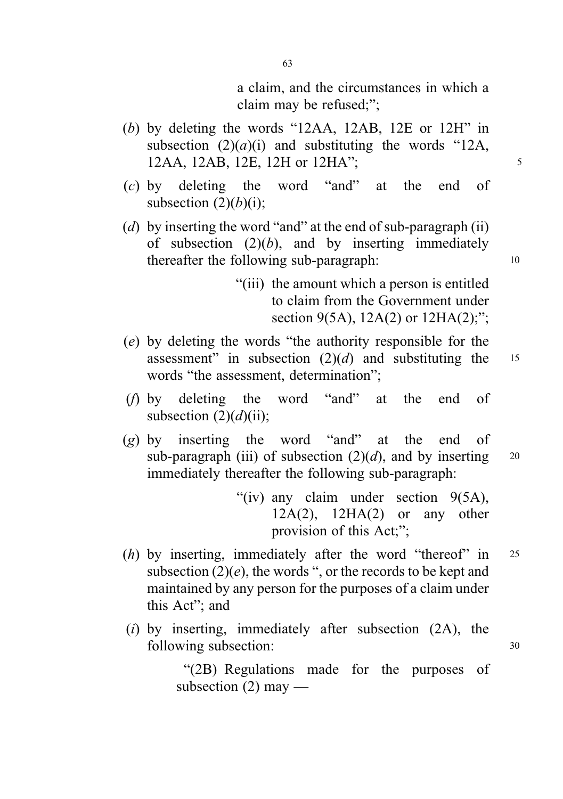a claim, and the circumstances in which a claim may be refused;";

- (b) by deleting the words "12AA, 12AB, 12E or 12H" in subsection  $(2)(a)(i)$  and substituting the words "12A, 12AA, 12AB, 12E, 12H or 12HA"; <sup>5</sup>
- (c) by deleting the word "and" at the end of subsection  $(2)(b)(i)$ ;
- (d) by inserting the word "and" at the end of sub-paragraph (ii) of subsection  $(2)(b)$ , and by inserting immediately thereafter the following sub-paragraph: 10
	- "(iii) the amount which a person is entitled to claim from the Government under section 9(5A), 12A(2) or 12HA(2);";
- (e) by deleting the words "the authority responsible for the assessment" in subsection  $(2)(d)$  and substituting the 15 words "the assessment, determination";
- (f) by deleting the word "and" at the end of subsection  $(2)(d)(ii)$ ;
- (g) by inserting the word "and" at the end of sub-paragraph (iii) of subsection  $(2)(d)$ , and by inserting 20 immediately thereafter the following sub-paragraph:

"(iv) any claim under section 9(5A),  $12A(2)$ ,  $12HA(2)$  or any other provision of this Act;";

- (h) by inserting, immediately after the word "thereof" in 25 subsection  $(2)(e)$ , the words ", or the records to be kept and maintained by any person for the purposes of a claim under this Act"; and
- (i) by inserting, immediately after subsection  $(2A)$ , the following subsection: 30

"(2B) Regulations made for the purposes of subsection (2) may —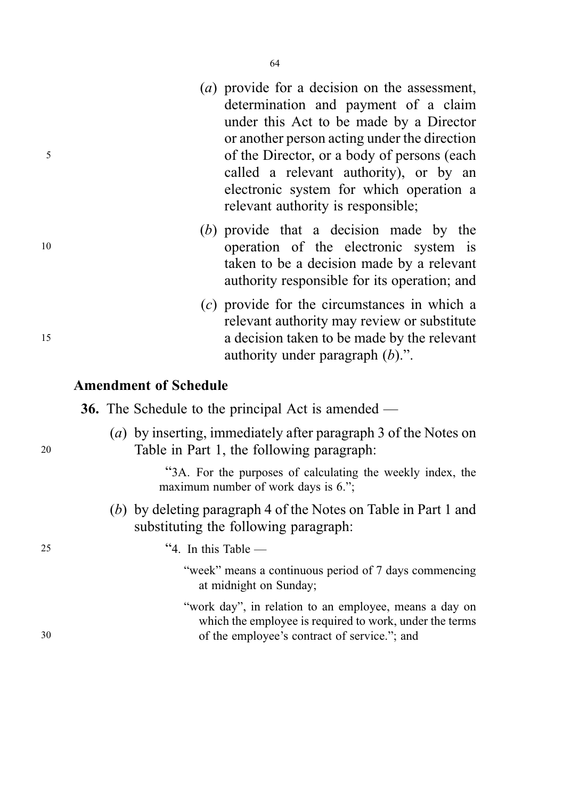64

- determination and payment of a claim under this Act to be made by a Director or another person acting under the direction <sup>5</sup> of the Director, or a body of persons (each called a relevant authority), or by an electronic system for which operation a relevant authority is responsible;
- (b) provide that a decision made by the <sup>10</sup> operation of the electronic system is taken to be a decision made by a relevant authority responsible for its operation; and
- (c) provide for the circumstances in which a relevant authority may review or substitute <sup>15</sup> a decision taken to be made by the relevant authority under paragraph  $(b)$ .".

# Amendment of Schedule

| <b>36.</b> The Schedule to the principal Act is amended — |  |
|-----------------------------------------------------------|--|
|-----------------------------------------------------------|--|

(a) by inserting, immediately after paragraph 3 of the Notes on <sup>20</sup> Table in Part 1, the following paragraph:

> "3A. For the purposes of calculating the weekly index, the maximum number of work days is 6.";

(b) by deleting paragraph 4 of the Notes on Table in Part 1 and substituting the following paragraph:

 $25$  "4. In this Table —

- "week" means a continuous period of 7 days commencing at midnight on Sunday;
- "work day", in relation to an employee, means a day on which the employee is required to work, under the terms 30 of the employee's contract of service."; and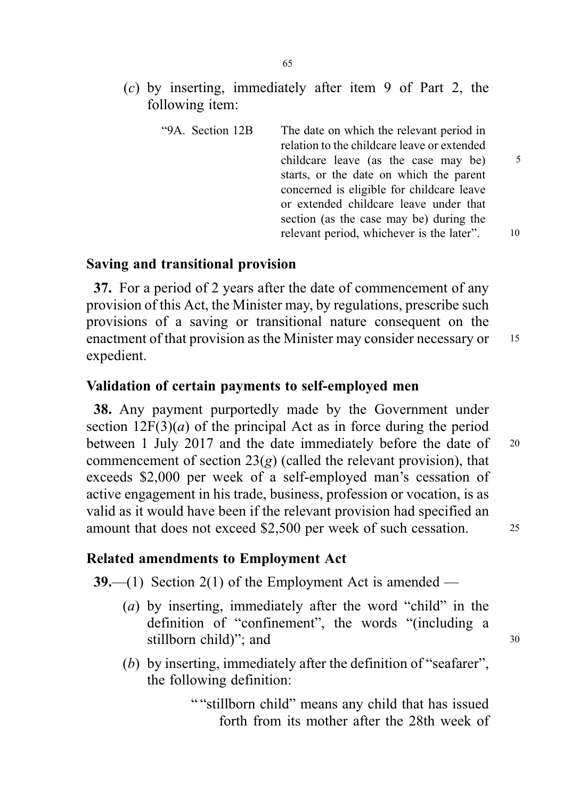(c) by inserting, immediately after item 9 of Part 2, the following item:

|    | The date on which the relevant period in<br>relation to the childcare leave or extended | "9A. Section 12B |
|----|-----------------------------------------------------------------------------------------|------------------|
| 5  | childcare leave (as the case may be)                                                    |                  |
|    | starts, or the date on which the parent                                                 |                  |
|    | concerned is eligible for childcare leave                                               |                  |
|    | or extended childcare leave under that                                                  |                  |
|    | section (as the case may be) during the                                                 |                  |
| 10 | relevant period, whichever is the later".                                               |                  |

#### Saving and transitional provision

37. For a period of 2 years after the date of commencement of any provision of this Act, the Minister may, by regulations, prescribe such provisions of a saving or transitional nature consequent on the enactment of that provision as the Minister may consider necessary or 15 expedient.

# Validation of certain payments to self-employed men

38. Any payment purportedly made by the Government under section  $12F(3)(a)$  of the principal Act as in force during the period between 1 July 2017 and the date immediately before the date of 20 commencement of section  $23(g)$  (called the relevant provision), that exceeds \$2,000 per week of a self-employed man's cessation of active engagement in his trade, business, profession or vocation, is as valid as it would have been if the relevant provision had specified an amount that does not exceed \$2,500 per week of such cessation. 25

#### Related amendments to Employment Act

**39.**—(1) Section 2(1) of the Employment Act is amended —

- (a) by inserting, immediately after the word "child" in the definition of "confinement", the words "(including a stillborn child)"; and  $30$
- (b) by inserting, immediately after the definition of "seafarer", the following definition:

" "stillborn child" means any child that has issued forth from its mother after the 28th week of

65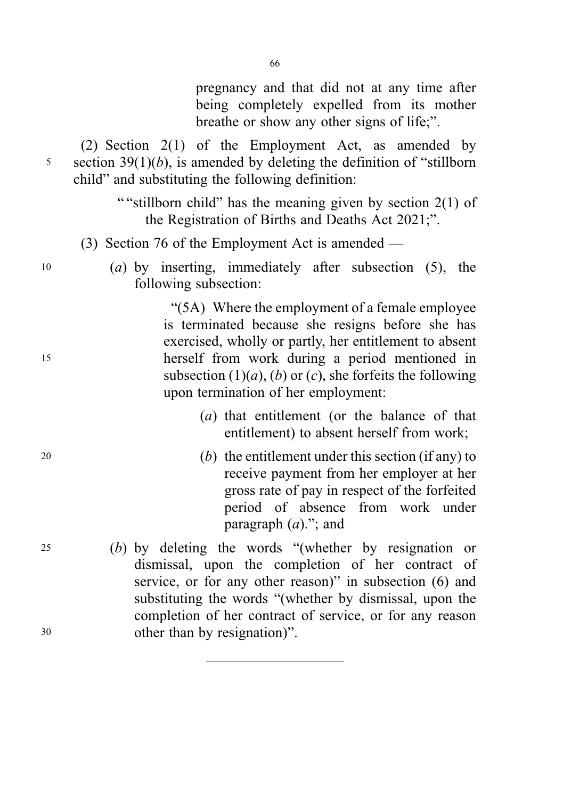pregnancy and that did not at any time after being completely expelled from its mother breathe or show any other signs of life;".

(2) Section 2(1) of the Employment Act, as amended by  $5$  section 39(1)(b), is amended by deleting the definition of "stillborn" child" and substituting the following definition:

> " "stillborn child" has the meaning given by section 2(1) of the Registration of Births and Deaths Act 2021;".

- (3) Section 76 of the Employment Act is amended —
- <sup>10</sup> (a) by inserting, immediately after subsection (5), the following subsection:

"(5A) Where the employment of a female employee is terminated because she resigns before she has exercised, wholly or partly, her entitlement to absent <sup>15</sup> herself from work during a period mentioned in subsection  $(1)(a)$ ,  $(b)$  or  $(c)$ , she forfeits the following upon termination of her employment:

- (a) that entitlement (or the balance of that entitlement) to absent herself from work;
- 20  $(b)$  the entitlement under this section (if any) to receive payment from her employer at her gross rate of pay in respect of the forfeited period of absence from work under paragraph  $(a)$ ."; and
- <sup>25</sup> (b) by deleting the words "(whether by resignation or dismissal, upon the completion of her contract of service, or for any other reason)" in subsection (6) and substituting the words "(whether by dismissal, upon the completion of her contract of service, or for any reason <sup>30</sup> other than by resignation)".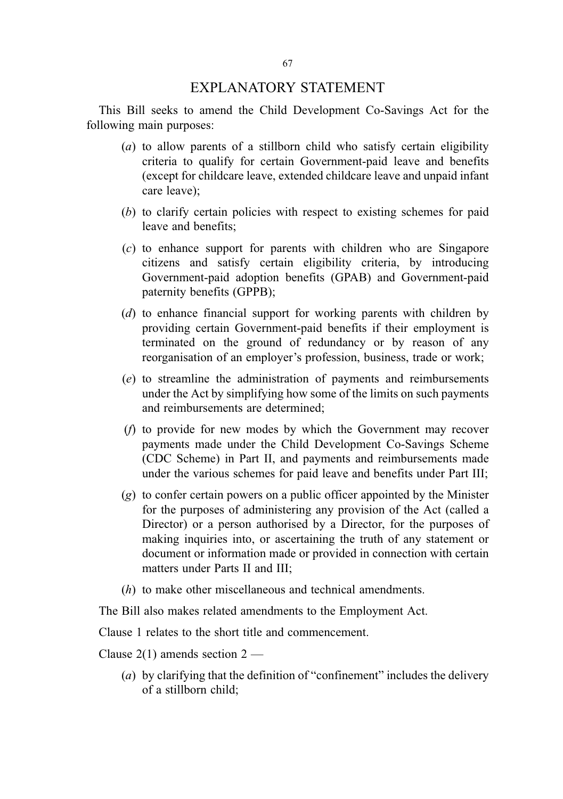### EXPLANATORY STATEMENT

This Bill seeks to amend the Child Development Co-Savings Act for the following main purposes:

- $(a)$  to allow parents of a stillborn child who satisfy certain eligibility criteria to qualify for certain Government-paid leave and benefits (except for childcare leave, extended childcare leave and unpaid infant care leave);
- (b) to clarify certain policies with respect to existing schemes for paid leave and benefits;
- (c) to enhance support for parents with children who are Singapore citizens and satisfy certain eligibility criteria, by introducing Government-paid adoption benefits (GPAB) and Government-paid paternity benefits (GPPB);
- (d) to enhance financial support for working parents with children by providing certain Government-paid benefits if their employment is terminated on the ground of redundancy or by reason of any reorganisation of an employer's profession, business, trade or work;
- (e) to streamline the administration of payments and reimbursements under the Act by simplifying how some of the limits on such payments and reimbursements are determined;
- (f) to provide for new modes by which the Government may recover payments made under the Child Development Co-Savings Scheme (CDC Scheme) in Part II, and payments and reimbursements made under the various schemes for paid leave and benefits under Part III;
- (g) to confer certain powers on a public officer appointed by the Minister for the purposes of administering any provision of the Act (called a Director) or a person authorised by a Director, for the purposes of making inquiries into, or ascertaining the truth of any statement or document or information made or provided in connection with certain matters under Parts II and III;
- (h) to make other miscellaneous and technical amendments.

The Bill also makes related amendments to the Employment Act.

Clause 1 relates to the short title and commencement.

Clause  $2(1)$  amends section  $2-$ 

(a) by clarifying that the definition of "confinement" includes the delivery of a stillborn child;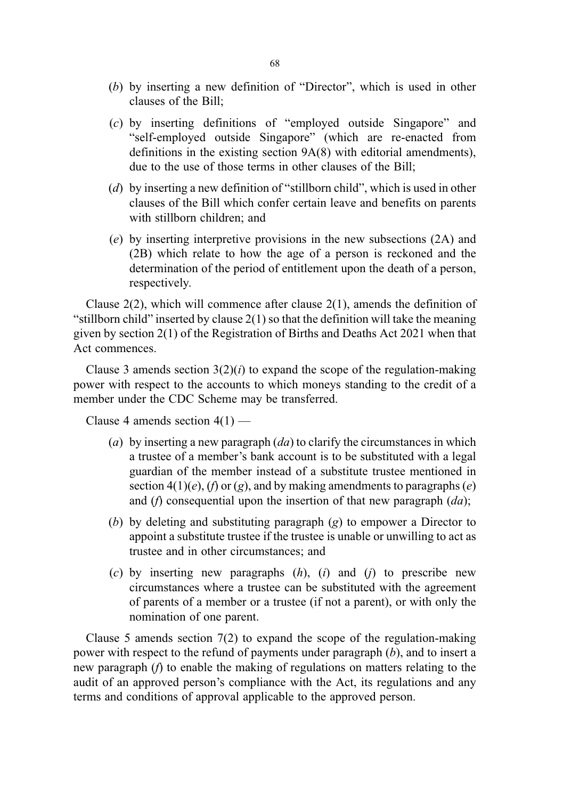- (b) by inserting a new definition of "Director", which is used in other clauses of the Bill;
- (c) by inserting definitions of "employed outside Singapore" and "self-employed outside Singapore" (which are re-enacted from definitions in the existing section 9A(8) with editorial amendments), due to the use of those terms in other clauses of the Bill;
- (d) by inserting a new definition of "stillborn child", which is used in other clauses of the Bill which confer certain leave and benefits on parents with stillborn children; and
- (e) by inserting interpretive provisions in the new subsections (2A) and (2B) which relate to how the age of a person is reckoned and the determination of the period of entitlement upon the death of a person, respectively.

Clause  $2(2)$ , which will commence after clause  $2(1)$ , amends the definition of "stillborn child" inserted by clause 2(1) so that the definition will take the meaning given by section 2(1) of the Registration of Births and Deaths Act 2021 when that Act commences.

Clause 3 amends section  $3(2)(i)$  to expand the scope of the regulation-making power with respect to the accounts to which moneys standing to the credit of a member under the CDC Scheme may be transferred.

Clause 4 amends section  $4(1)$  —

- (a) by inserting a new paragraph  $(da)$  to clarify the circumstances in which a trustee of a member's bank account is to be substituted with a legal guardian of the member instead of a substitute trustee mentioned in section  $4(1)(e)$ ,  $(f)$  or  $(g)$ , and by making amendments to paragraphs  $(e)$ and (f) consequential upon the insertion of that new paragraph  $(da)$ ;
- (b) by deleting and substituting paragraph (g) to empower a Director to appoint a substitute trustee if the trustee is unable or unwilling to act as trustee and in other circumstances; and
- (c) by inserting new paragraphs  $(h)$ ,  $(i)$  and  $(j)$  to prescribe new circumstances where a trustee can be substituted with the agreement of parents of a member or a trustee (if not a parent), or with only the nomination of one parent.

Clause 5 amends section 7(2) to expand the scope of the regulation-making power with respect to the refund of payments under paragraph  $(b)$ , and to insert a new paragraph (f) to enable the making of regulations on matters relating to the audit of an approved person's compliance with the Act, its regulations and any terms and conditions of approval applicable to the approved person.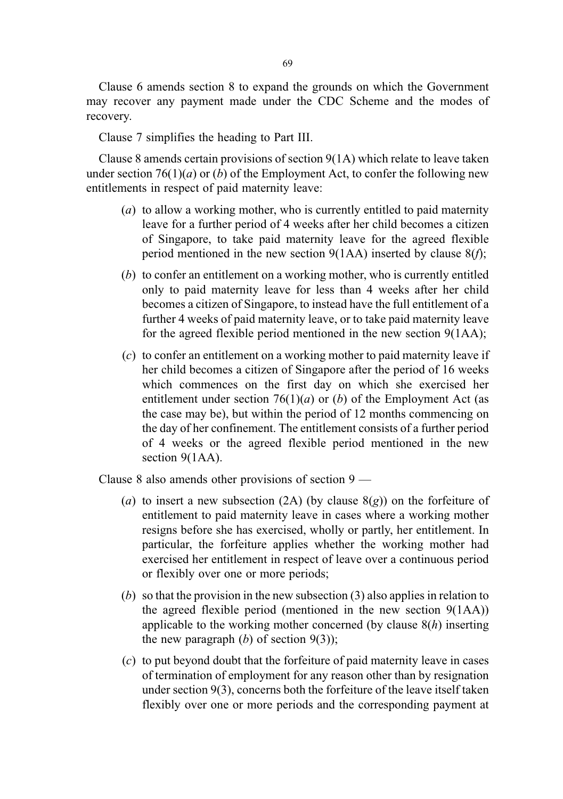Clause 6 amends section 8 to expand the grounds on which the Government may recover any payment made under the CDC Scheme and the modes of recovery.

Clause 7 simplifies the heading to Part III.

Clause 8 amends certain provisions of section 9(1A) which relate to leave taken under section 76(1)(*a*) or (*b*) of the Employment Act, to confer the following new entitlements in respect of paid maternity leave:

- (a) to allow a working mother, who is currently entitled to paid maternity leave for a further period of 4 weeks after her child becomes a citizen of Singapore, to take paid maternity leave for the agreed flexible period mentioned in the new section  $9(1AA)$  inserted by clause  $8(f)$ ;
- (b) to confer an entitlement on a working mother, who is currently entitled only to paid maternity leave for less than 4 weeks after her child becomes a citizen of Singapore, to instead have the full entitlement of a further 4 weeks of paid maternity leave, or to take paid maternity leave for the agreed flexible period mentioned in the new section 9(1AA);
- (c) to confer an entitlement on a working mother to paid maternity leave if her child becomes a citizen of Singapore after the period of 16 weeks which commences on the first day on which she exercised her entitlement under section  $76(1)(a)$  or (b) of the Employment Act (as the case may be), but within the period of 12 months commencing on the day of her confinement. The entitlement consists of a further period of 4 weeks or the agreed flexible period mentioned in the new section 9(1AA).

Clause 8 also amends other provisions of section 9 —

- (a) to insert a new subsection (2A) (by clause  $8(g)$ ) on the forfeiture of entitlement to paid maternity leave in cases where a working mother resigns before she has exercised, wholly or partly, her entitlement. In particular, the forfeiture applies whether the working mother had exercised her entitlement in respect of leave over a continuous period or flexibly over one or more periods;
- (b) so that the provision in the new subsection (3) also applies in relation to the agreed flexible period (mentioned in the new section 9(1AA)) applicable to the working mother concerned (by clause  $8(h)$  inserting the new paragraph  $(b)$  of section  $9(3)$ ;
- (c) to put beyond doubt that the forfeiture of paid maternity leave in cases of termination of employment for any reason other than by resignation under section 9(3), concerns both the forfeiture of the leave itself taken flexibly over one or more periods and the corresponding payment at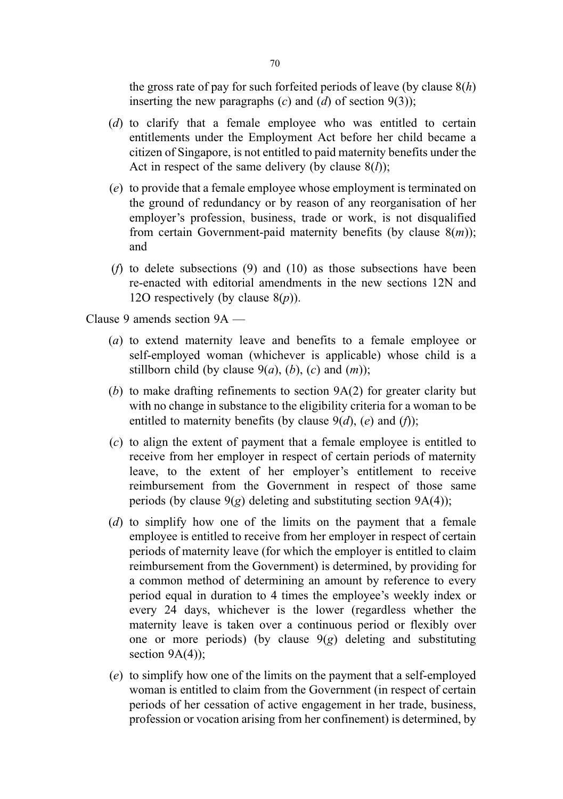the gross rate of pay for such forfeited periods of leave (by clause  $8(h)$ ) inserting the new paragraphs  $(c)$  and  $(d)$  of section  $9(3)$ ;

- (d) to clarify that a female employee who was entitled to certain entitlements under the Employment Act before her child became a citizen of Singapore, is not entitled to paid maternity benefits under the Act in respect of the same delivery (by clause  $8(l)$ );
- (e) to provide that a female employee whose employment is terminated on the ground of redundancy or by reason of any reorganisation of her employer's profession, business, trade or work, is not disqualified from certain Government-paid maternity benefits (by clause  $8(m)$ ); and
- (f) to delete subsections (9) and (10) as those subsections have been re-enacted with editorial amendments in the new sections 12N and 12O respectively (by clause  $8(p)$ ).

Clause 9 amends section 9A —

- (a) to extend maternity leave and benefits to a female employee or self-employed woman (whichever is applicable) whose child is a stillborn child (by clause  $9(a)$ ,  $(b)$ ,  $(c)$  and  $(m)$ );
- (b) to make drafting refinements to section 9A(2) for greater clarity but with no change in substance to the eligibility criteria for a woman to be entitled to maternity benefits (by clause  $9(d)$ , (e) and (f));
- (c) to align the extent of payment that a female employee is entitled to receive from her employer in respect of certain periods of maternity leave, to the extent of her employer's entitlement to receive reimbursement from the Government in respect of those same periods (by clause  $9(g)$  deleting and substituting section  $9A(4)$ );
- (d) to simplify how one of the limits on the payment that a female employee is entitled to receive from her employer in respect of certain periods of maternity leave (for which the employer is entitled to claim reimbursement from the Government) is determined, by providing for a common method of determining an amount by reference to every period equal in duration to 4 times the employee's weekly index or every 24 days, whichever is the lower (regardless whether the maternity leave is taken over a continuous period or flexibly over one or more periods) (by clause  $9(g)$  deleting and substituting section  $9A(4)$ ;
- (e) to simplify how one of the limits on the payment that a self-employed woman is entitled to claim from the Government (in respect of certain periods of her cessation of active engagement in her trade, business, profession or vocation arising from her confinement) is determined, by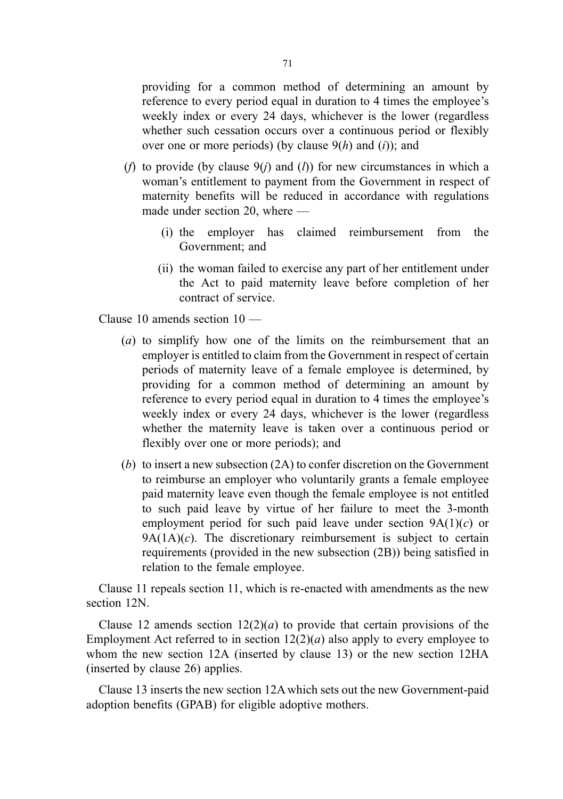providing for a common method of determining an amount by reference to every period equal in duration to 4 times the employee's weekly index or every 24 days, whichever is the lower (regardless whether such cessation occurs over a continuous period or flexibly over one or more periods) (by clause  $9(h)$  and (i)); and

- (f) to provide (by clause  $9(i)$  and (l)) for new circumstances in which a woman's entitlement to payment from the Government in respect of maternity benefits will be reduced in accordance with regulations made under section 20, where —
	- (i) the employer has claimed reimbursement from the Government; and
	- (ii) the woman failed to exercise any part of her entitlement under the Act to paid maternity leave before completion of her contract of service.

Clause 10 amends section 10 —

- (a) to simplify how one of the limits on the reimbursement that an employer is entitled to claim from the Government in respect of certain periods of maternity leave of a female employee is determined, by providing for a common method of determining an amount by reference to every period equal in duration to 4 times the employee's weekly index or every 24 days, whichever is the lower (regardless whether the maternity leave is taken over a continuous period or flexibly over one or more periods); and
- (b) to insert a new subsection (2A) to confer discretion on the Government to reimburse an employer who voluntarily grants a female employee paid maternity leave even though the female employee is not entitled to such paid leave by virtue of her failure to meet the 3-month employment period for such paid leave under section  $9A(1)(c)$  or  $9A(1A)(c)$ . The discretionary reimbursement is subject to certain requirements (provided in the new subsection (2B)) being satisfied in relation to the female employee.

Clause 11 repeals section 11, which is re-enacted with amendments as the new section 12N.

Clause 12 amends section  $12(2)(a)$  to provide that certain provisions of the Employment Act referred to in section  $12(2)(a)$  also apply to every employee to whom the new section 12A (inserted by clause 13) or the new section 12HA (inserted by clause 26) applies.

Clause 13 inserts the new section 12A which sets out the new Government-paid adoption benefits (GPAB) for eligible adoptive mothers.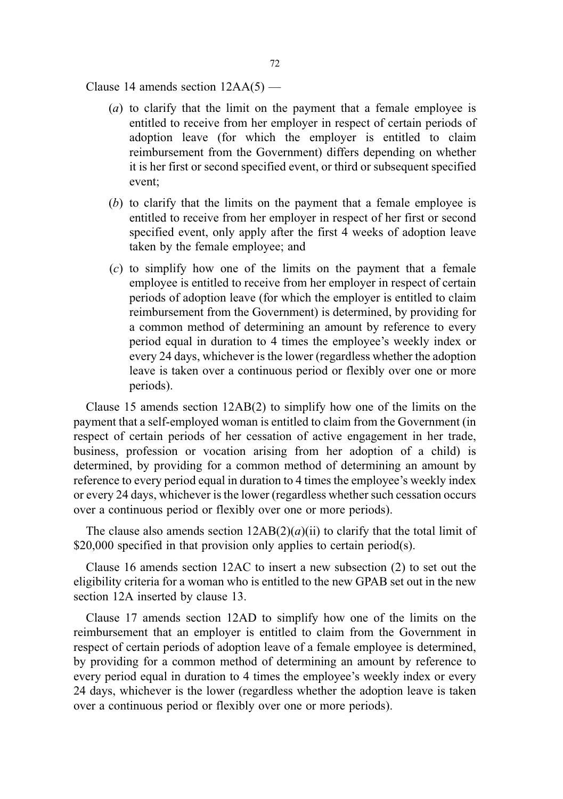Clause 14 amends section  $12AA(5)$  —

- (a) to clarify that the limit on the payment that a female employee is entitled to receive from her employer in respect of certain periods of adoption leave (for which the employer is entitled to claim reimbursement from the Government) differs depending on whether it is her first or second specified event, or third or subsequent specified event;
- (b) to clarify that the limits on the payment that a female employee is entitled to receive from her employer in respect of her first or second specified event, only apply after the first 4 weeks of adoption leave taken by the female employee; and
- (c) to simplify how one of the limits on the payment that a female employee is entitled to receive from her employer in respect of certain periods of adoption leave (for which the employer is entitled to claim reimbursement from the Government) is determined, by providing for a common method of determining an amount by reference to every period equal in duration to 4 times the employee's weekly index or every 24 days, whichever is the lower (regardless whether the adoption leave is taken over a continuous period or flexibly over one or more periods).

Clause 15 amends section 12AB(2) to simplify how one of the limits on the payment that a self-employed woman is entitled to claim from the Government (in respect of certain periods of her cessation of active engagement in her trade, business, profession or vocation arising from her adoption of a child) is determined, by providing for a common method of determining an amount by reference to every period equal in duration to 4 times the employee's weekly index or every 24 days, whichever is the lower (regardless whether such cessation occurs over a continuous period or flexibly over one or more periods).

The clause also amends section  $12AB(2)(a)(ii)$  to clarify that the total limit of \$20,000 specified in that provision only applies to certain period(s).

Clause 16 amends section 12AC to insert a new subsection (2) to set out the eligibility criteria for a woman who is entitled to the new GPAB set out in the new section 12A inserted by clause 13.

Clause 17 amends section 12AD to simplify how one of the limits on the reimbursement that an employer is entitled to claim from the Government in respect of certain periods of adoption leave of a female employee is determined, by providing for a common method of determining an amount by reference to every period equal in duration to 4 times the employee's weekly index or every 24 days, whichever is the lower (regardless whether the adoption leave is taken over a continuous period or flexibly over one or more periods).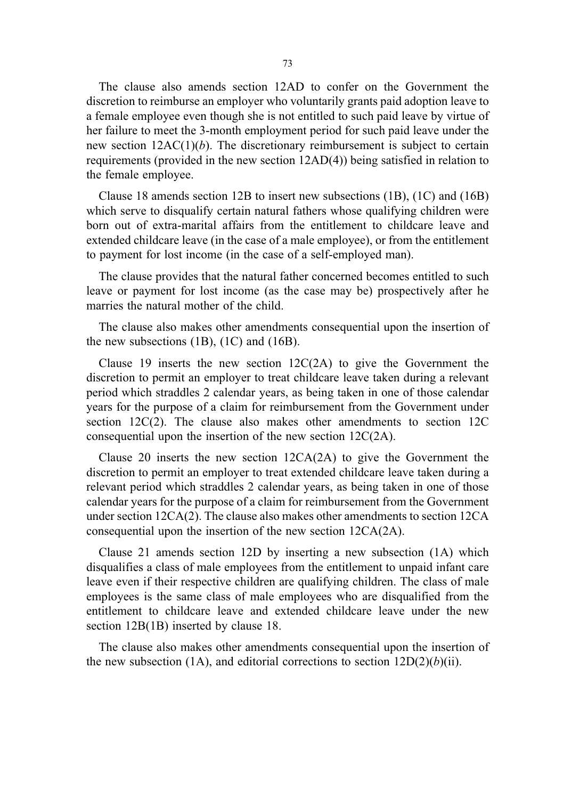The clause also amends section 12AD to confer on the Government the discretion to reimburse an employer who voluntarily grants paid adoption leave to a female employee even though she is not entitled to such paid leave by virtue of her failure to meet the 3-month employment period for such paid leave under the new section  $12AC(1)(b)$ . The discretionary reimbursement is subject to certain requirements (provided in the new section 12AD(4)) being satisfied in relation to the female employee.

Clause 18 amends section 12B to insert new subsections (1B), (1C) and (16B) which serve to disqualify certain natural fathers whose qualifying children were born out of extra-marital affairs from the entitlement to childcare leave and extended childcare leave (in the case of a male employee), or from the entitlement to payment for lost income (in the case of a self-employed man).

The clause provides that the natural father concerned becomes entitled to such leave or payment for lost income (as the case may be) prospectively after he marries the natural mother of the child.

The clause also makes other amendments consequential upon the insertion of the new subsections (1B), (1C) and (16B).

Clause 19 inserts the new section  $12C(2A)$  to give the Government the discretion to permit an employer to treat childcare leave taken during a relevant period which straddles 2 calendar years, as being taken in one of those calendar years for the purpose of a claim for reimbursement from the Government under section 12C(2). The clause also makes other amendments to section 12C consequential upon the insertion of the new section 12C(2A).

Clause 20 inserts the new section 12CA(2A) to give the Government the discretion to permit an employer to treat extended childcare leave taken during a relevant period which straddles 2 calendar years, as being taken in one of those calendar years for the purpose of a claim for reimbursement from the Government under section 12CA(2). The clause also makes other amendments to section 12CA consequential upon the insertion of the new section 12CA(2A).

Clause 21 amends section 12D by inserting a new subsection (1A) which disqualifies a class of male employees from the entitlement to unpaid infant care leave even if their respective children are qualifying children. The class of male employees is the same class of male employees who are disqualified from the entitlement to childcare leave and extended childcare leave under the new section  $12B(1B)$  inserted by clause 18.

The clause also makes other amendments consequential upon the insertion of the new subsection (1A), and editorial corrections to section  $12D(2)(b)(ii)$ .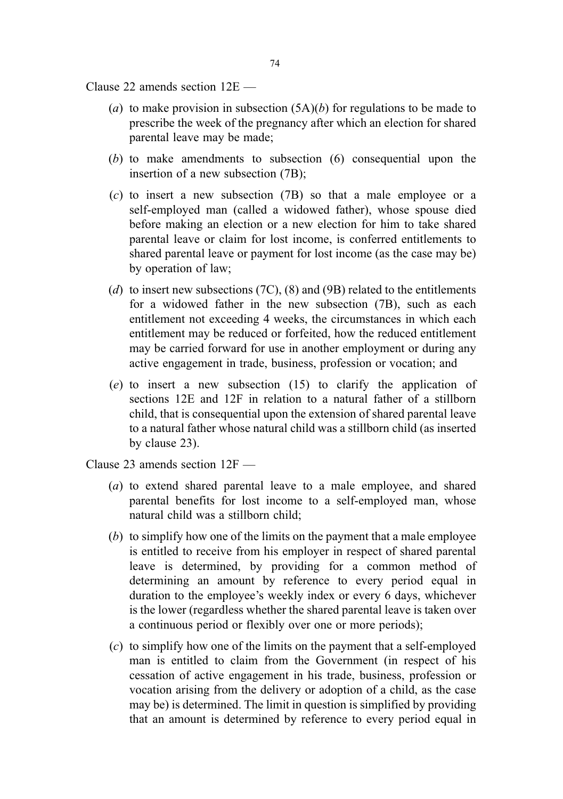Clause 22 amends section 12E —

- (a) to make provision in subsection  $(5A)(b)$  for regulations to be made to prescribe the week of the pregnancy after which an election for shared parental leave may be made;
- (b) to make amendments to subsection (6) consequential upon the insertion of a new subsection (7B);
- (c) to insert a new subsection (7B) so that a male employee or a self-employed man (called a widowed father), whose spouse died before making an election or a new election for him to take shared parental leave or claim for lost income, is conferred entitlements to shared parental leave or payment for lost income (as the case may be) by operation of law;
- (d) to insert new subsections (7C), (8) and (9B) related to the entitlements for a widowed father in the new subsection (7B), such as each entitlement not exceeding 4 weeks, the circumstances in which each entitlement may be reduced or forfeited, how the reduced entitlement may be carried forward for use in another employment or during any active engagement in trade, business, profession or vocation; and
- (e) to insert a new subsection (15) to clarify the application of sections 12E and 12F in relation to a natural father of a stillborn child, that is consequential upon the extension of shared parental leave to a natural father whose natural child was a stillborn child (as inserted by clause 23).

Clause 23 amends section 12F —

- (a) to extend shared parental leave to a male employee, and shared parental benefits for lost income to a self-employed man, whose natural child was a stillborn child;
- (b) to simplify how one of the limits on the payment that a male employee is entitled to receive from his employer in respect of shared parental leave is determined, by providing for a common method of determining an amount by reference to every period equal in duration to the employee's weekly index or every 6 days, whichever is the lower (regardless whether the shared parental leave is taken over a continuous period or flexibly over one or more periods);
- (c) to simplify how one of the limits on the payment that a self-employed man is entitled to claim from the Government (in respect of his cessation of active engagement in his trade, business, profession or vocation arising from the delivery or adoption of a child, as the case may be) is determined. The limit in question is simplified by providing that an amount is determined by reference to every period equal in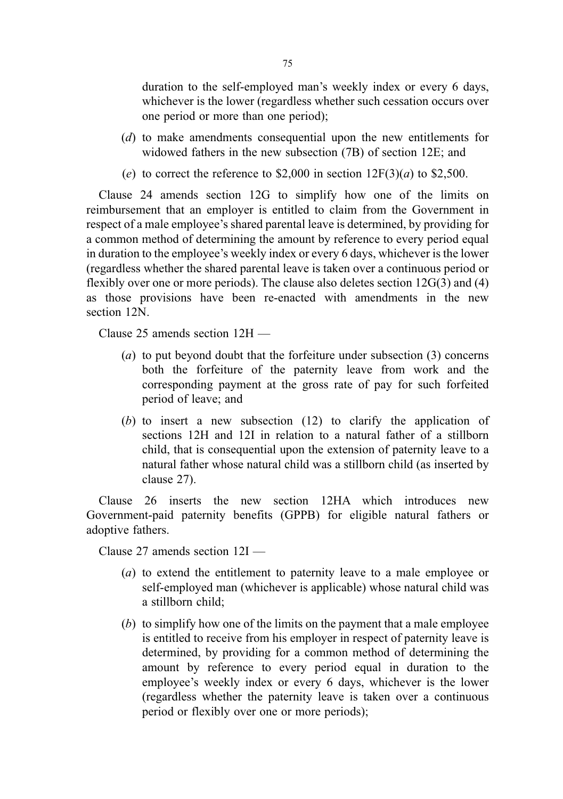duration to the self-employed man's weekly index or every 6 days, whichever is the lower (regardless whether such cessation occurs over one period or more than one period);

- (d) to make amendments consequential upon the new entitlements for widowed fathers in the new subsection (7B) of section 12E; and
- (e) to correct the reference to \$2,000 in section  $12F(3)(a)$  to \$2,500.

Clause 24 amends section 12G to simplify how one of the limits on reimbursement that an employer is entitled to claim from the Government in respect of a male employee's shared parental leave is determined, by providing for a common method of determining the amount by reference to every period equal in duration to the employee's weekly index or every 6 days, whichever is the lower (regardless whether the shared parental leave is taken over a continuous period or flexibly over one or more periods). The clause also deletes section 12G(3) and (4) as those provisions have been re-enacted with amendments in the new section 12N.

Clause 25 amends section 12H —

- (a) to put beyond doubt that the forfeiture under subsection (3) concerns both the forfeiture of the paternity leave from work and the corresponding payment at the gross rate of pay for such forfeited period of leave; and
- (b) to insert a new subsection (12) to clarify the application of sections 12H and 12I in relation to a natural father of a stillborn child, that is consequential upon the extension of paternity leave to a natural father whose natural child was a stillborn child (as inserted by clause 27).

Clause 26 inserts the new section 12HA which introduces new Government-paid paternity benefits (GPPB) for eligible natural fathers or adoptive fathers.

Clause 27 amends section 12I —

- (a) to extend the entitlement to paternity leave to a male employee or self-employed man (whichever is applicable) whose natural child was a stillborn child;
- (b) to simplify how one of the limits on the payment that a male employee is entitled to receive from his employer in respect of paternity leave is determined, by providing for a common method of determining the amount by reference to every period equal in duration to the employee's weekly index or every 6 days, whichever is the lower (regardless whether the paternity leave is taken over a continuous period or flexibly over one or more periods);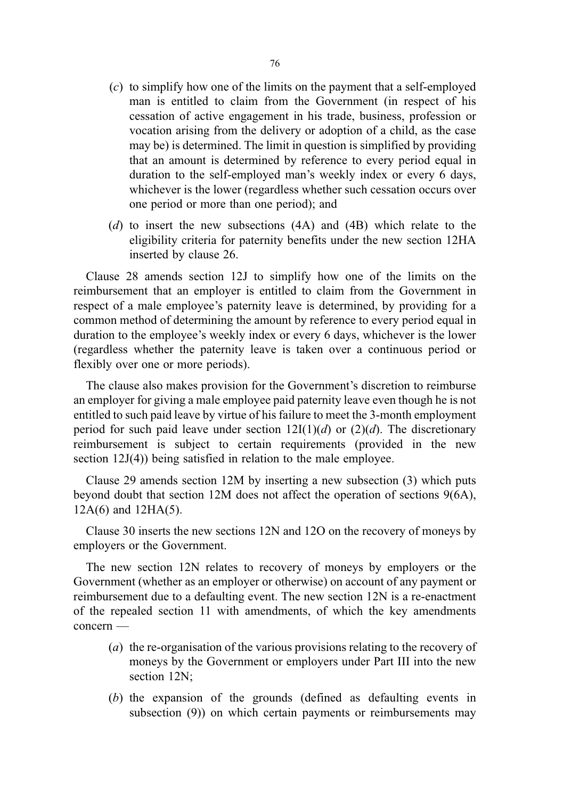- (c) to simplify how one of the limits on the payment that a self-employed man is entitled to claim from the Government (in respect of his cessation of active engagement in his trade, business, profession or vocation arising from the delivery or adoption of a child, as the case may be) is determined. The limit in question is simplified by providing that an amount is determined by reference to every period equal in duration to the self-employed man's weekly index or every 6 days, whichever is the lower (regardless whether such cessation occurs over one period or more than one period); and
- (d) to insert the new subsections  $(4A)$  and  $(4B)$  which relate to the eligibility criteria for paternity benefits under the new section 12HA inserted by clause 26.

Clause 28 amends section 12J to simplify how one of the limits on the reimbursement that an employer is entitled to claim from the Government in respect of a male employee's paternity leave is determined, by providing for a common method of determining the amount by reference to every period equal in duration to the employee's weekly index or every 6 days, whichever is the lower (regardless whether the paternity leave is taken over a continuous period or flexibly over one or more periods).

The clause also makes provision for the Government's discretion to reimburse an employer for giving a male employee paid paternity leave even though he is not entitled to such paid leave by virtue of his failure to meet the 3-month employment period for such paid leave under section  $12I(1)(d)$  or  $(2)(d)$ . The discretionary reimbursement is subject to certain requirements (provided in the new section 12J(4)) being satisfied in relation to the male employee.

Clause 29 amends section 12M by inserting a new subsection (3) which puts beyond doubt that section 12M does not affect the operation of sections 9(6A), 12A(6) and 12HA(5).

Clause 30 inserts the new sections 12N and 12O on the recovery of moneys by employers or the Government.

The new section 12N relates to recovery of moneys by employers or the Government (whether as an employer or otherwise) on account of any payment or reimbursement due to a defaulting event. The new section 12N is a re-enactment of the repealed section 11 with amendments, of which the key amendments concern —

- (a) the re-organisation of the various provisions relating to the recovery of moneys by the Government or employers under Part III into the new section 12N:
- (b) the expansion of the grounds (defined as defaulting events in subsection (9)) on which certain payments or reimbursements may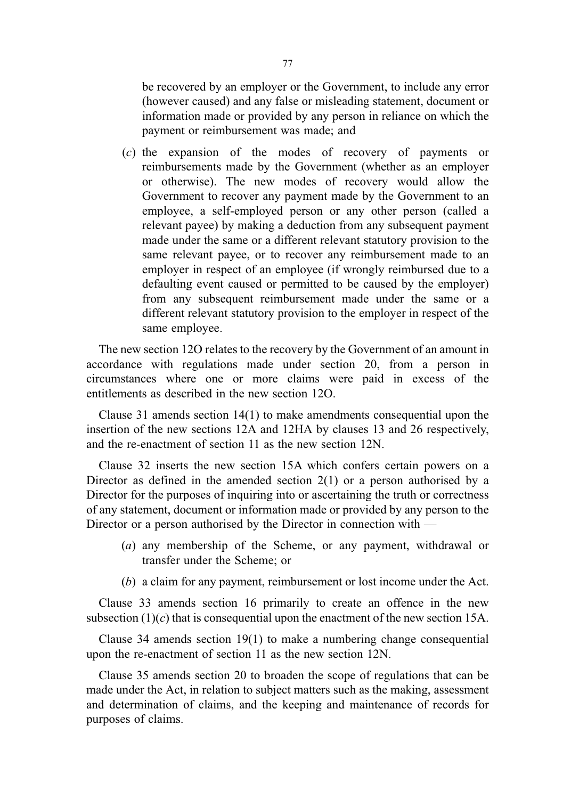be recovered by an employer or the Government, to include any error (however caused) and any false or misleading statement, document or information made or provided by any person in reliance on which the payment or reimbursement was made; and

(c) the expansion of the modes of recovery of payments or reimbursements made by the Government (whether as an employer or otherwise). The new modes of recovery would allow the Government to recover any payment made by the Government to an employee, a self-employed person or any other person (called a relevant payee) by making a deduction from any subsequent payment made under the same or a different relevant statutory provision to the same relevant payee, or to recover any reimbursement made to an employer in respect of an employee (if wrongly reimbursed due to a defaulting event caused or permitted to be caused by the employer) from any subsequent reimbursement made under the same or a different relevant statutory provision to the employer in respect of the same employee.

The new section 12O relates to the recovery by the Government of an amount in accordance with regulations made under section 20, from a person in circumstances where one or more claims were paid in excess of the entitlements as described in the new section 12O.

Clause 31 amends section 14(1) to make amendments consequential upon the insertion of the new sections 12A and 12HA by clauses 13 and 26 respectively, and the re-enactment of section 11 as the new section 12N.

Clause 32 inserts the new section 15A which confers certain powers on a Director as defined in the amended section 2(1) or a person authorised by a Director for the purposes of inquiring into or ascertaining the truth or correctness of any statement, document or information made or provided by any person to the Director or a person authorised by the Director in connection with —

- (a) any membership of the Scheme, or any payment, withdrawal or transfer under the Scheme; or
- (b) a claim for any payment, reimbursement or lost income under the Act.

Clause 33 amends section 16 primarily to create an offence in the new subsection  $(1)(c)$  that is consequential upon the enactment of the new section 15A.

Clause 34 amends section 19(1) to make a numbering change consequential upon the re-enactment of section 11 as the new section 12N.

Clause 35 amends section 20 to broaden the scope of regulations that can be made under the Act, in relation to subject matters such as the making, assessment and determination of claims, and the keeping and maintenance of records for purposes of claims.